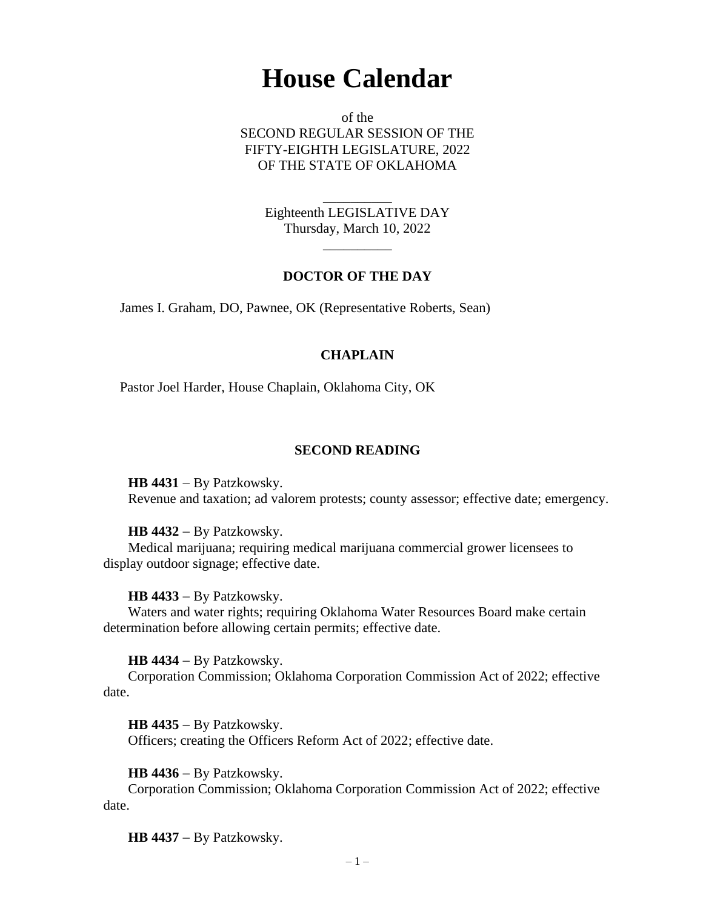# **House Calendar**

of the SECOND REGULAR SESSION OF THE FIFTY-EIGHTH LEGISLATURE, 2022 OF THE STATE OF OKLAHOMA

> Eighteenth LEGISLATIVE DAY Thursday, March 10, 2022

> > $\overline{\phantom{a}}$

\_\_\_\_\_\_\_\_\_\_

# **DOCTOR OF THE DAY**

James I. Graham, DO, Pawnee, OK (Representative Roberts, Sean)

# **CHAPLAIN**

Pastor Joel Harder, House Chaplain, Oklahoma City, OK

# **SECOND READING**

**HB 4431** − By Patzkowsky.

Revenue and taxation; ad valorem protests; county assessor; effective date; emergency.

# **HB 4432** − By Patzkowsky.

Medical marijuana; requiring medical marijuana commercial grower licensees to display outdoor signage; effective date.

# **HB 4433** − By Patzkowsky.

Waters and water rights; requiring Oklahoma Water Resources Board make certain determination before allowing certain permits; effective date.

# **HB 4434** − By Patzkowsky.

Corporation Commission; Oklahoma Corporation Commission Act of 2022; effective date.

**HB 4435** − By Patzkowsky. Officers; creating the Officers Reform Act of 2022; effective date.

**HB 4436** − By Patzkowsky.

Corporation Commission; Oklahoma Corporation Commission Act of 2022; effective date.

**HB 4437** − By Patzkowsky.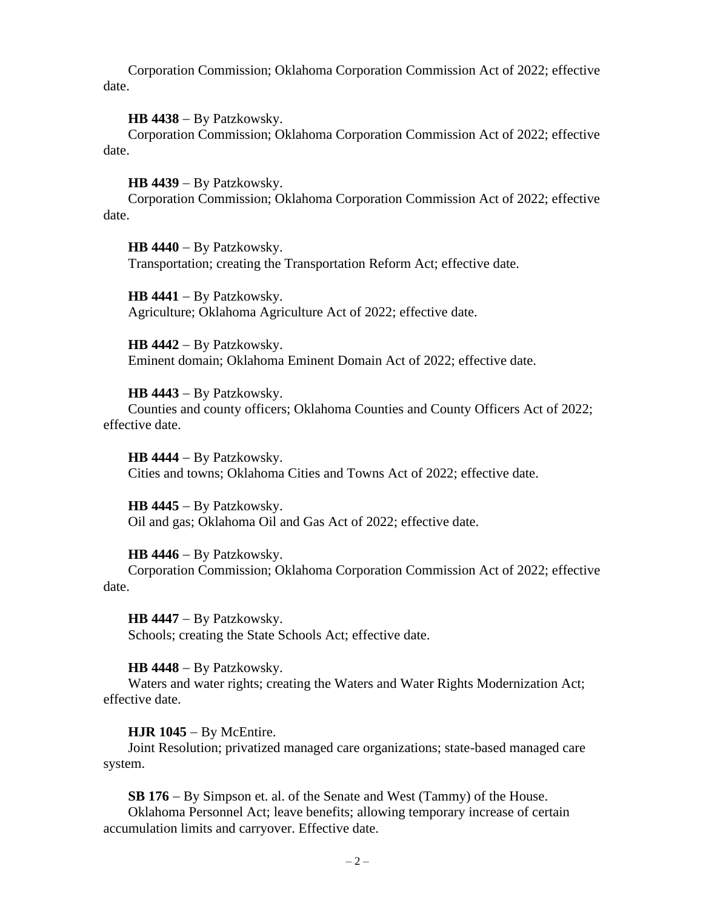Corporation Commission; Oklahoma Corporation Commission Act of 2022; effective date.

**HB 4438** − By Patzkowsky.

Corporation Commission; Oklahoma Corporation Commission Act of 2022; effective date.

**HB 4439** − By Patzkowsky.

Corporation Commission; Oklahoma Corporation Commission Act of 2022; effective date.

**HB 4440** − By Patzkowsky. Transportation; creating the Transportation Reform Act; effective date.

**HB 4441** − By Patzkowsky. Agriculture; Oklahoma Agriculture Act of 2022; effective date.

**HB 4442** − By Patzkowsky. Eminent domain; Oklahoma Eminent Domain Act of 2022; effective date.

**HB 4443** − By Patzkowsky. Counties and county officers; Oklahoma Counties and County Officers Act of 2022; effective date.

**HB 4444** − By Patzkowsky. Cities and towns; Oklahoma Cities and Towns Act of 2022; effective date.

**HB 4445** − By Patzkowsky. Oil and gas; Oklahoma Oil and Gas Act of 2022; effective date.

**HB 4446** − By Patzkowsky.

Corporation Commission; Oklahoma Corporation Commission Act of 2022; effective date.

**HB 4447** − By Patzkowsky. Schools; creating the State Schools Act; effective date.

**HB 4448** − By Patzkowsky.

Waters and water rights; creating the Waters and Water Rights Modernization Act; effective date.

**HJR 1045** − By McEntire.

Joint Resolution; privatized managed care organizations; state-based managed care system.

**SB 176** − By Simpson et. al. of the Senate and West (Tammy) of the House. Oklahoma Personnel Act; leave benefits; allowing temporary increase of certain accumulation limits and carryover. Effective date.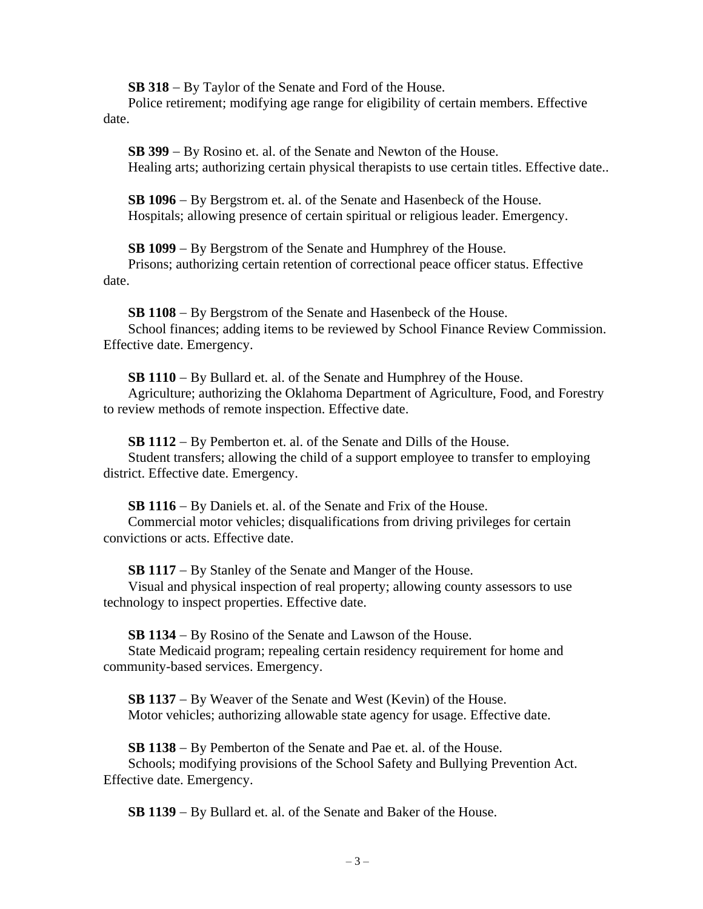**SB 318** − By Taylor of the Senate and Ford of the House.

Police retirement; modifying age range for eligibility of certain members. Effective date.

**SB 399** − By Rosino et. al. of the Senate and Newton of the House. Healing arts; authorizing certain physical therapists to use certain titles. Effective date..

**SB 1096** − By Bergstrom et. al. of the Senate and Hasenbeck of the House. Hospitals; allowing presence of certain spiritual or religious leader. Emergency.

**SB 1099** − By Bergstrom of the Senate and Humphrey of the House.

Prisons; authorizing certain retention of correctional peace officer status. Effective date.

**SB 1108** − By Bergstrom of the Senate and Hasenbeck of the House. School finances; adding items to be reviewed by School Finance Review Commission. Effective date. Emergency.

**SB 1110** − By Bullard et. al. of the Senate and Humphrey of the House. Agriculture; authorizing the Oklahoma Department of Agriculture, Food, and Forestry to review methods of remote inspection. Effective date.

**SB 1112** − By Pemberton et. al. of the Senate and Dills of the House.

Student transfers; allowing the child of a support employee to transfer to employing district. Effective date. Emergency.

**SB 1116** − By Daniels et. al. of the Senate and Frix of the House. Commercial motor vehicles; disqualifications from driving privileges for certain convictions or acts. Effective date.

**SB 1117** − By Stanley of the Senate and Manger of the House.

Visual and physical inspection of real property; allowing county assessors to use technology to inspect properties. Effective date.

**SB 1134** − By Rosino of the Senate and Lawson of the House.

State Medicaid program; repealing certain residency requirement for home and community-based services. Emergency.

**SB 1137** − By Weaver of the Senate and West (Kevin) of the House. Motor vehicles; authorizing allowable state agency for usage. Effective date.

**SB 1138** − By Pemberton of the Senate and Pae et. al. of the House. Schools; modifying provisions of the School Safety and Bullying Prevention Act. Effective date. Emergency.

**SB 1139** − By Bullard et. al. of the Senate and Baker of the House.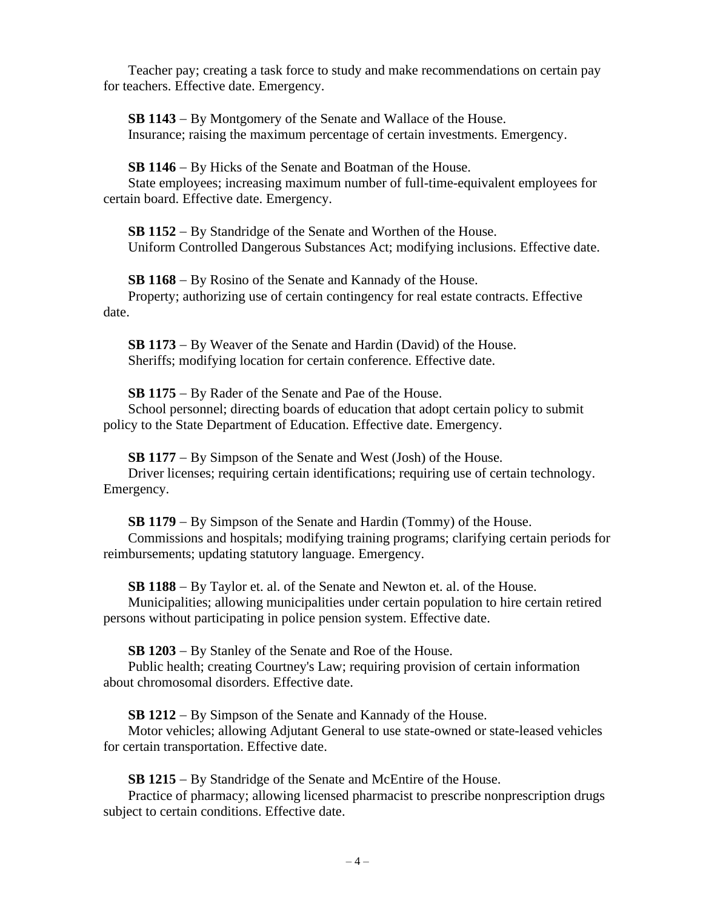Teacher pay; creating a task force to study and make recommendations on certain pay for teachers. Effective date. Emergency.

**SB 1143** − By Montgomery of the Senate and Wallace of the House. Insurance; raising the maximum percentage of certain investments. Emergency.

**SB 1146** − By Hicks of the Senate and Boatman of the House. State employees; increasing maximum number of full-time-equivalent employees for certain board. Effective date. Emergency.

**SB 1152** − By Standridge of the Senate and Worthen of the House. Uniform Controlled Dangerous Substances Act; modifying inclusions. Effective date.

**SB 1168** − By Rosino of the Senate and Kannady of the House. Property; authorizing use of certain contingency for real estate contracts. Effective date.

**SB 1173** − By Weaver of the Senate and Hardin (David) of the House. Sheriffs; modifying location for certain conference. Effective date.

**SB 1175** − By Rader of the Senate and Pae of the House. School personnel; directing boards of education that adopt certain policy to submit policy to the State Department of Education. Effective date. Emergency.

**SB 1177** − By Simpson of the Senate and West (Josh) of the House. Driver licenses; requiring certain identifications; requiring use of certain technology. Emergency.

**SB 1179** − By Simpson of the Senate and Hardin (Tommy) of the House. Commissions and hospitals; modifying training programs; clarifying certain periods for

reimbursements; updating statutory language. Emergency.

**SB 1188** − By Taylor et. al. of the Senate and Newton et. al. of the House.

Municipalities; allowing municipalities under certain population to hire certain retired persons without participating in police pension system. Effective date.

**SB 1203** − By Stanley of the Senate and Roe of the House.

Public health; creating Courtney's Law; requiring provision of certain information about chromosomal disorders. Effective date.

**SB 1212** − By Simpson of the Senate and Kannady of the House.

Motor vehicles; allowing Adjutant General to use state-owned or state-leased vehicles for certain transportation. Effective date.

**SB 1215** − By Standridge of the Senate and McEntire of the House.

Practice of pharmacy; allowing licensed pharmacist to prescribe nonprescription drugs subject to certain conditions. Effective date.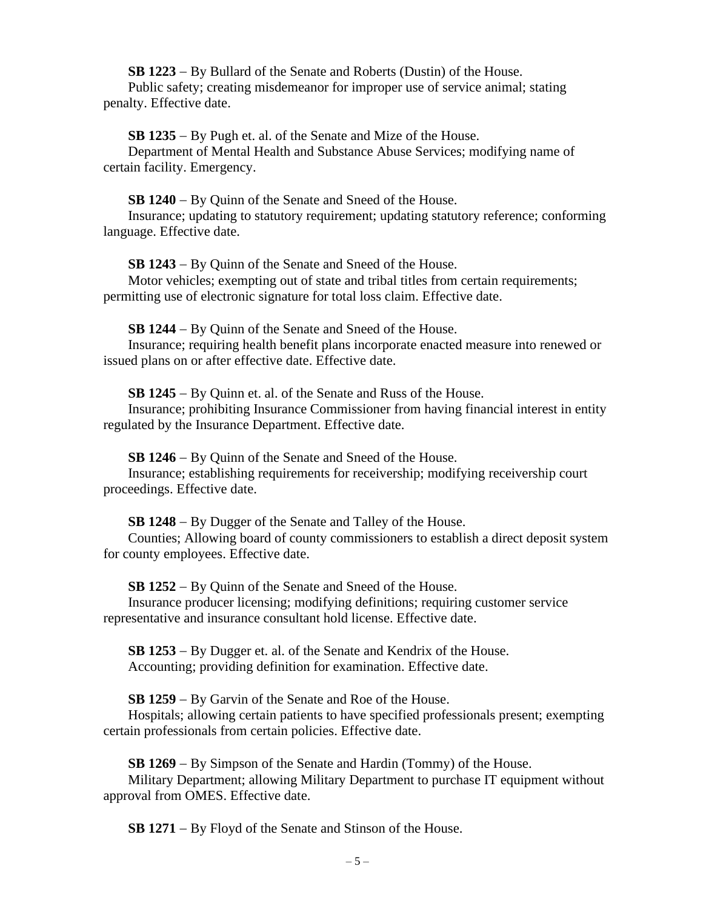**SB 1223** − By Bullard of the Senate and Roberts (Dustin) of the House. Public safety; creating misdemeanor for improper use of service animal; stating penalty. Effective date.

**SB 1235** − By Pugh et. al. of the Senate and Mize of the House.

Department of Mental Health and Substance Abuse Services; modifying name of certain facility. Emergency.

**SB 1240** − By Quinn of the Senate and Sneed of the House.

Insurance; updating to statutory requirement; updating statutory reference; conforming language. Effective date.

**SB 1243** − By Quinn of the Senate and Sneed of the House.

Motor vehicles; exempting out of state and tribal titles from certain requirements; permitting use of electronic signature for total loss claim. Effective date.

**SB 1244** − By Quinn of the Senate and Sneed of the House.

Insurance; requiring health benefit plans incorporate enacted measure into renewed or issued plans on or after effective date. Effective date.

**SB 1245** − By Quinn et. al. of the Senate and Russ of the House.

Insurance; prohibiting Insurance Commissioner from having financial interest in entity regulated by the Insurance Department. Effective date.

**SB 1246** − By Quinn of the Senate and Sneed of the House.

Insurance; establishing requirements for receivership; modifying receivership court proceedings. Effective date.

**SB 1248** − By Dugger of the Senate and Talley of the House.

Counties; Allowing board of county commissioners to establish a direct deposit system for county employees. Effective date.

**SB 1252** − By Quinn of the Senate and Sneed of the House.

Insurance producer licensing; modifying definitions; requiring customer service representative and insurance consultant hold license. Effective date.

**SB 1253** − By Dugger et. al. of the Senate and Kendrix of the House. Accounting; providing definition for examination. Effective date.

**SB 1259** − By Garvin of the Senate and Roe of the House.

Hospitals; allowing certain patients to have specified professionals present; exempting certain professionals from certain policies. Effective date.

**SB 1269** − By Simpson of the Senate and Hardin (Tommy) of the House.

Military Department; allowing Military Department to purchase IT equipment without approval from OMES. Effective date.

**SB 1271** − By Floyd of the Senate and Stinson of the House.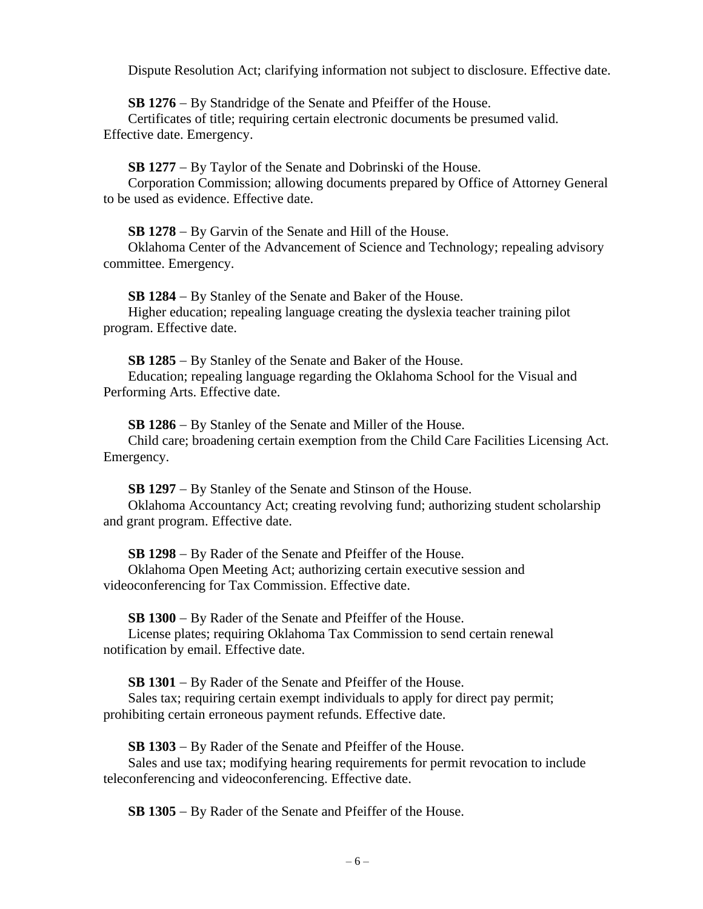Dispute Resolution Act; clarifying information not subject to disclosure. Effective date.

**SB 1276** − By Standridge of the Senate and Pfeiffer of the House.

Certificates of title; requiring certain electronic documents be presumed valid. Effective date. Emergency.

**SB 1277** − By Taylor of the Senate and Dobrinski of the House.

Corporation Commission; allowing documents prepared by Office of Attorney General to be used as evidence. Effective date.

**SB 1278** − By Garvin of the Senate and Hill of the House.

Oklahoma Center of the Advancement of Science and Technology; repealing advisory committee. Emergency.

**SB 1284** − By Stanley of the Senate and Baker of the House. Higher education; repealing language creating the dyslexia teacher training pilot program. Effective date.

**SB 1285** − By Stanley of the Senate and Baker of the House. Education; repealing language regarding the Oklahoma School for the Visual and Performing Arts. Effective date.

**SB 1286** − By Stanley of the Senate and Miller of the House. Child care; broadening certain exemption from the Child Care Facilities Licensing Act. Emergency.

**SB 1297** − By Stanley of the Senate and Stinson of the House. Oklahoma Accountancy Act; creating revolving fund; authorizing student scholarship and grant program. Effective date.

**SB 1298** − By Rader of the Senate and Pfeiffer of the House.

Oklahoma Open Meeting Act; authorizing certain executive session and videoconferencing for Tax Commission. Effective date.

**SB 1300** − By Rader of the Senate and Pfeiffer of the House.

License plates; requiring Oklahoma Tax Commission to send certain renewal notification by email. Effective date.

**SB 1301** − By Rader of the Senate and Pfeiffer of the House.

Sales tax; requiring certain exempt individuals to apply for direct pay permit; prohibiting certain erroneous payment refunds. Effective date.

**SB 1303** − By Rader of the Senate and Pfeiffer of the House.

Sales and use tax; modifying hearing requirements for permit revocation to include teleconferencing and videoconferencing. Effective date.

**SB 1305** − By Rader of the Senate and Pfeiffer of the House.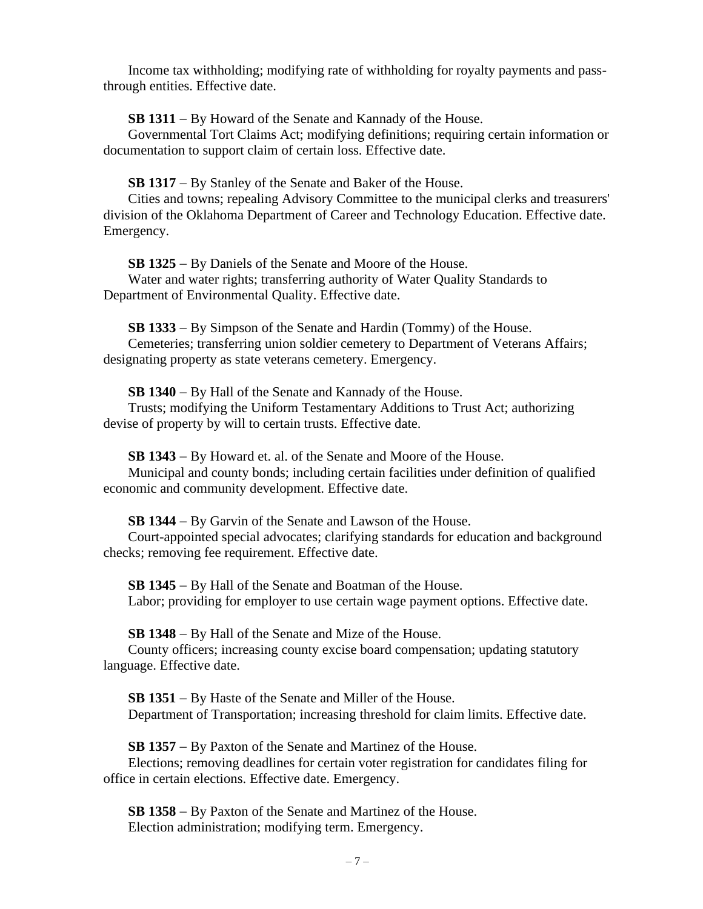Income tax withholding; modifying rate of withholding for royalty payments and passthrough entities. Effective date.

**SB 1311** − By Howard of the Senate and Kannady of the House.

Governmental Tort Claims Act; modifying definitions; requiring certain information or documentation to support claim of certain loss. Effective date.

**SB 1317** − By Stanley of the Senate and Baker of the House.

Cities and towns; repealing Advisory Committee to the municipal clerks and treasurers' division of the Oklahoma Department of Career and Technology Education. Effective date. Emergency.

**SB 1325** − By Daniels of the Senate and Moore of the House.

Water and water rights; transferring authority of Water Quality Standards to Department of Environmental Quality. Effective date.

**SB 1333** − By Simpson of the Senate and Hardin (Tommy) of the House. Cemeteries; transferring union soldier cemetery to Department of Veterans Affairs; designating property as state veterans cemetery. Emergency.

**SB 1340** − By Hall of the Senate and Kannady of the House.

Trusts; modifying the Uniform Testamentary Additions to Trust Act; authorizing devise of property by will to certain trusts. Effective date.

**SB 1343** − By Howard et. al. of the Senate and Moore of the House. Municipal and county bonds; including certain facilities under definition of qualified economic and community development. Effective date.

**SB 1344** − By Garvin of the Senate and Lawson of the House.

Court-appointed special advocates; clarifying standards for education and background checks; removing fee requirement. Effective date.

**SB 1345** − By Hall of the Senate and Boatman of the House. Labor; providing for employer to use certain wage payment options. Effective date.

**SB 1348** − By Hall of the Senate and Mize of the House.

County officers; increasing county excise board compensation; updating statutory language. Effective date.

**SB 1351** − By Haste of the Senate and Miller of the House. Department of Transportation; increasing threshold for claim limits. Effective date.

**SB 1357** − By Paxton of the Senate and Martinez of the House.

Elections; removing deadlines for certain voter registration for candidates filing for office in certain elections. Effective date. Emergency.

**SB 1358** − By Paxton of the Senate and Martinez of the House. Election administration; modifying term. Emergency.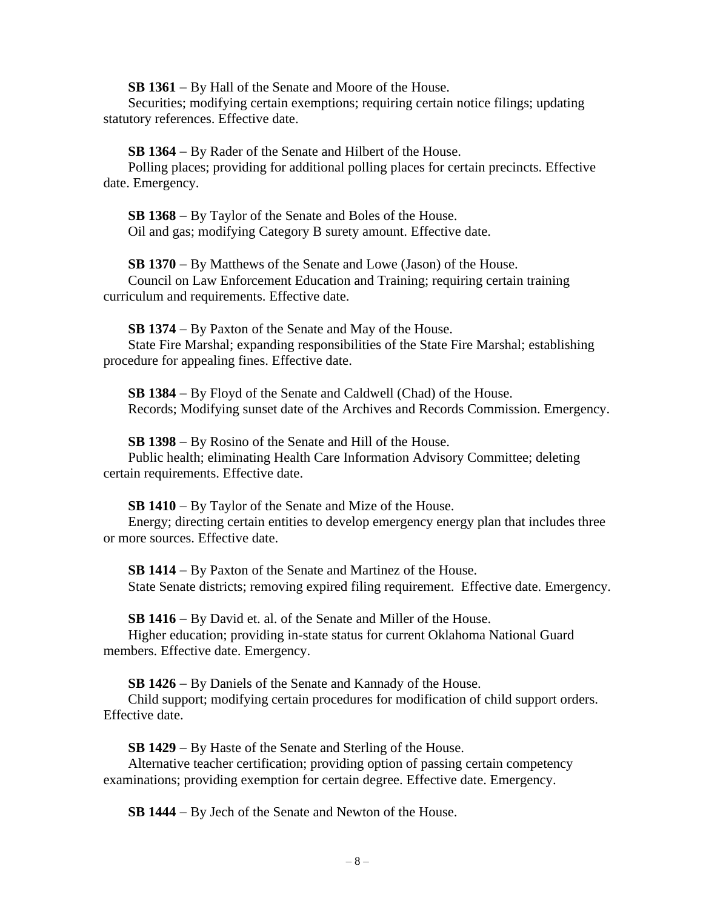**SB 1361** − By Hall of the Senate and Moore of the House.

Securities; modifying certain exemptions; requiring certain notice filings; updating statutory references. Effective date.

**SB 1364** − By Rader of the Senate and Hilbert of the House.

Polling places; providing for additional polling places for certain precincts. Effective date. Emergency.

**SB 1368** − By Taylor of the Senate and Boles of the House. Oil and gas; modifying Category B surety amount. Effective date.

**SB 1370** − By Matthews of the Senate and Lowe (Jason) of the House.

Council on Law Enforcement Education and Training; requiring certain training curriculum and requirements. Effective date.

**SB 1374** − By Paxton of the Senate and May of the House.

State Fire Marshal; expanding responsibilities of the State Fire Marshal; establishing procedure for appealing fines. Effective date.

**SB 1384** − By Floyd of the Senate and Caldwell (Chad) of the House. Records; Modifying sunset date of the Archives and Records Commission. Emergency.

**SB 1398** − By Rosino of the Senate and Hill of the House.

Public health; eliminating Health Care Information Advisory Committee; deleting certain requirements. Effective date.

**SB 1410** − By Taylor of the Senate and Mize of the House.

Energy; directing certain entities to develop emergency energy plan that includes three or more sources. Effective date.

**SB 1414** − By Paxton of the Senate and Martinez of the House. State Senate districts; removing expired filing requirement. Effective date. Emergency.

**SB 1416** − By David et. al. of the Senate and Miller of the House.

Higher education; providing in-state status for current Oklahoma National Guard members. Effective date. Emergency.

**SB 1426** − By Daniels of the Senate and Kannady of the House.

Child support; modifying certain procedures for modification of child support orders. Effective date.

**SB 1429** − By Haste of the Senate and Sterling of the House.

Alternative teacher certification; providing option of passing certain competency examinations; providing exemption for certain degree. Effective date. Emergency.

**SB 1444** − By Jech of the Senate and Newton of the House.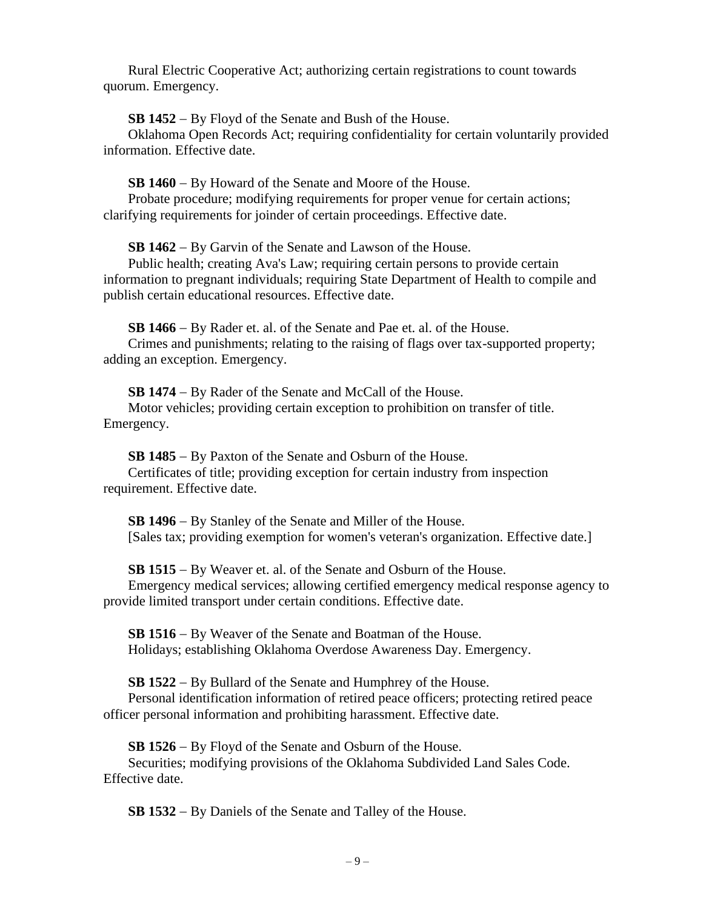Rural Electric Cooperative Act; authorizing certain registrations to count towards quorum. Emergency.

**SB 1452** − By Floyd of the Senate and Bush of the House.

Oklahoma Open Records Act; requiring confidentiality for certain voluntarily provided information. Effective date.

**SB 1460** − By Howard of the Senate and Moore of the House.

Probate procedure; modifying requirements for proper venue for certain actions; clarifying requirements for joinder of certain proceedings. Effective date.

**SB 1462** − By Garvin of the Senate and Lawson of the House.

Public health; creating Ava's Law; requiring certain persons to provide certain information to pregnant individuals; requiring State Department of Health to compile and publish certain educational resources. Effective date.

**SB 1466** − By Rader et. al. of the Senate and Pae et. al. of the House.

Crimes and punishments; relating to the raising of flags over tax-supported property; adding an exception. Emergency.

**SB 1474** − By Rader of the Senate and McCall of the House. Motor vehicles; providing certain exception to prohibition on transfer of title. Emergency.

**SB 1485** − By Paxton of the Senate and Osburn of the House. Certificates of title; providing exception for certain industry from inspection requirement. Effective date.

**SB 1496** − By Stanley of the Senate and Miller of the House. [Sales tax; providing exemption for women's veteran's organization. Effective date.]

**SB 1515** − By Weaver et. al. of the Senate and Osburn of the House. Emergency medical services; allowing certified emergency medical response agency to provide limited transport under certain conditions. Effective date.

**SB 1516** − By Weaver of the Senate and Boatman of the House. Holidays; establishing Oklahoma Overdose Awareness Day. Emergency.

**SB 1522** − By Bullard of the Senate and Humphrey of the House.

Personal identification information of retired peace officers; protecting retired peace officer personal information and prohibiting harassment. Effective date.

**SB 1526** − By Floyd of the Senate and Osburn of the House.

Securities; modifying provisions of the Oklahoma Subdivided Land Sales Code. Effective date.

**SB 1532** − By Daniels of the Senate and Talley of the House.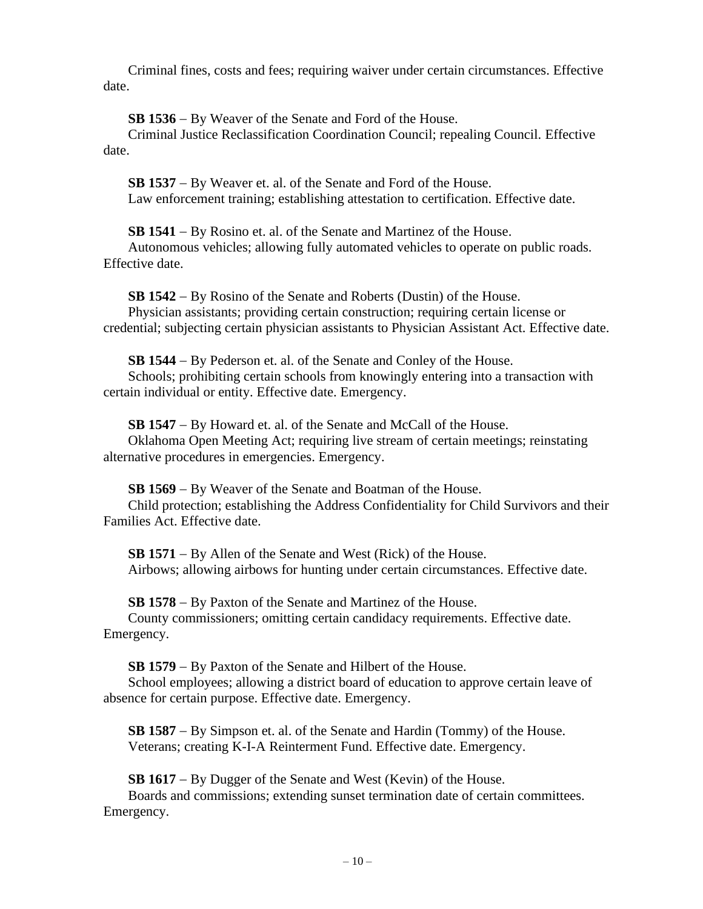Criminal fines, costs and fees; requiring waiver under certain circumstances. Effective date.

**SB 1536** − By Weaver of the Senate and Ford of the House.

Criminal Justice Reclassification Coordination Council; repealing Council. Effective date.

**SB 1537** − By Weaver et. al. of the Senate and Ford of the House. Law enforcement training; establishing attestation to certification. Effective date.

**SB 1541** − By Rosino et. al. of the Senate and Martinez of the House.

Autonomous vehicles; allowing fully automated vehicles to operate on public roads. Effective date.

**SB 1542** − By Rosino of the Senate and Roberts (Dustin) of the House. Physician assistants; providing certain construction; requiring certain license or credential; subjecting certain physician assistants to Physician Assistant Act. Effective date.

**SB 1544** − By Pederson et. al. of the Senate and Conley of the House. Schools; prohibiting certain schools from knowingly entering into a transaction with certain individual or entity. Effective date. Emergency.

**SB 1547** − By Howard et. al. of the Senate and McCall of the House. Oklahoma Open Meeting Act; requiring live stream of certain meetings; reinstating alternative procedures in emergencies. Emergency.

**SB 1569** − By Weaver of the Senate and Boatman of the House. Child protection; establishing the Address Confidentiality for Child Survivors and their Families Act. Effective date.

**SB 1571** − By Allen of the Senate and West (Rick) of the House. Airbows; allowing airbows for hunting under certain circumstances. Effective date.

**SB 1578** − By Paxton of the Senate and Martinez of the House. County commissioners; omitting certain candidacy requirements. Effective date. Emergency.

**SB 1579** − By Paxton of the Senate and Hilbert of the House.

School employees; allowing a district board of education to approve certain leave of absence for certain purpose. Effective date. Emergency.

**SB 1587** − By Simpson et. al. of the Senate and Hardin (Tommy) of the House. Veterans; creating K-I-A Reinterment Fund. Effective date. Emergency.

**SB 1617** − By Dugger of the Senate and West (Kevin) of the House. Boards and commissions; extending sunset termination date of certain committees. Emergency.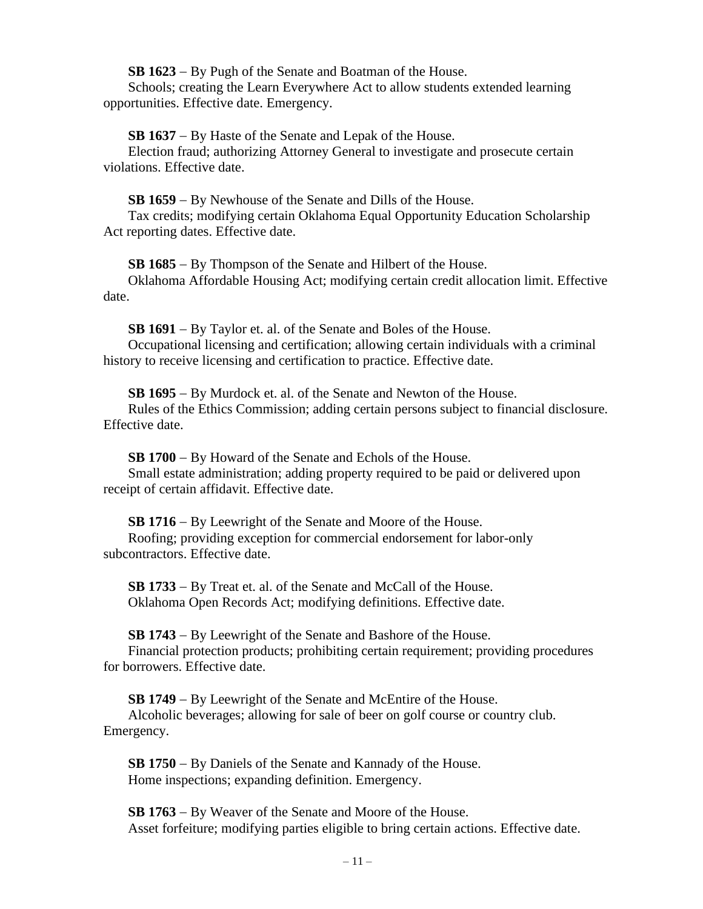**SB 1623** − By Pugh of the Senate and Boatman of the House.

Schools; creating the Learn Everywhere Act to allow students extended learning opportunities. Effective date. Emergency.

**SB 1637** − By Haste of the Senate and Lepak of the House.

Election fraud; authorizing Attorney General to investigate and prosecute certain violations. Effective date.

**SB 1659** − By Newhouse of the Senate and Dills of the House.

Tax credits; modifying certain Oklahoma Equal Opportunity Education Scholarship Act reporting dates. Effective date.

**SB 1685** − By Thompson of the Senate and Hilbert of the House.

Oklahoma Affordable Housing Act; modifying certain credit allocation limit. Effective date.

**SB 1691** − By Taylor et. al. of the Senate and Boles of the House. Occupational licensing and certification; allowing certain individuals with a criminal history to receive licensing and certification to practice. Effective date.

**SB 1695** − By Murdock et. al. of the Senate and Newton of the House. Rules of the Ethics Commission; adding certain persons subject to financial disclosure. Effective date.

**SB 1700** − By Howard of the Senate and Echols of the House. Small estate administration; adding property required to be paid or delivered upon receipt of certain affidavit. Effective date.

**SB 1716** − By Leewright of the Senate and Moore of the House. Roofing; providing exception for commercial endorsement for labor-only subcontractors. Effective date.

**SB 1733** − By Treat et. al. of the Senate and McCall of the House. Oklahoma Open Records Act; modifying definitions. Effective date.

**SB 1743** − By Leewright of the Senate and Bashore of the House. Financial protection products; prohibiting certain requirement; providing procedures for borrowers. Effective date.

**SB 1749** − By Leewright of the Senate and McEntire of the House. Alcoholic beverages; allowing for sale of beer on golf course or country club. Emergency.

**SB 1750** − By Daniels of the Senate and Kannady of the House. Home inspections; expanding definition. Emergency.

**SB 1763** − By Weaver of the Senate and Moore of the House. Asset forfeiture; modifying parties eligible to bring certain actions. Effective date.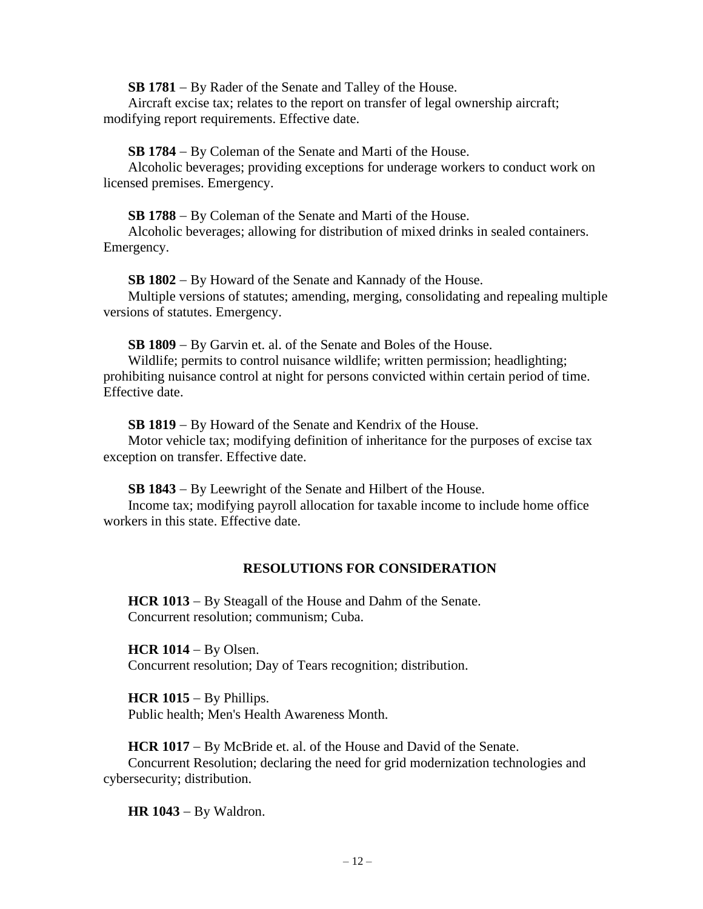**SB 1781** − By Rader of the Senate and Talley of the House.

Aircraft excise tax; relates to the report on transfer of legal ownership aircraft; modifying report requirements. Effective date.

**SB 1784** − By Coleman of the Senate and Marti of the House.

Alcoholic beverages; providing exceptions for underage workers to conduct work on licensed premises. Emergency.

**SB 1788** − By Coleman of the Senate and Marti of the House.

Alcoholic beverages; allowing for distribution of mixed drinks in sealed containers. Emergency.

**SB 1802** − By Howard of the Senate and Kannady of the House. Multiple versions of statutes; amending, merging, consolidating and repealing multiple versions of statutes. Emergency.

**SB 1809** − By Garvin et. al. of the Senate and Boles of the House.

Wildlife; permits to control nuisance wildlife; written permission; headlighting; prohibiting nuisance control at night for persons convicted within certain period of time. Effective date.

**SB 1819** − By Howard of the Senate and Kendrix of the House.

Motor vehicle tax; modifying definition of inheritance for the purposes of excise tax exception on transfer. Effective date.

**SB 1843** − By Leewright of the Senate and Hilbert of the House. Income tax; modifying payroll allocation for taxable income to include home office workers in this state. Effective date.

# **RESOLUTIONS FOR CONSIDERATION**

**HCR 1013** − By Steagall of the House and Dahm of the Senate. Concurrent resolution; communism; Cuba.

**HCR 1014** − By Olsen. Concurrent resolution; Day of Tears recognition; distribution.

**HCR 1015** − By Phillips. Public health; Men's Health Awareness Month.

**HCR 1017** − By McBride et. al. of the House and David of the Senate. Concurrent Resolution; declaring the need for grid modernization technologies and cybersecurity; distribution.

**HR 1043** − By Waldron.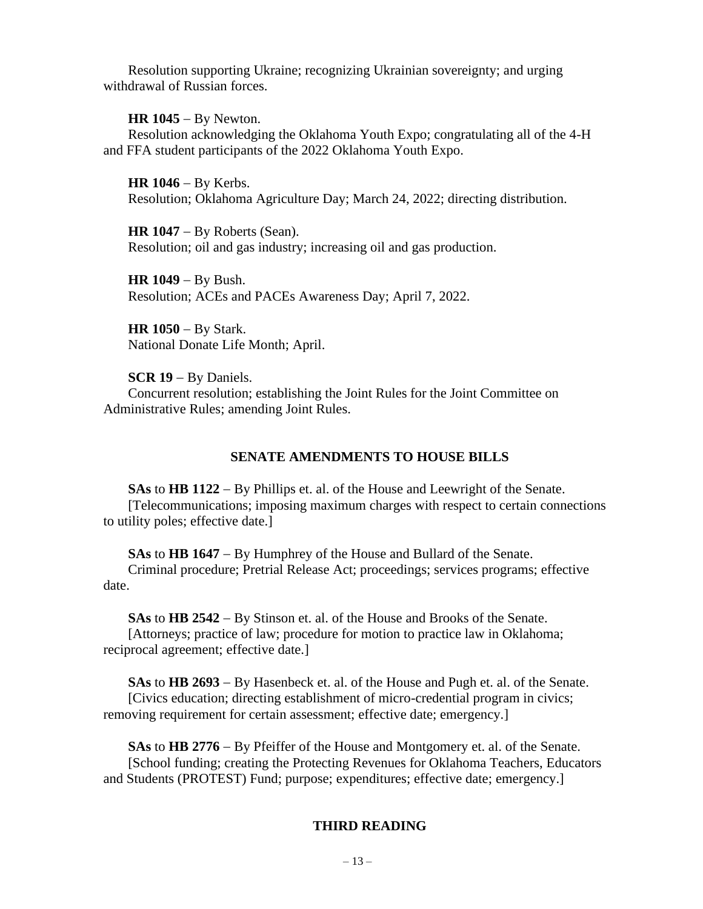Resolution supporting Ukraine; recognizing Ukrainian sovereignty; and urging withdrawal of Russian forces.

**HR 1045** − By Newton.

Resolution acknowledging the Oklahoma Youth Expo; congratulating all of the 4-H and FFA student participants of the 2022 Oklahoma Youth Expo.

**HR 1046** − By Kerbs. Resolution; Oklahoma Agriculture Day; March 24, 2022; directing distribution.

**HR 1047** − By Roberts (Sean). Resolution; oil and gas industry; increasing oil and gas production.

**HR 1049** − By Bush. Resolution; ACEs and PACEs Awareness Day; April 7, 2022.

**HR 1050** − By Stark. National Donate Life Month; April.

**SCR 19** − By Daniels.

Concurrent resolution; establishing the Joint Rules for the Joint Committee on Administrative Rules; amending Joint Rules.

# **SENATE AMENDMENTS TO HOUSE BILLS**

**SAs** to **HB 1122** − By Phillips et. al. of the House and Leewright of the Senate. [Telecommunications; imposing maximum charges with respect to certain connections to utility poles; effective date.]

**SAs** to **HB 1647** − By Humphrey of the House and Bullard of the Senate.

Criminal procedure; Pretrial Release Act; proceedings; services programs; effective date.

**SAs** to **HB 2542** − By Stinson et. al. of the House and Brooks of the Senate. [Attorneys; practice of law; procedure for motion to practice law in Oklahoma; reciprocal agreement; effective date.]

**SAs** to **HB 2693** − By Hasenbeck et. al. of the House and Pugh et. al. of the Senate. [Civics education; directing establishment of micro-credential program in civics; removing requirement for certain assessment; effective date; emergency.]

**SAs** to **HB 2776** − By Pfeiffer of the House and Montgomery et. al. of the Senate. [School funding; creating the Protecting Revenues for Oklahoma Teachers, Educators and Students (PROTEST) Fund; purpose; expenditures; effective date; emergency.]

# **THIRD READING**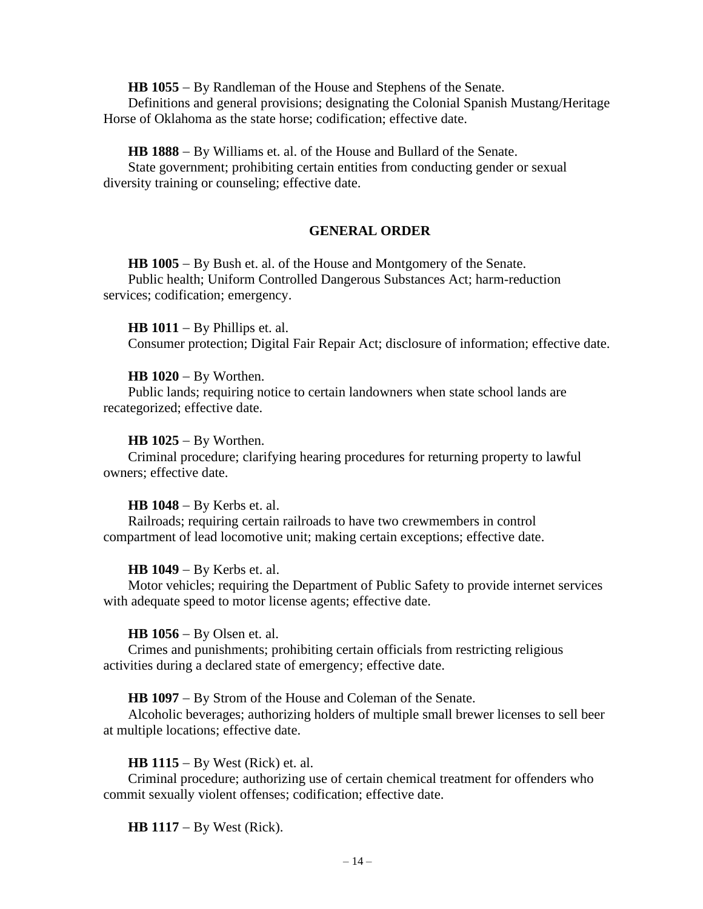**HB 1055** − By Randleman of the House and Stephens of the Senate.

Definitions and general provisions; designating the Colonial Spanish Mustang/Heritage Horse of Oklahoma as the state horse; codification; effective date.

**HB 1888** − By Williams et. al. of the House and Bullard of the Senate.

State government; prohibiting certain entities from conducting gender or sexual diversity training or counseling; effective date.

# **GENERAL ORDER**

**HB 1005** − By Bush et. al. of the House and Montgomery of the Senate. Public health; Uniform Controlled Dangerous Substances Act; harm-reduction services; codification; emergency.

**HB 1011** − By Phillips et. al. Consumer protection; Digital Fair Repair Act; disclosure of information; effective date.

# **HB 1020** − By Worthen.

Public lands; requiring notice to certain landowners when state school lands are recategorized; effective date.

# **HB 1025** − By Worthen.

Criminal procedure; clarifying hearing procedures for returning property to lawful owners; effective date.

# **HB 1048** − By Kerbs et. al.

Railroads; requiring certain railroads to have two crewmembers in control compartment of lead locomotive unit; making certain exceptions; effective date.

# **HB 1049** − By Kerbs et. al.

Motor vehicles; requiring the Department of Public Safety to provide internet services with adequate speed to motor license agents; effective date.

# **HB 1056** − By Olsen et. al.

Crimes and punishments; prohibiting certain officials from restricting religious activities during a declared state of emergency; effective date.

**HB 1097** − By Strom of the House and Coleman of the Senate.

Alcoholic beverages; authorizing holders of multiple small brewer licenses to sell beer at multiple locations; effective date.

# **HB 1115** − By West (Rick) et. al.

Criminal procedure; authorizing use of certain chemical treatment for offenders who commit sexually violent offenses; codification; effective date.

**HB 1117** − By West (Rick).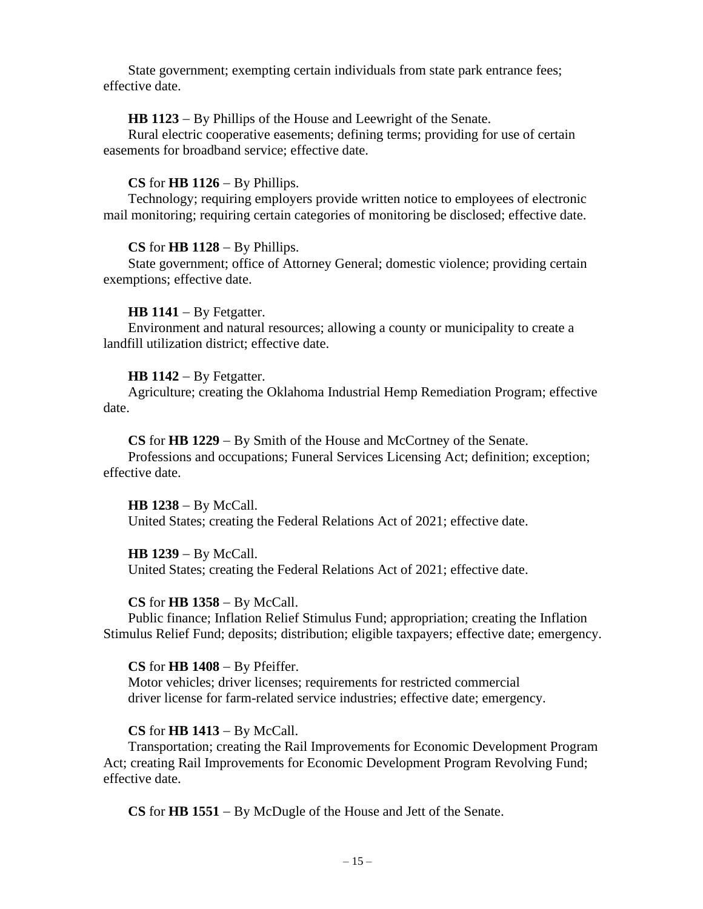State government; exempting certain individuals from state park entrance fees; effective date.

# **HB 1123** − By Phillips of the House and Leewright of the Senate.

Rural electric cooperative easements; defining terms; providing for use of certain easements for broadband service; effective date.

### **CS** for **HB 1126** − By Phillips.

Technology; requiring employers provide written notice to employees of electronic mail monitoring; requiring certain categories of monitoring be disclosed; effective date.

### **CS** for **HB 1128** − By Phillips.

State government; office of Attorney General; domestic violence; providing certain exemptions; effective date.

### **HB 1141** − By Fetgatter.

Environment and natural resources; allowing a county or municipality to create a landfill utilization district; effective date.

### **HB 1142** − By Fetgatter.

Agriculture; creating the Oklahoma Industrial Hemp Remediation Program; effective date.

**CS** for **HB 1229** − By Smith of the House and McCortney of the Senate.

Professions and occupations; Funeral Services Licensing Act; definition; exception; effective date.

#### **HB 1238** − By McCall.

United States; creating the Federal Relations Act of 2021; effective date.

# **HB 1239** − By McCall.

United States; creating the Federal Relations Act of 2021; effective date.

#### **CS** for **HB 1358** − By McCall.

Public finance; Inflation Relief Stimulus Fund; appropriation; creating the Inflation Stimulus Relief Fund; deposits; distribution; eligible taxpayers; effective date; emergency.

#### **CS** for **HB 1408** − By Pfeiffer.

Motor vehicles; driver licenses; requirements for restricted commercial driver license for farm-related service industries; effective date; emergency.

# **CS** for **HB 1413** − By McCall.

Transportation; creating the Rail Improvements for Economic Development Program Act; creating Rail Improvements for Economic Development Program Revolving Fund; effective date.

**CS** for **HB 1551** − By McDugle of the House and Jett of the Senate.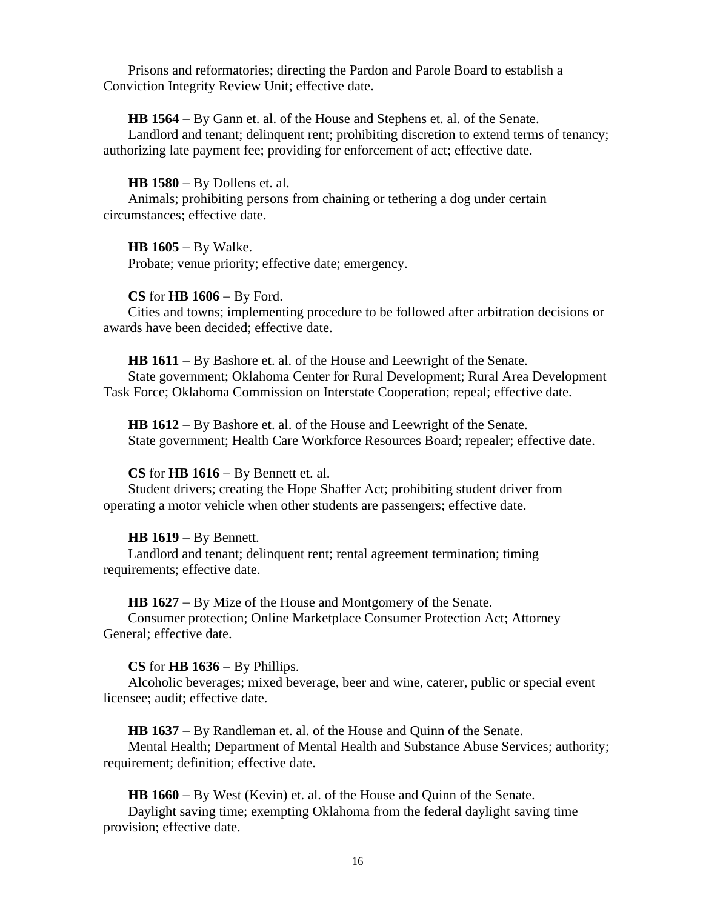Prisons and reformatories; directing the Pardon and Parole Board to establish a Conviction Integrity Review Unit; effective date.

**HB 1564** − By Gann et. al. of the House and Stephens et. al. of the Senate.

Landlord and tenant; delinquent rent; prohibiting discretion to extend terms of tenancy; authorizing late payment fee; providing for enforcement of act; effective date.

**HB 1580** − By Dollens et. al.

Animals; prohibiting persons from chaining or tethering a dog under certain circumstances; effective date.

**HB 1605** − By Walke. Probate; venue priority; effective date; emergency.

### **CS** for **HB 1606** − By Ford.

Cities and towns; implementing procedure to be followed after arbitration decisions or awards have been decided; effective date.

**HB 1611** − By Bashore et. al. of the House and Leewright of the Senate.

State government; Oklahoma Center for Rural Development; Rural Area Development Task Force; Oklahoma Commission on Interstate Cooperation; repeal; effective date.

**HB 1612** − By Bashore et. al. of the House and Leewright of the Senate. State government; Health Care Workforce Resources Board; repealer; effective date.

# **CS** for **HB 1616** − By Bennett et. al.

Student drivers; creating the Hope Shaffer Act; prohibiting student driver from operating a motor vehicle when other students are passengers; effective date.

# **HB 1619** − By Bennett.

Landlord and tenant; delinquent rent; rental agreement termination; timing requirements; effective date.

**HB 1627** − By Mize of the House and Montgomery of the Senate.

Consumer protection; Online Marketplace Consumer Protection Act; Attorney General; effective date.

# **CS** for **HB 1636** − By Phillips.

Alcoholic beverages; mixed beverage, beer and wine, caterer, public or special event licensee; audit; effective date.

**HB 1637** − By Randleman et. al. of the House and Quinn of the Senate.

Mental Health; Department of Mental Health and Substance Abuse Services; authority; requirement; definition; effective date.

**HB 1660** − By West (Kevin) et. al. of the House and Quinn of the Senate.

Daylight saving time; exempting Oklahoma from the federal daylight saving time provision; effective date.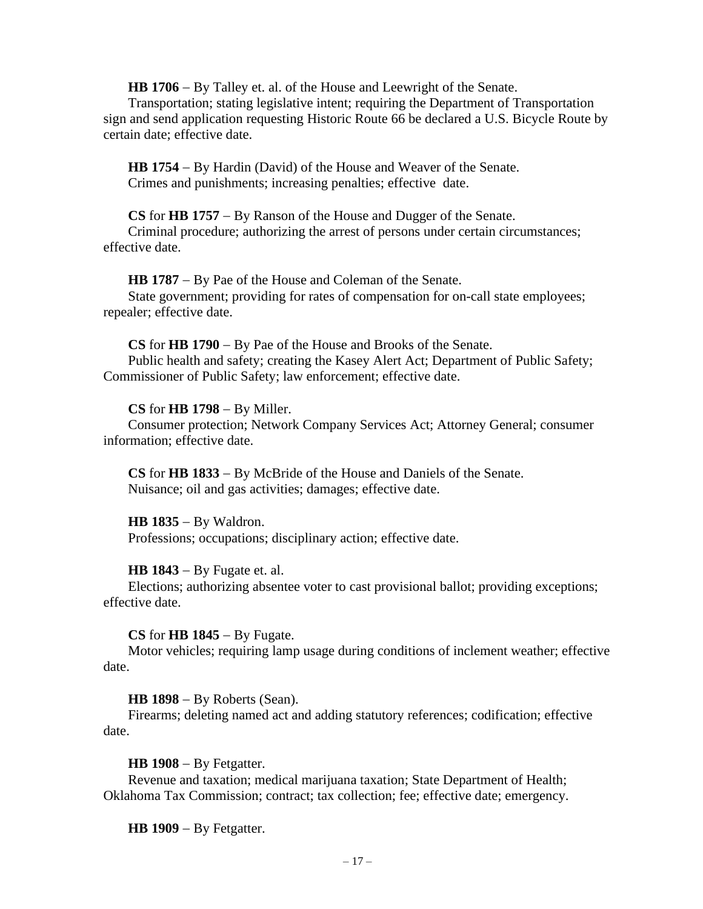**HB 1706** − By Talley et. al. of the House and Leewright of the Senate.

Transportation; stating legislative intent; requiring the Department of Transportation sign and send application requesting Historic Route 66 be declared a U.S. Bicycle Route by certain date; effective date.

**HB 1754** − By Hardin (David) of the House and Weaver of the Senate. Crimes and punishments; increasing penalties; effective date.

**CS** for **HB 1757** − By Ranson of the House and Dugger of the Senate.

Criminal procedure; authorizing the arrest of persons under certain circumstances; effective date.

**HB 1787** − By Pae of the House and Coleman of the Senate. State government; providing for rates of compensation for on-call state employees; repealer; effective date.

**CS** for **HB 1790** − By Pae of the House and Brooks of the Senate. Public health and safety; creating the Kasey Alert Act; Department of Public Safety; Commissioner of Public Safety; law enforcement; effective date.

### **CS** for **HB 1798** − By Miller.

Consumer protection; Network Company Services Act; Attorney General; consumer information; effective date.

**CS** for **HB 1833** − By McBride of the House and Daniels of the Senate. Nuisance; oil and gas activities; damages; effective date.

**HB 1835** − By Waldron.

Professions; occupations; disciplinary action; effective date.

**HB 1843** − By Fugate et. al.

Elections; authorizing absentee voter to cast provisional ballot; providing exceptions; effective date.

**CS** for **HB 1845** − By Fugate.

Motor vehicles; requiring lamp usage during conditions of inclement weather; effective date.

**HB 1898** − By Roberts (Sean).

Firearms; deleting named act and adding statutory references; codification; effective date.

**HB 1908** − By Fetgatter.

Revenue and taxation; medical marijuana taxation; State Department of Health; Oklahoma Tax Commission; contract; tax collection; fee; effective date; emergency.

**HB 1909** − By Fetgatter.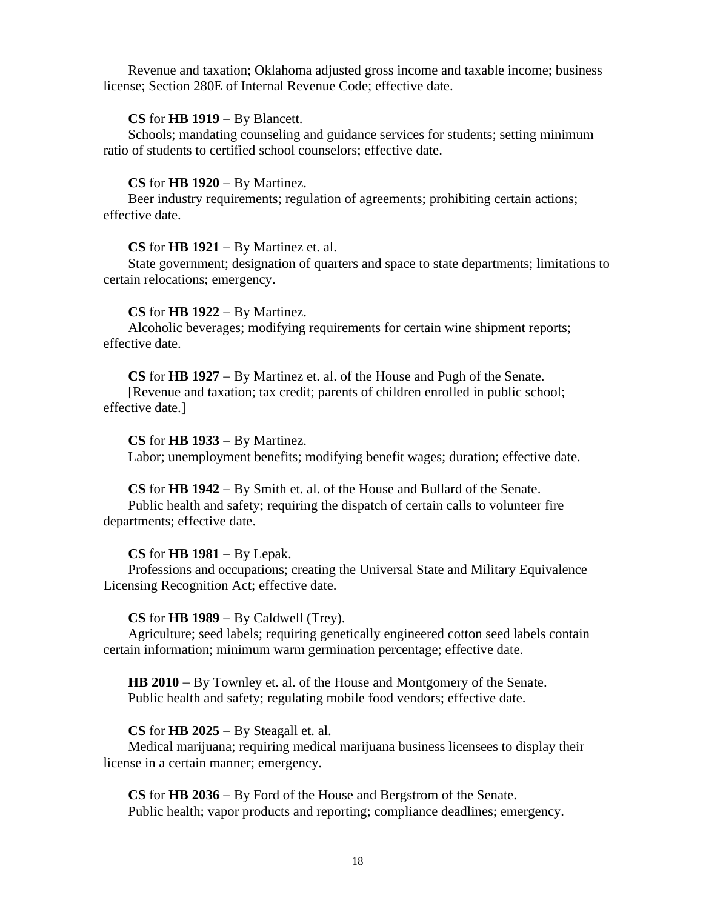Revenue and taxation; Oklahoma adjusted gross income and taxable income; business license; Section 280E of Internal Revenue Code; effective date.

# **CS** for **HB 1919** − By Blancett.

Schools; mandating counseling and guidance services for students; setting minimum ratio of students to certified school counselors; effective date.

# **CS** for **HB 1920** − By Martinez.

Beer industry requirements; regulation of agreements; prohibiting certain actions; effective date.

# **CS** for **HB 1921** − By Martinez et. al.

State government; designation of quarters and space to state departments; limitations to certain relocations; emergency.

# **CS** for **HB 1922** − By Martinez.

Alcoholic beverages; modifying requirements for certain wine shipment reports; effective date.

**CS** for **HB 1927** − By Martinez et. al. of the House and Pugh of the Senate.

[Revenue and taxation; tax credit; parents of children enrolled in public school; effective date.]

# **CS** for **HB 1933** − By Martinez.

Labor; unemployment benefits; modifying benefit wages; duration; effective date.

# **CS** for **HB 1942** − By Smith et. al. of the House and Bullard of the Senate.

Public health and safety; requiring the dispatch of certain calls to volunteer fire departments; effective date.

# **CS** for **HB 1981** − By Lepak.

Professions and occupations; creating the Universal State and Military Equivalence Licensing Recognition Act; effective date.

# **CS** for **HB 1989** − By Caldwell (Trey).

Agriculture; seed labels; requiring genetically engineered cotton seed labels contain certain information; minimum warm germination percentage; effective date.

**HB 2010** − By Townley et. al. of the House and Montgomery of the Senate. Public health and safety; regulating mobile food vendors; effective date.

# **CS** for **HB 2025** − By Steagall et. al.

Medical marijuana; requiring medical marijuana business licensees to display their license in a certain manner; emergency.

**CS** for **HB 2036** − By Ford of the House and Bergstrom of the Senate. Public health; vapor products and reporting; compliance deadlines; emergency.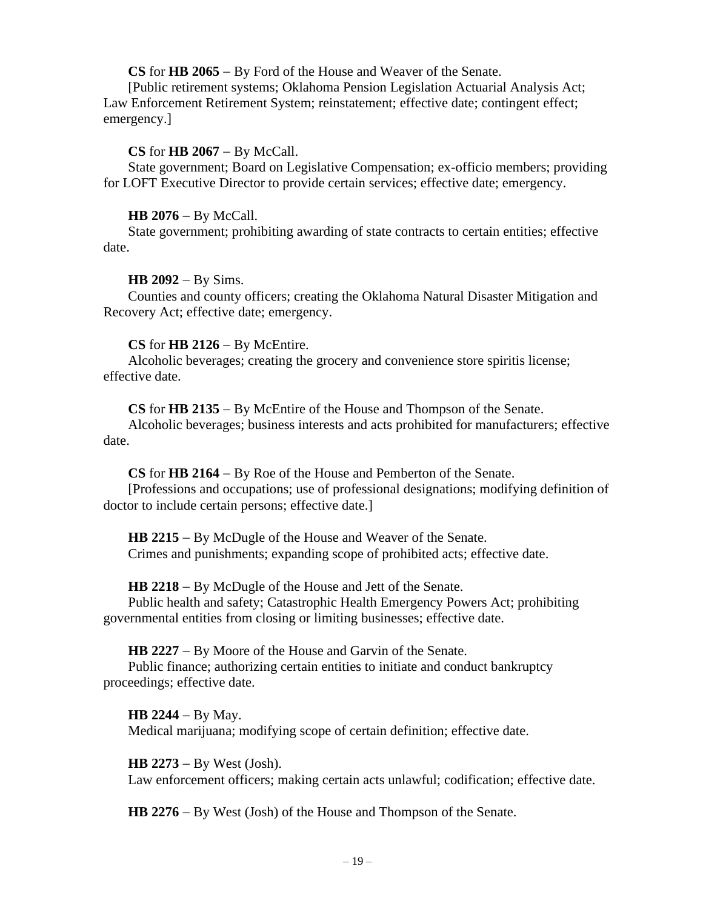**CS** for **HB 2065** − By Ford of the House and Weaver of the Senate.

[Public retirement systems; Oklahoma Pension Legislation Actuarial Analysis Act; Law Enforcement Retirement System; reinstatement; effective date; contingent effect; emergency.]

# **CS** for **HB 2067** − By McCall.

State government; Board on Legislative Compensation; ex-officio members; providing for LOFT Executive Director to provide certain services; effective date; emergency.

# **HB 2076** − By McCall.

State government; prohibiting awarding of state contracts to certain entities; effective date.

# **HB 2092** − By Sims.

Counties and county officers; creating the Oklahoma Natural Disaster Mitigation and Recovery Act; effective date; emergency.

# **CS** for **HB 2126** − By McEntire.

Alcoholic beverages; creating the grocery and convenience store spiritis license; effective date.

**CS** for **HB 2135** − By McEntire of the House and Thompson of the Senate.

Alcoholic beverages; business interests and acts prohibited for manufacturers; effective date.

**CS** for **HB 2164** − By Roe of the House and Pemberton of the Senate.

[Professions and occupations; use of professional designations; modifying definition of doctor to include certain persons; effective date.]

**HB 2215** − By McDugle of the House and Weaver of the Senate. Crimes and punishments; expanding scope of prohibited acts; effective date.

**HB 2218** − By McDugle of the House and Jett of the Senate.

Public health and safety; Catastrophic Health Emergency Powers Act; prohibiting governmental entities from closing or limiting businesses; effective date.

**HB 2227** − By Moore of the House and Garvin of the Senate.

Public finance; authorizing certain entities to initiate and conduct bankruptcy proceedings; effective date.

**HB 2244** − By May. Medical marijuana; modifying scope of certain definition; effective date.

**HB 2273** − By West (Josh). Law enforcement officers; making certain acts unlawful; codification; effective date.

**HB 2276** − By West (Josh) of the House and Thompson of the Senate.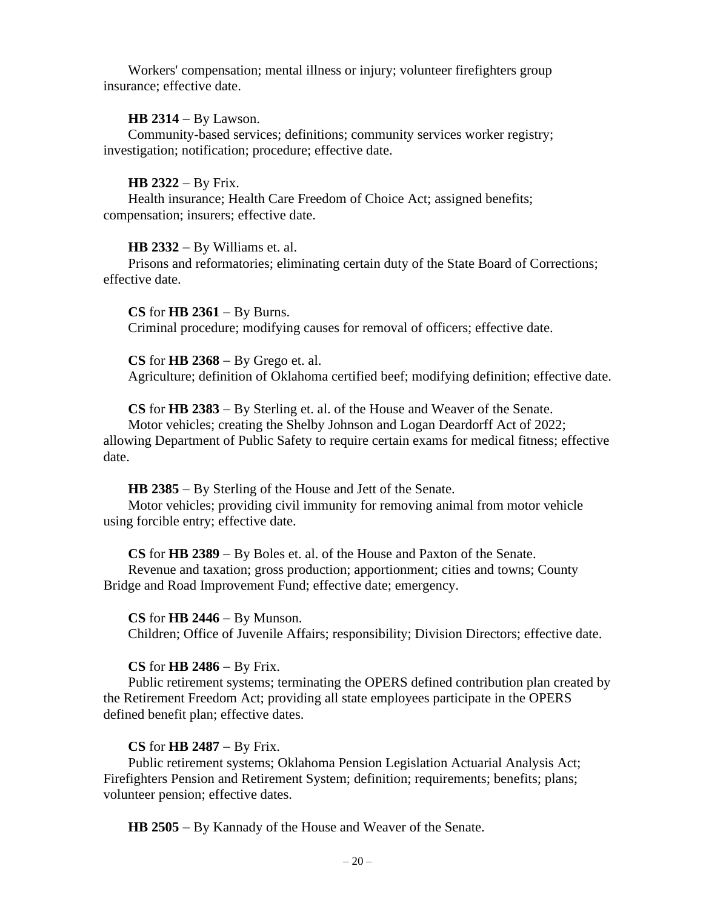Workers' compensation; mental illness or injury; volunteer firefighters group insurance; effective date.

#### **HB 2314** − By Lawson.

Community-based services; definitions; community services worker registry; investigation; notification; procedure; effective date.

### **HB 2322** − By Frix.

Health insurance; Health Care Freedom of Choice Act; assigned benefits; compensation; insurers; effective date.

### **HB 2332** − By Williams et. al.

Prisons and reformatories; eliminating certain duty of the State Board of Corrections; effective date.

**CS** for **HB 2361** − By Burns. Criminal procedure; modifying causes for removal of officers; effective date.

**CS** for **HB 2368** − By Grego et. al. Agriculture; definition of Oklahoma certified beef; modifying definition; effective date.

**CS** for **HB 2383** − By Sterling et. al. of the House and Weaver of the Senate. Motor vehicles; creating the Shelby Johnson and Logan Deardorff Act of 2022;

allowing Department of Public Safety to require certain exams for medical fitness; effective date.

**HB 2385** − By Sterling of the House and Jett of the Senate.

Motor vehicles; providing civil immunity for removing animal from motor vehicle using forcible entry; effective date.

**CS** for **HB 2389** − By Boles et. al. of the House and Paxton of the Senate.

Revenue and taxation; gross production; apportionment; cities and towns; County Bridge and Road Improvement Fund; effective date; emergency.

### **CS** for **HB 2446** − By Munson.

Children; Office of Juvenile Affairs; responsibility; Division Directors; effective date.

# **CS** for **HB 2486** − By Frix.

Public retirement systems; terminating the OPERS defined contribution plan created by the Retirement Freedom Act; providing all state employees participate in the OPERS defined benefit plan; effective dates.

# **CS** for **HB 2487** − By Frix.

Public retirement systems; Oklahoma Pension Legislation Actuarial Analysis Act; Firefighters Pension and Retirement System; definition; requirements; benefits; plans; volunteer pension; effective dates.

**HB 2505** − By Kannady of the House and Weaver of the Senate.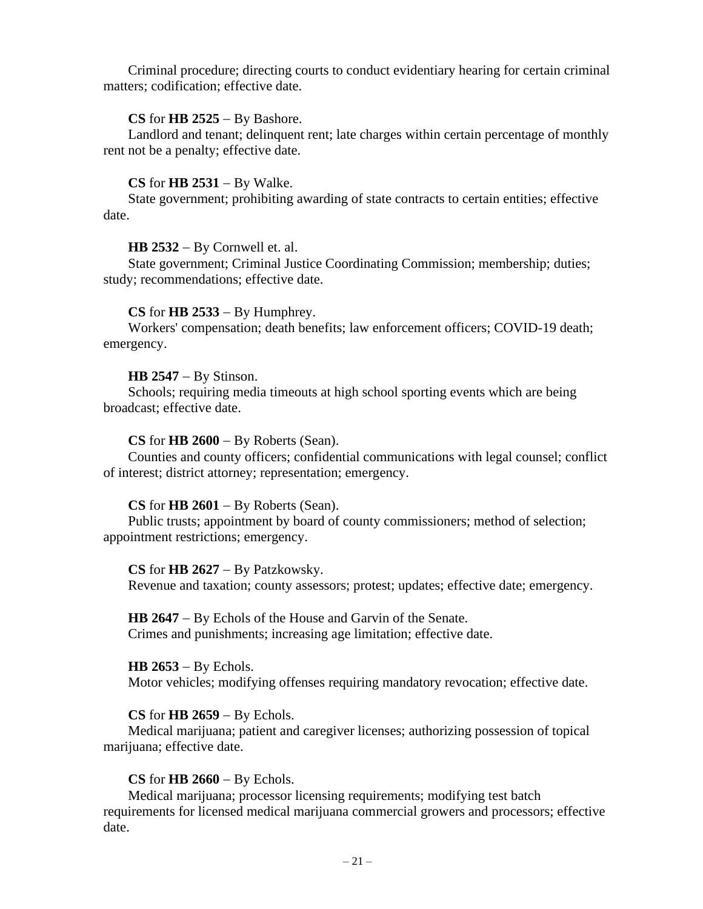Criminal procedure; directing courts to conduct evidentiary hearing for certain criminal matters; codification; effective date.

# **CS** for **HB 2525** − By Bashore.

Landlord and tenant; delinquent rent; late charges within certain percentage of monthly rent not be a penalty; effective date.

# **CS** for **HB 2531** − By Walke.

State government; prohibiting awarding of state contracts to certain entities; effective date.

# **HB 2532** − By Cornwell et. al.

State government; Criminal Justice Coordinating Commission; membership; duties; study; recommendations; effective date.

# **CS** for **HB 2533** − By Humphrey.

Workers' compensation; death benefits; law enforcement officers; COVID-19 death; emergency.

# **HB 2547** − By Stinson.

Schools; requiring media timeouts at high school sporting events which are being broadcast; effective date.

# **CS** for **HB 2600** − By Roberts (Sean).

Counties and county officers; confidential communications with legal counsel; conflict of interest; district attorney; representation; emergency.

# **CS** for **HB 2601** − By Roberts (Sean).

Public trusts; appointment by board of county commissioners; method of selection; appointment restrictions; emergency.

# **CS** for **HB 2627** − By Patzkowsky.

Revenue and taxation; county assessors; protest; updates; effective date; emergency.

**HB 2647** − By Echols of the House and Garvin of the Senate. Crimes and punishments; increasing age limitation; effective date.

# **HB 2653** − By Echols.

Motor vehicles; modifying offenses requiring mandatory revocation; effective date.

# **CS** for **HB 2659** − By Echols.

Medical marijuana; patient and caregiver licenses; authorizing possession of topical marijuana; effective date.

# **CS** for **HB 2660** − By Echols.

Medical marijuana; processor licensing requirements; modifying test batch requirements for licensed medical marijuana commercial growers and processors; effective date.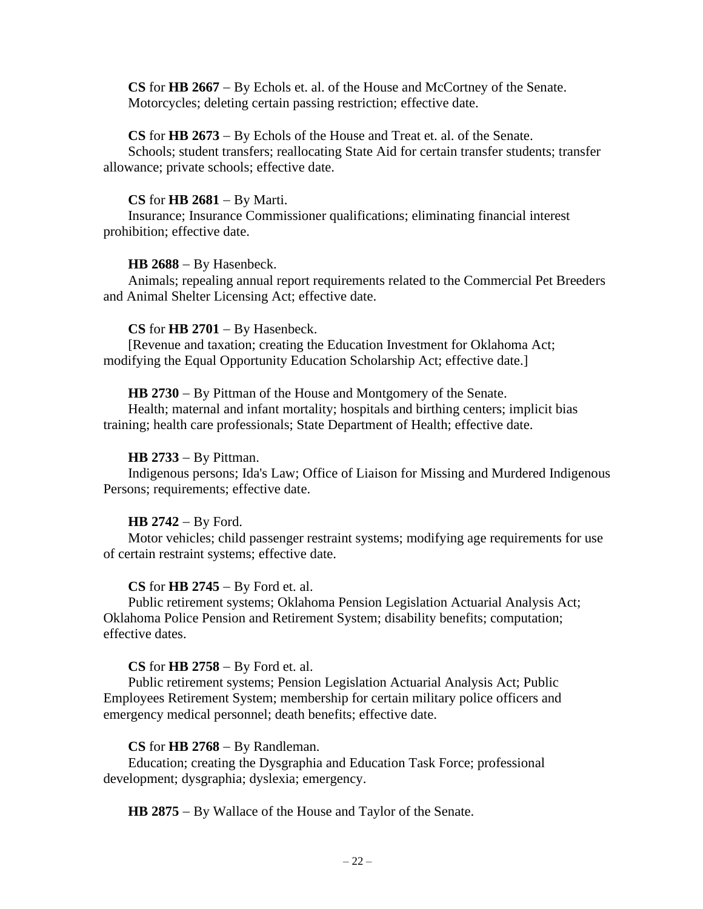**CS** for **HB 2667** − By Echols et. al. of the House and McCortney of the Senate. Motorcycles; deleting certain passing restriction; effective date.

# **CS** for **HB 2673** − By Echols of the House and Treat et. al. of the Senate.

Schools; student transfers; reallocating State Aid for certain transfer students; transfer allowance; private schools; effective date.

### **CS** for **HB 2681** − By Marti.

Insurance; Insurance Commissioner qualifications; eliminating financial interest prohibition; effective date.

### **HB 2688** − By Hasenbeck.

Animals; repealing annual report requirements related to the Commercial Pet Breeders and Animal Shelter Licensing Act; effective date.

### **CS** for **HB 2701** − By Hasenbeck.

[Revenue and taxation; creating the Education Investment for Oklahoma Act; modifying the Equal Opportunity Education Scholarship Act; effective date.]

### **HB 2730** − By Pittman of the House and Montgomery of the Senate.

Health; maternal and infant mortality; hospitals and birthing centers; implicit bias training; health care professionals; State Department of Health; effective date.

### **HB 2733** − By Pittman.

Indigenous persons; Ida's Law; Office of Liaison for Missing and Murdered Indigenous Persons; requirements; effective date.

# **HB 2742** − By Ford.

Motor vehicles; child passenger restraint systems; modifying age requirements for use of certain restraint systems; effective date.

# **CS** for **HB 2745** − By Ford et. al.

Public retirement systems; Oklahoma Pension Legislation Actuarial Analysis Act; Oklahoma Police Pension and Retirement System; disability benefits; computation; effective dates.

#### **CS** for **HB 2758** − By Ford et. al.

Public retirement systems; Pension Legislation Actuarial Analysis Act; Public Employees Retirement System; membership for certain military police officers and emergency medical personnel; death benefits; effective date.

### **CS** for **HB 2768** − By Randleman.

Education; creating the Dysgraphia and Education Task Force; professional development; dysgraphia; dyslexia; emergency.

**HB 2875** − By Wallace of the House and Taylor of the Senate.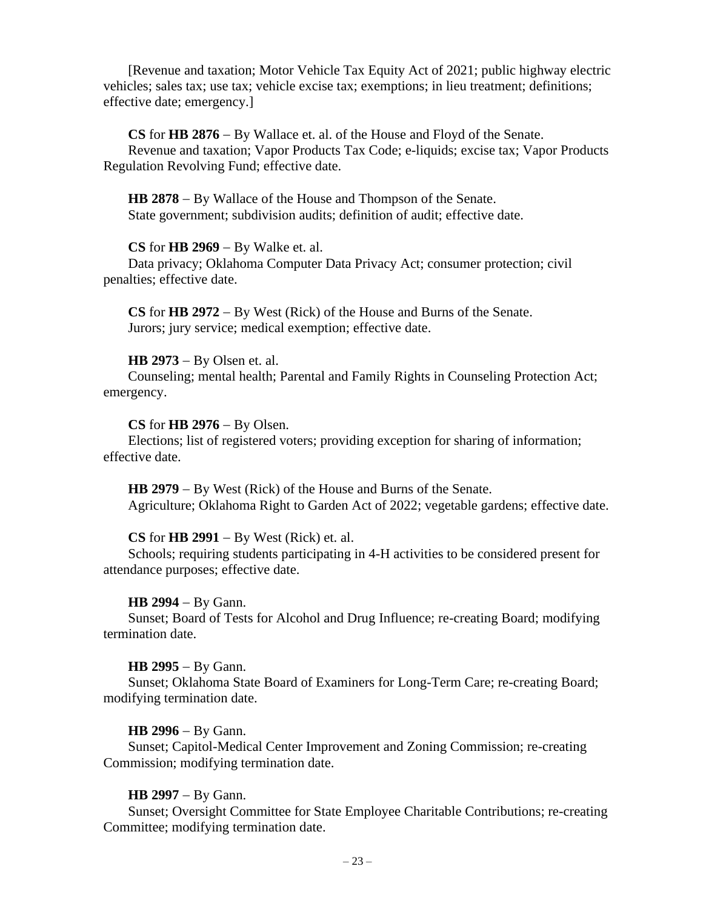[Revenue and taxation; Motor Vehicle Tax Equity Act of 2021; public highway electric vehicles; sales tax; use tax; vehicle excise tax; exemptions; in lieu treatment; definitions; effective date; emergency.]

**CS** for **HB 2876** − By Wallace et. al. of the House and Floyd of the Senate. Revenue and taxation; Vapor Products Tax Code; e-liquids; excise tax; Vapor Products Regulation Revolving Fund; effective date.

**HB 2878** − By Wallace of the House and Thompson of the Senate. State government; subdivision audits; definition of audit; effective date.

# **CS** for **HB 2969** − By Walke et. al.

Data privacy; Oklahoma Computer Data Privacy Act; consumer protection; civil penalties; effective date.

**CS** for **HB 2972** − By West (Rick) of the House and Burns of the Senate. Jurors; jury service; medical exemption; effective date.

### **HB 2973** − By Olsen et. al.

Counseling; mental health; Parental and Family Rights in Counseling Protection Act; emergency.

### **CS** for **HB 2976** − By Olsen.

Elections; list of registered voters; providing exception for sharing of information; effective date.

**HB 2979** − By West (Rick) of the House and Burns of the Senate. Agriculture; Oklahoma Right to Garden Act of 2022; vegetable gardens; effective date.

# **CS** for **HB 2991** − By West (Rick) et. al.

Schools; requiring students participating in 4-H activities to be considered present for attendance purposes; effective date.

#### **HB 2994** − By Gann.

Sunset; Board of Tests for Alcohol and Drug Influence; re-creating Board; modifying termination date.

#### **HB 2995** − By Gann.

Sunset; Oklahoma State Board of Examiners for Long-Term Care; re-creating Board; modifying termination date.

#### **HB 2996** − By Gann.

Sunset; Capitol-Medical Center Improvement and Zoning Commission; re-creating Commission; modifying termination date.

### **HB 2997** − By Gann.

Sunset; Oversight Committee for State Employee Charitable Contributions; re-creating Committee; modifying termination date.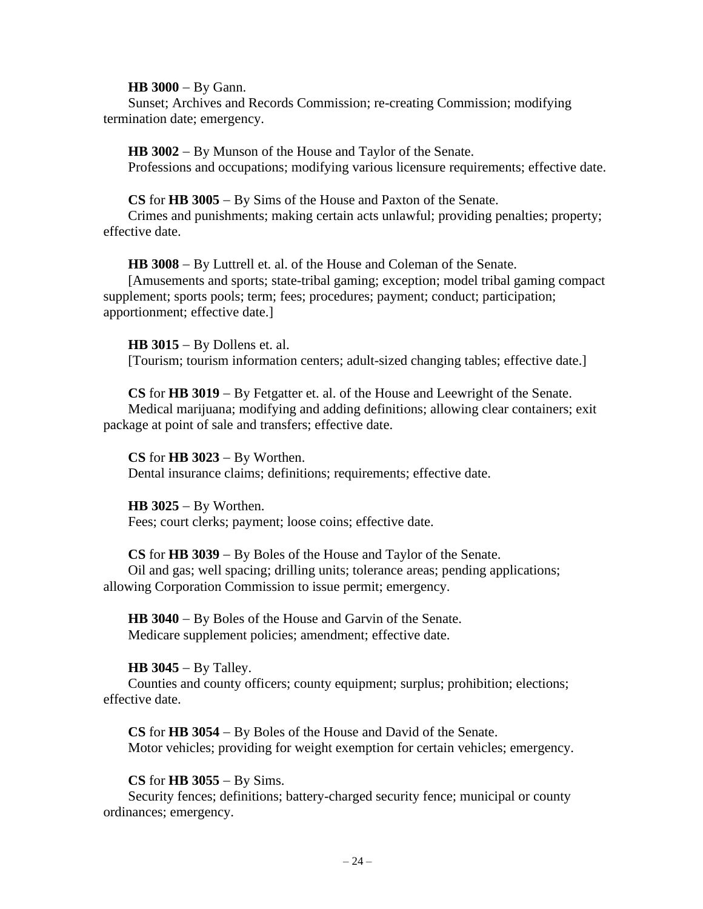**HB 3000** − By Gann.

Sunset; Archives and Records Commission; re-creating Commission; modifying termination date; emergency.

**HB 3002** − By Munson of the House and Taylor of the Senate. Professions and occupations; modifying various licensure requirements; effective date.

**CS** for **HB 3005** − By Sims of the House and Paxton of the Senate.

Crimes and punishments; making certain acts unlawful; providing penalties; property; effective date.

**HB 3008** − By Luttrell et. al. of the House and Coleman of the Senate. [Amusements and sports; state-tribal gaming; exception; model tribal gaming compact supplement; sports pools; term; fees; procedures; payment; conduct; participation; apportionment; effective date.]

**HB 3015** − By Dollens et. al. [Tourism; tourism information centers; adult-sized changing tables; effective date.]

**CS** for **HB 3019** − By Fetgatter et. al. of the House and Leewright of the Senate. Medical marijuana; modifying and adding definitions; allowing clear containers; exit package at point of sale and transfers; effective date.

**CS** for **HB 3023** − By Worthen. Dental insurance claims; definitions; requirements; effective date.

**HB 3025** − By Worthen. Fees; court clerks; payment; loose coins; effective date.

**CS** for **HB 3039** − By Boles of the House and Taylor of the Senate. Oil and gas; well spacing; drilling units; tolerance areas; pending applications; allowing Corporation Commission to issue permit; emergency.

**HB 3040** − By Boles of the House and Garvin of the Senate. Medicare supplement policies; amendment; effective date.

# **HB 3045** − By Talley.

Counties and county officers; county equipment; surplus; prohibition; elections; effective date.

**CS** for **HB 3054** − By Boles of the House and David of the Senate. Motor vehicles; providing for weight exemption for certain vehicles; emergency.

# **CS** for **HB 3055** − By Sims.

Security fences; definitions; battery-charged security fence; municipal or county ordinances; emergency.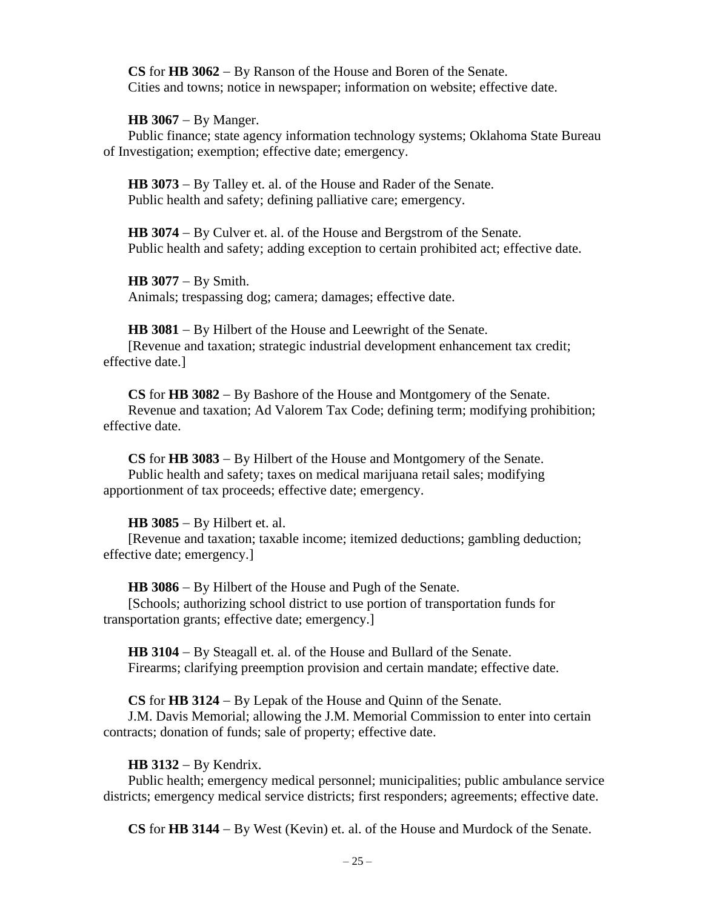**CS** for **HB 3062** − By Ranson of the House and Boren of the Senate. Cities and towns; notice in newspaper; information on website; effective date.

**HB 3067** − By Manger.

Public finance; state agency information technology systems; Oklahoma State Bureau of Investigation; exemption; effective date; emergency.

**HB 3073** − By Talley et. al. of the House and Rader of the Senate. Public health and safety; defining palliative care; emergency.

**HB 3074** − By Culver et. al. of the House and Bergstrom of the Senate. Public health and safety; adding exception to certain prohibited act; effective date.

**HB 3077** − By Smith. Animals; trespassing dog; camera; damages; effective date.

**HB 3081** − By Hilbert of the House and Leewright of the Senate. [Revenue and taxation; strategic industrial development enhancement tax credit; effective date.]

**CS** for **HB 3082** − By Bashore of the House and Montgomery of the Senate. Revenue and taxation; Ad Valorem Tax Code; defining term; modifying prohibition; effective date.

**CS** for **HB 3083** − By Hilbert of the House and Montgomery of the Senate. Public health and safety; taxes on medical marijuana retail sales; modifying apportionment of tax proceeds; effective date; emergency.

**HB 3085** − By Hilbert et. al.

[Revenue and taxation; taxable income; itemized deductions; gambling deduction; effective date; emergency.]

**HB 3086** − By Hilbert of the House and Pugh of the Senate.

[Schools; authorizing school district to use portion of transportation funds for transportation grants; effective date; emergency.]

**HB 3104** − By Steagall et. al. of the House and Bullard of the Senate. Firearms; clarifying preemption provision and certain mandate; effective date.

**CS** for **HB 3124** − By Lepak of the House and Quinn of the Senate.

J.M. Davis Memorial; allowing the J.M. Memorial Commission to enter into certain contracts; donation of funds; sale of property; effective date.

# **HB 3132** − By Kendrix.

Public health; emergency medical personnel; municipalities; public ambulance service districts; emergency medical service districts; first responders; agreements; effective date.

**CS** for **HB 3144** − By West (Kevin) et. al. of the House and Murdock of the Senate.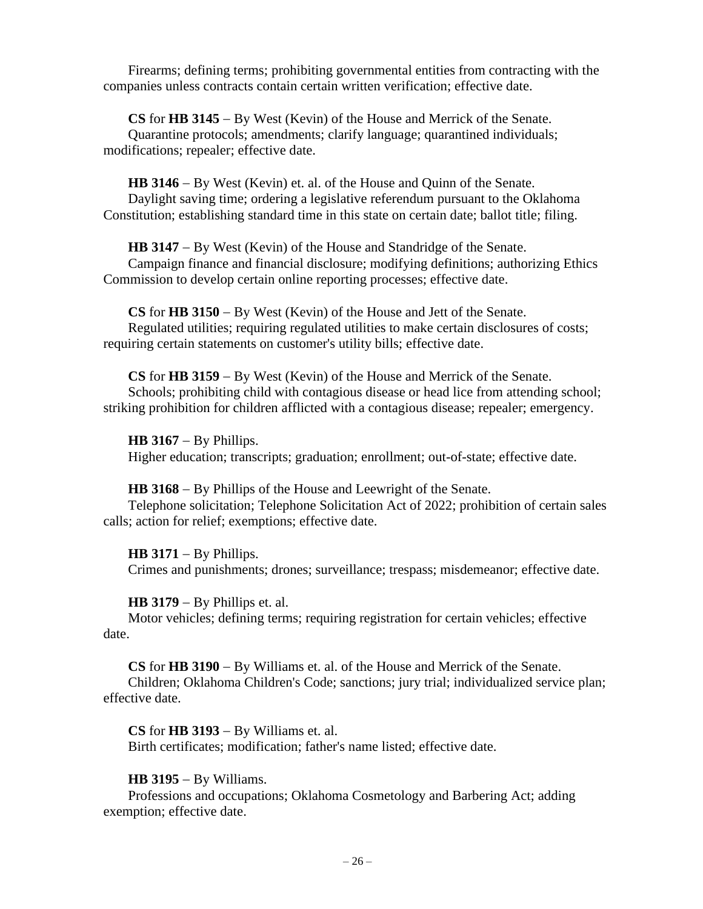Firearms; defining terms; prohibiting governmental entities from contracting with the companies unless contracts contain certain written verification; effective date.

**CS** for **HB 3145** − By West (Kevin) of the House and Merrick of the Senate. Quarantine protocols; amendments; clarify language; quarantined individuals; modifications; repealer; effective date.

**HB 3146** − By West (Kevin) et. al. of the House and Quinn of the Senate. Daylight saving time; ordering a legislative referendum pursuant to the Oklahoma Constitution; establishing standard time in this state on certain date; ballot title; filing.

**HB 3147** − By West (Kevin) of the House and Standridge of the Senate. Campaign finance and financial disclosure; modifying definitions; authorizing Ethics Commission to develop certain online reporting processes; effective date.

**CS** for **HB 3150** − By West (Kevin) of the House and Jett of the Senate. Regulated utilities; requiring regulated utilities to make certain disclosures of costs; requiring certain statements on customer's utility bills; effective date.

**CS** for **HB 3159** − By West (Kevin) of the House and Merrick of the Senate. Schools; prohibiting child with contagious disease or head lice from attending school; striking prohibition for children afflicted with a contagious disease; repealer; emergency.

**HB 3167** − By Phillips. Higher education; transcripts; graduation; enrollment; out-of-state; effective date.

**HB 3168** − By Phillips of the House and Leewright of the Senate. Telephone solicitation; Telephone Solicitation Act of 2022; prohibition of certain sales calls; action for relief; exemptions; effective date.

**HB 3171** − By Phillips.

Crimes and punishments; drones; surveillance; trespass; misdemeanor; effective date.

**HB 3179** − By Phillips et. al.

Motor vehicles; defining terms; requiring registration for certain vehicles; effective date.

**CS** for **HB 3190** − By Williams et. al. of the House and Merrick of the Senate. Children; Oklahoma Children's Code; sanctions; jury trial; individualized service plan; effective date.

**CS** for **HB 3193** − By Williams et. al. Birth certificates; modification; father's name listed; effective date.

**HB 3195** − By Williams.

Professions and occupations; Oklahoma Cosmetology and Barbering Act; adding exemption; effective date.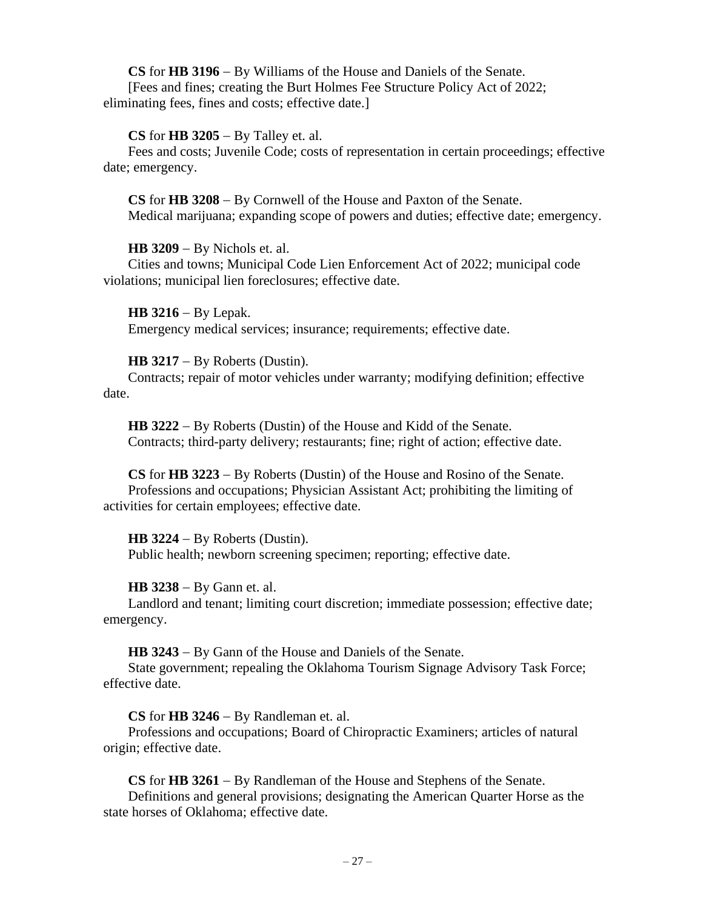**CS** for **HB 3196** − By Williams of the House and Daniels of the Senate. [Fees and fines; creating the Burt Holmes Fee Structure Policy Act of 2022; eliminating fees, fines and costs; effective date.]

# **CS** for **HB 3205** − By Talley et. al.

Fees and costs; Juvenile Code; costs of representation in certain proceedings; effective date; emergency.

**CS** for **HB 3208** − By Cornwell of the House and Paxton of the Senate. Medical marijuana; expanding scope of powers and duties; effective date; emergency.

# **HB 3209** − By Nichols et. al.

Cities and towns; Municipal Code Lien Enforcement Act of 2022; municipal code violations; municipal lien foreclosures; effective date.

**HB 3216** − By Lepak. Emergency medical services; insurance; requirements; effective date.

# **HB 3217** − By Roberts (Dustin).

Contracts; repair of motor vehicles under warranty; modifying definition; effective date.

**HB 3222** − By Roberts (Dustin) of the House and Kidd of the Senate. Contracts; third-party delivery; restaurants; fine; right of action; effective date.

**CS** for **HB 3223** − By Roberts (Dustin) of the House and Rosino of the Senate. Professions and occupations; Physician Assistant Act; prohibiting the limiting of activities for certain employees; effective date.

# **HB 3224** − By Roberts (Dustin).

Public health; newborn screening specimen; reporting; effective date.

# **HB 3238** − By Gann et. al.

Landlord and tenant; limiting court discretion; immediate possession; effective date; emergency.

**HB 3243** − By Gann of the House and Daniels of the Senate.

State government; repealing the Oklahoma Tourism Signage Advisory Task Force; effective date.

**CS** for **HB 3246** − By Randleman et. al.

Professions and occupations; Board of Chiropractic Examiners; articles of natural origin; effective date.

**CS** for **HB 3261** − By Randleman of the House and Stephens of the Senate.

Definitions and general provisions; designating the American Quarter Horse as the state horses of Oklahoma; effective date.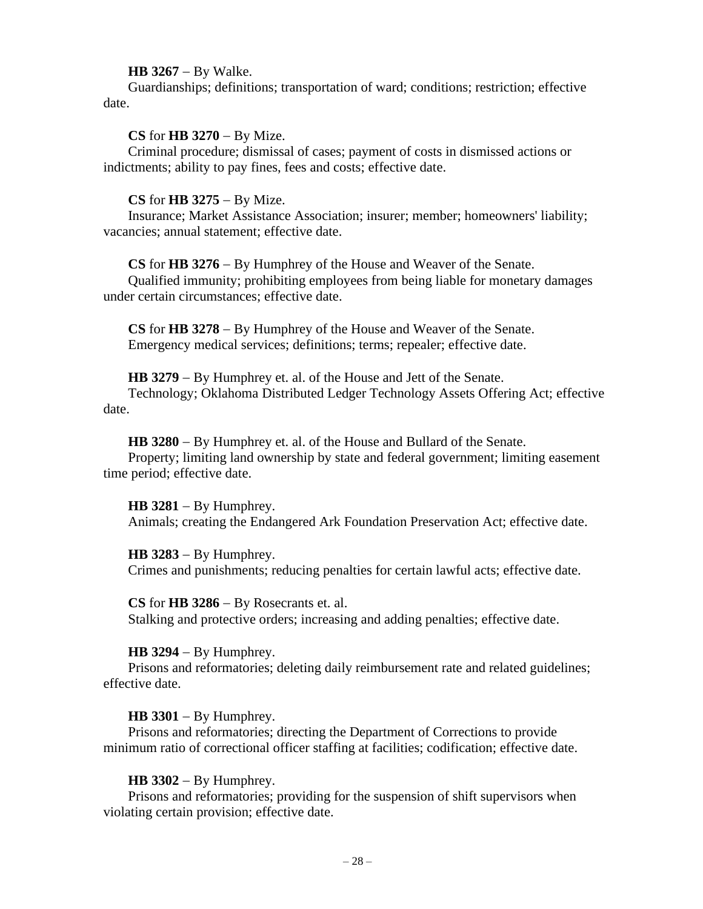### **HB 3267** − By Walke.

Guardianships; definitions; transportation of ward; conditions; restriction; effective date.

### **CS** for **HB 3270** − By Mize.

Criminal procedure; dismissal of cases; payment of costs in dismissed actions or indictments; ability to pay fines, fees and costs; effective date.

### **CS** for **HB 3275** − By Mize.

Insurance; Market Assistance Association; insurer; member; homeowners' liability; vacancies; annual statement; effective date.

**CS** for **HB 3276** − By Humphrey of the House and Weaver of the Senate.

Qualified immunity; prohibiting employees from being liable for monetary damages under certain circumstances; effective date.

**CS** for **HB 3278** − By Humphrey of the House and Weaver of the Senate. Emergency medical services; definitions; terms; repealer; effective date.

**HB 3279** − By Humphrey et. al. of the House and Jett of the Senate.

Technology; Oklahoma Distributed Ledger Technology Assets Offering Act; effective date.

**HB 3280** − By Humphrey et. al. of the House and Bullard of the Senate.

Property; limiting land ownership by state and federal government; limiting easement time period; effective date.

**HB 3281** − By Humphrey.

Animals; creating the Endangered Ark Foundation Preservation Act; effective date.

**HB 3283** − By Humphrey.

Crimes and punishments; reducing penalties for certain lawful acts; effective date.

**CS** for **HB 3286** − By Rosecrants et. al. Stalking and protective orders; increasing and adding penalties; effective date.

# **HB 3294** − By Humphrey.

Prisons and reformatories; deleting daily reimbursement rate and related guidelines; effective date.

# **HB 3301** − By Humphrey.

Prisons and reformatories; directing the Department of Corrections to provide minimum ratio of correctional officer staffing at facilities; codification; effective date.

# **HB 3302** − By Humphrey.

Prisons and reformatories; providing for the suspension of shift supervisors when violating certain provision; effective date.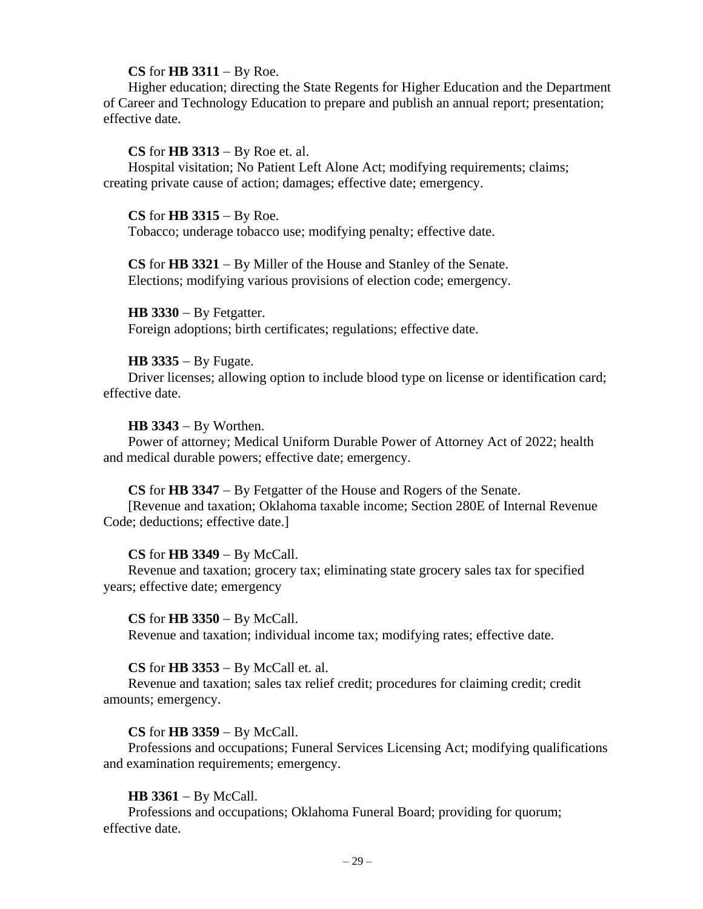### **CS** for **HB 3311** − By Roe.

Higher education; directing the State Regents for Higher Education and the Department of Career and Technology Education to prepare and publish an annual report; presentation; effective date.

# **CS** for **HB 3313** − By Roe et. al.

Hospital visitation; No Patient Left Alone Act; modifying requirements; claims; creating private cause of action; damages; effective date; emergency.

### **CS** for **HB 3315** − By Roe.

Tobacco; underage tobacco use; modifying penalty; effective date.

**CS** for **HB 3321** − By Miller of the House and Stanley of the Senate. Elections; modifying various provisions of election code; emergency.

**HB 3330** − By Fetgatter. Foreign adoptions; birth certificates; regulations; effective date.

### **HB 3335** − By Fugate.

Driver licenses; allowing option to include blood type on license or identification card; effective date.

### **HB 3343** − By Worthen.

Power of attorney; Medical Uniform Durable Power of Attorney Act of 2022; health and medical durable powers; effective date; emergency.

#### **CS** for **HB 3347** − By Fetgatter of the House and Rogers of the Senate.

[Revenue and taxation; Oklahoma taxable income; Section 280E of Internal Revenue Code; deductions; effective date.]

# **CS** for **HB 3349** − By McCall.

Revenue and taxation; grocery tax; eliminating state grocery sales tax for specified years; effective date; emergency

### **CS** for **HB 3350** − By McCall.

Revenue and taxation; individual income tax; modifying rates; effective date.

### **CS** for **HB 3353** − By McCall et. al.

Revenue and taxation; sales tax relief credit; procedures for claiming credit; credit amounts; emergency.

### **CS** for **HB 3359** − By McCall.

Professions and occupations; Funeral Services Licensing Act; modifying qualifications and examination requirements; emergency.

# **HB 3361** − By McCall.

Professions and occupations; Oklahoma Funeral Board; providing for quorum; effective date.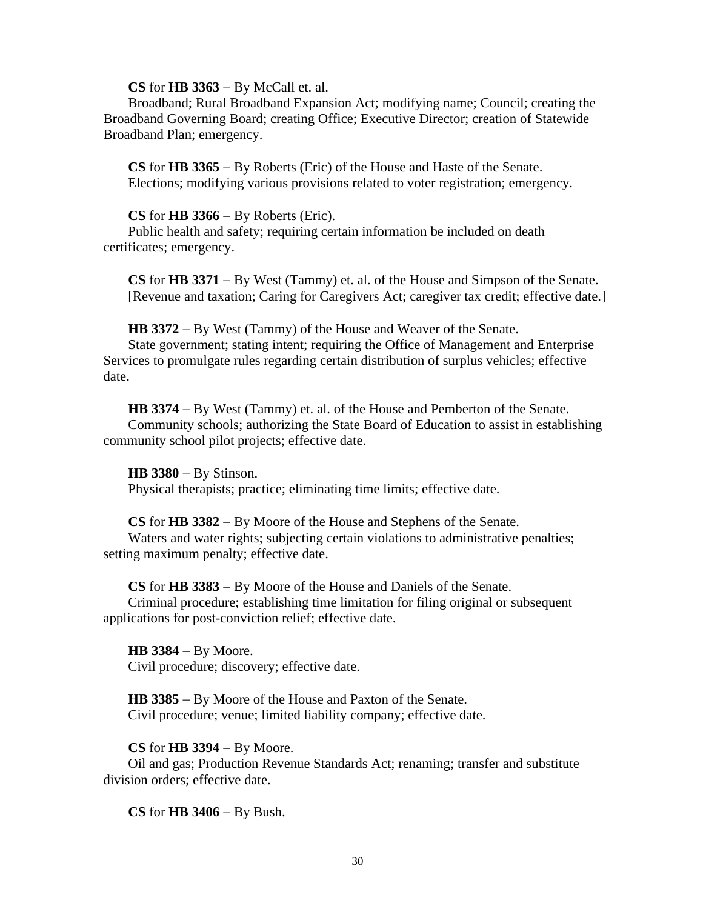**CS** for **HB 3363** − By McCall et. al.

Broadband; Rural Broadband Expansion Act; modifying name; Council; creating the Broadband Governing Board; creating Office; Executive Director; creation of Statewide Broadband Plan; emergency.

**CS** for **HB 3365** − By Roberts (Eric) of the House and Haste of the Senate. Elections; modifying various provisions related to voter registration; emergency.

# **CS** for **HB 3366** − By Roberts (Eric).

Public health and safety; requiring certain information be included on death certificates; emergency.

**CS** for **HB 3371** − By West (Tammy) et. al. of the House and Simpson of the Senate. [Revenue and taxation; Caring for Caregivers Act; caregiver tax credit; effective date.]

**HB 3372** − By West (Tammy) of the House and Weaver of the Senate.

State government; stating intent; requiring the Office of Management and Enterprise Services to promulgate rules regarding certain distribution of surplus vehicles; effective date.

**HB 3374** − By West (Tammy) et. al. of the House and Pemberton of the Senate. Community schools; authorizing the State Board of Education to assist in establishing community school pilot projects; effective date.

**HB 3380** − By Stinson.

Physical therapists; practice; eliminating time limits; effective date.

**CS** for **HB 3382** − By Moore of the House and Stephens of the Senate.

Waters and water rights; subjecting certain violations to administrative penalties; setting maximum penalty; effective date.

**CS** for **HB 3383** − By Moore of the House and Daniels of the Senate.

Criminal procedure; establishing time limitation for filing original or subsequent applications for post-conviction relief; effective date.

**HB 3384** − By Moore. Civil procedure; discovery; effective date.

**HB 3385** − By Moore of the House and Paxton of the Senate. Civil procedure; venue; limited liability company; effective date.

# **CS** for **HB 3394** − By Moore.

Oil and gas; Production Revenue Standards Act; renaming; transfer and substitute division orders; effective date.

**CS** for **HB 3406** − By Bush.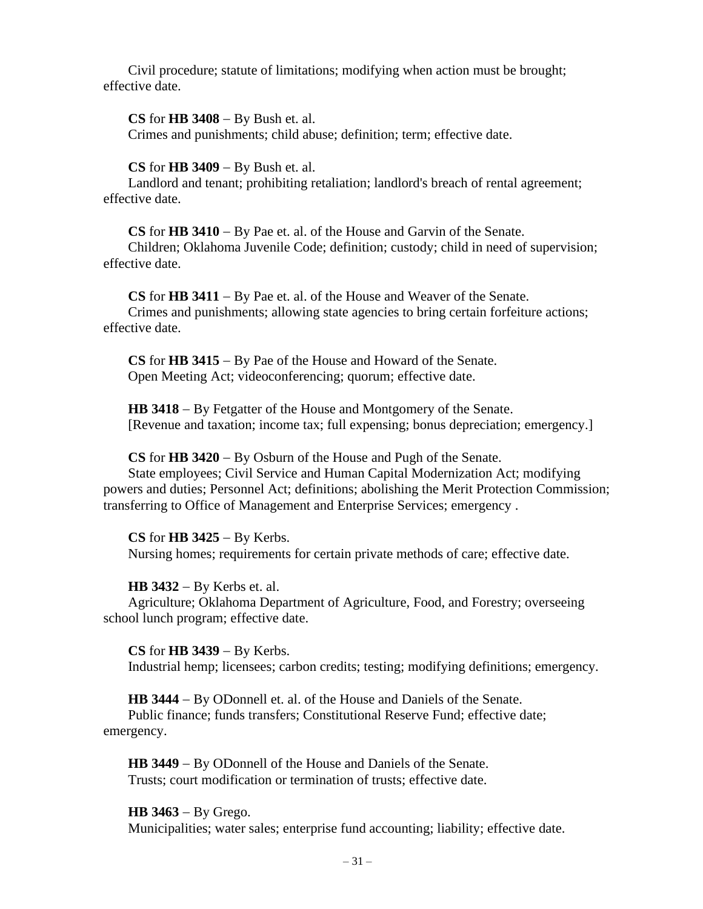Civil procedure; statute of limitations; modifying when action must be brought; effective date.

**CS** for **HB 3408** − By Bush et. al.

Crimes and punishments; child abuse; definition; term; effective date.

**CS** for **HB 3409** − By Bush et. al.

Landlord and tenant; prohibiting retaliation; landlord's breach of rental agreement; effective date.

**CS** for **HB 3410** − By Pae et. al. of the House and Garvin of the Senate.

Children; Oklahoma Juvenile Code; definition; custody; child in need of supervision; effective date.

**CS** for **HB 3411** − By Pae et. al. of the House and Weaver of the Senate. Crimes and punishments; allowing state agencies to bring certain forfeiture actions; effective date.

**CS** for **HB 3415** − By Pae of the House and Howard of the Senate. Open Meeting Act; videoconferencing; quorum; effective date.

**HB 3418** − By Fetgatter of the House and Montgomery of the Senate. [Revenue and taxation; income tax; full expensing; bonus depreciation; emergency.]

**CS** for **HB 3420** − By Osburn of the House and Pugh of the Senate.

State employees; Civil Service and Human Capital Modernization Act; modifying powers and duties; Personnel Act; definitions; abolishing the Merit Protection Commission; transferring to Office of Management and Enterprise Services; emergency .

**CS** for **HB 3425** − By Kerbs.

Nursing homes; requirements for certain private methods of care; effective date.

### **HB 3432** − By Kerbs et. al.

Agriculture; Oklahoma Department of Agriculture, Food, and Forestry; overseeing school lunch program; effective date.

**CS** for **HB 3439** − By Kerbs. Industrial hemp; licensees; carbon credits; testing; modifying definitions; emergency.

**HB 3444** − By ODonnell et. al. of the House and Daniels of the Senate. Public finance; funds transfers; Constitutional Reserve Fund; effective date; emergency.

**HB 3449** − By ODonnell of the House and Daniels of the Senate. Trusts; court modification or termination of trusts; effective date.

# **HB 3463** − By Grego.

Municipalities; water sales; enterprise fund accounting; liability; effective date.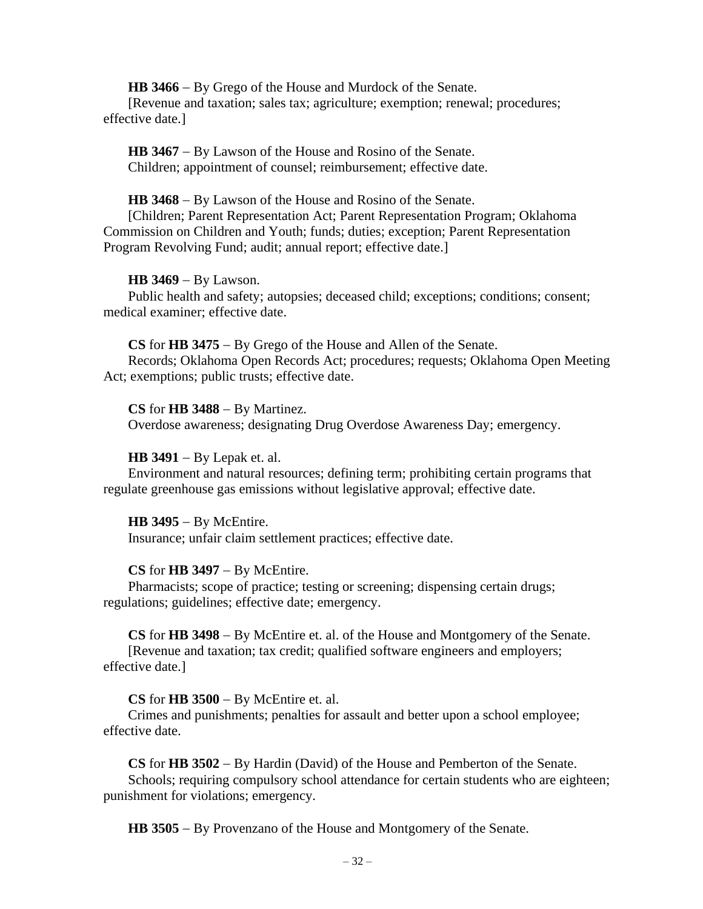**HB 3466** − By Grego of the House and Murdock of the Senate.

[Revenue and taxation; sales tax; agriculture; exemption; renewal; procedures; effective date.]

**HB 3467** − By Lawson of the House and Rosino of the Senate. Children; appointment of counsel; reimbursement; effective date.

### **HB 3468** − By Lawson of the House and Rosino of the Senate.

[Children; Parent Representation Act; Parent Representation Program; Oklahoma Commission on Children and Youth; funds; duties; exception; Parent Representation Program Revolving Fund; audit; annual report; effective date.]

### **HB 3469** − By Lawson.

Public health and safety; autopsies; deceased child; exceptions; conditions; consent; medical examiner; effective date.

#### **CS** for **HB 3475** − By Grego of the House and Allen of the Senate.

Records; Oklahoma Open Records Act; procedures; requests; Oklahoma Open Meeting Act; exemptions; public trusts; effective date.

### **CS** for **HB 3488** − By Martinez.

Overdose awareness; designating Drug Overdose Awareness Day; emergency.

### **HB 3491** − By Lepak et. al.

Environment and natural resources; defining term; prohibiting certain programs that regulate greenhouse gas emissions without legislative approval; effective date.

#### **HB 3495** − By McEntire.

Insurance; unfair claim settlement practices; effective date.

# **CS** for **HB 3497** − By McEntire.

Pharmacists; scope of practice; testing or screening; dispensing certain drugs; regulations; guidelines; effective date; emergency.

**CS** for **HB 3498** − By McEntire et. al. of the House and Montgomery of the Senate. [Revenue and taxation; tax credit; qualified software engineers and employers; effective date.]

# **CS** for **HB 3500** − By McEntire et. al.

Crimes and punishments; penalties for assault and better upon a school employee; effective date.

**CS** for **HB 3502** − By Hardin (David) of the House and Pemberton of the Senate. Schools; requiring compulsory school attendance for certain students who are eighteen; punishment for violations; emergency.

**HB 3505** − By Provenzano of the House and Montgomery of the Senate.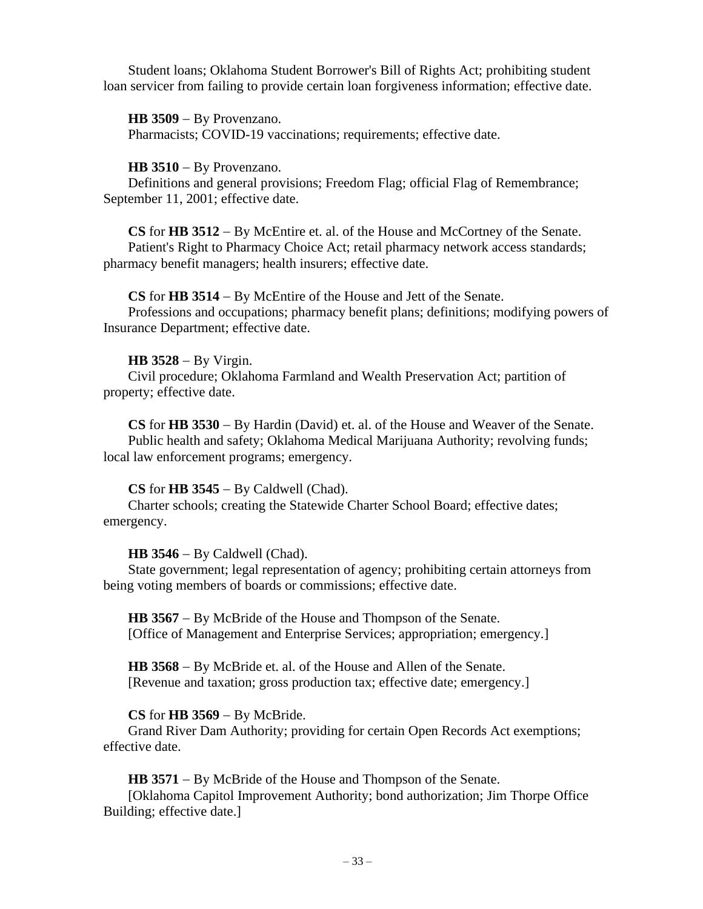Student loans; Oklahoma Student Borrower's Bill of Rights Act; prohibiting student loan servicer from failing to provide certain loan forgiveness information; effective date.

**HB 3509** − By Provenzano. Pharmacists; COVID-19 vaccinations; requirements; effective date.

# **HB 3510** − By Provenzano.

Definitions and general provisions; Freedom Flag; official Flag of Remembrance; September 11, 2001; effective date.

**CS** for **HB 3512** − By McEntire et. al. of the House and McCortney of the Senate. Patient's Right to Pharmacy Choice Act; retail pharmacy network access standards; pharmacy benefit managers; health insurers; effective date.

# **CS** for **HB 3514** − By McEntire of the House and Jett of the Senate.

Professions and occupations; pharmacy benefit plans; definitions; modifying powers of Insurance Department; effective date.

# **HB 3528** − By Virgin.

Civil procedure; Oklahoma Farmland and Wealth Preservation Act; partition of property; effective date.

**CS** for **HB 3530** − By Hardin (David) et. al. of the House and Weaver of the Senate. Public health and safety; Oklahoma Medical Marijuana Authority; revolving funds; local law enforcement programs; emergency.

# **CS** for **HB 3545** − By Caldwell (Chad).

Charter schools; creating the Statewide Charter School Board; effective dates; emergency.

# **HB 3546** − By Caldwell (Chad).

State government; legal representation of agency; prohibiting certain attorneys from being voting members of boards or commissions; effective date.

**HB 3567** − By McBride of the House and Thompson of the Senate. [Office of Management and Enterprise Services; appropriation; emergency.]

**HB 3568** − By McBride et. al. of the House and Allen of the Senate. [Revenue and taxation; gross production tax; effective date; emergency.]

# **CS** for **HB 3569** − By McBride.

Grand River Dam Authority; providing for certain Open Records Act exemptions; effective date.

**HB 3571** − By McBride of the House and Thompson of the Senate.

[Oklahoma Capitol Improvement Authority; bond authorization; Jim Thorpe Office Building; effective date.]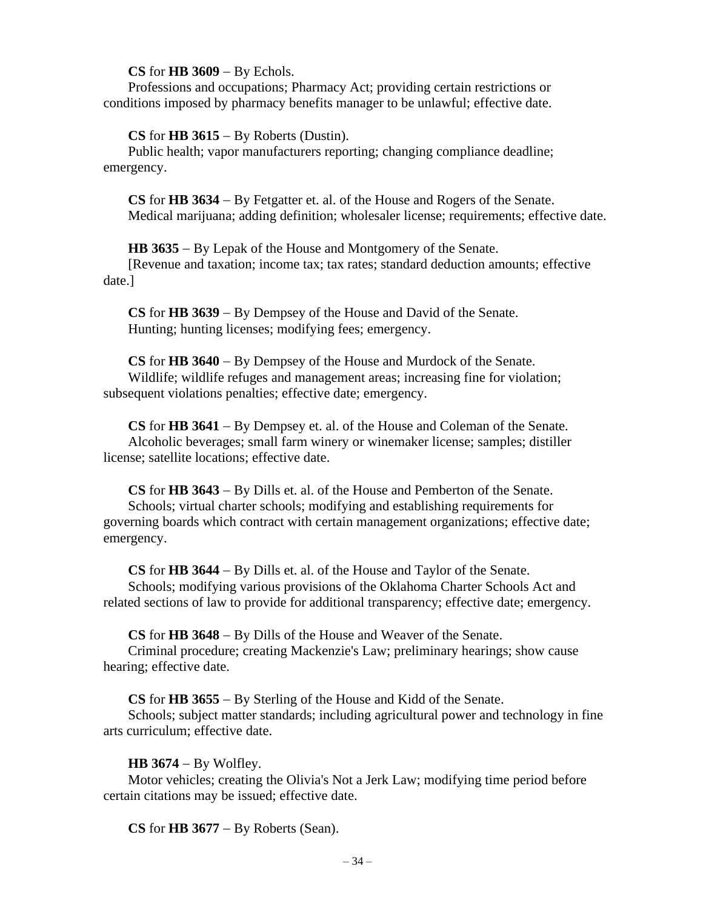### **CS** for **HB 3609** − By Echols.

Professions and occupations; Pharmacy Act; providing certain restrictions or conditions imposed by pharmacy benefits manager to be unlawful; effective date.

# **CS** for **HB 3615** − By Roberts (Dustin).

Public health; vapor manufacturers reporting; changing compliance deadline; emergency.

**CS** for **HB 3634** − By Fetgatter et. al. of the House and Rogers of the Senate. Medical marijuana; adding definition; wholesaler license; requirements; effective date.

**HB 3635** − By Lepak of the House and Montgomery of the Senate.

[Revenue and taxation; income tax; tax rates; standard deduction amounts; effective date.]

**CS** for **HB 3639** − By Dempsey of the House and David of the Senate. Hunting; hunting licenses; modifying fees; emergency.

**CS** for **HB 3640** − By Dempsey of the House and Murdock of the Senate. Wildlife; wildlife refuges and management areas; increasing fine for violation; subsequent violations penalties; effective date; emergency.

**CS** for **HB 3641** − By Dempsey et. al. of the House and Coleman of the Senate. Alcoholic beverages; small farm winery or winemaker license; samples; distiller license; satellite locations; effective date.

**CS** for **HB 3643** − By Dills et. al. of the House and Pemberton of the Senate. Schools; virtual charter schools; modifying and establishing requirements for governing boards which contract with certain management organizations; effective date; emergency.

**CS** for **HB 3644** − By Dills et. al. of the House and Taylor of the Senate. Schools; modifying various provisions of the Oklahoma Charter Schools Act and related sections of law to provide for additional transparency; effective date; emergency.

**CS** for **HB 3648** − By Dills of the House and Weaver of the Senate.

Criminal procedure; creating Mackenzie's Law; preliminary hearings; show cause hearing; effective date.

**CS** for **HB 3655** − By Sterling of the House and Kidd of the Senate.

Schools; subject matter standards; including agricultural power and technology in fine arts curriculum; effective date.

# **HB 3674** − By Wolfley.

Motor vehicles; creating the Olivia's Not a Jerk Law; modifying time period before certain citations may be issued; effective date.

**CS** for **HB 3677** − By Roberts (Sean).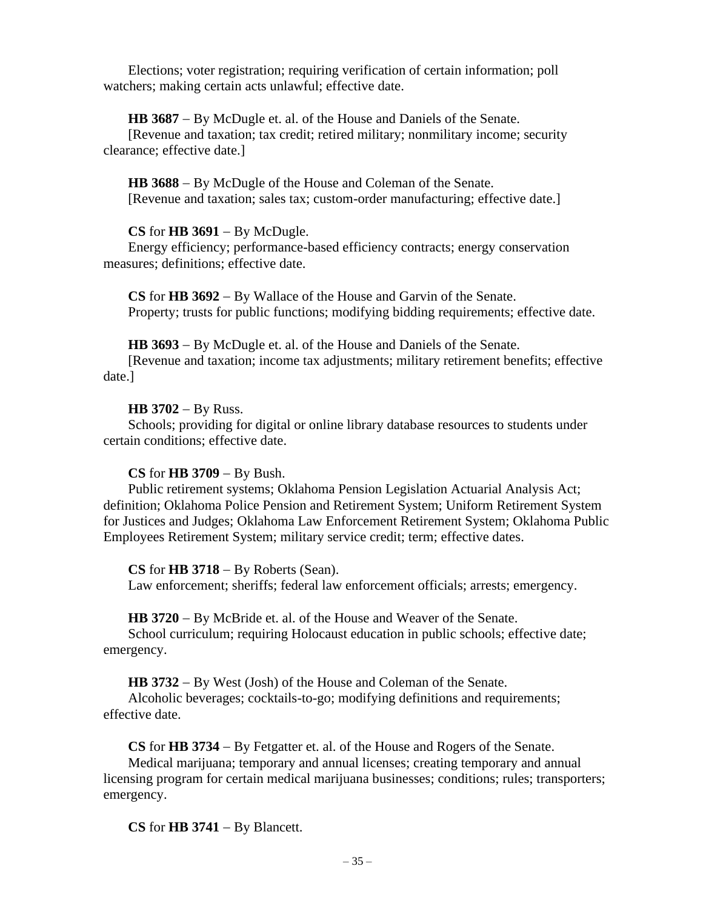Elections; voter registration; requiring verification of certain information; poll watchers; making certain acts unlawful; effective date.

**HB 3687** − By McDugle et. al. of the House and Daniels of the Senate.

[Revenue and taxation; tax credit; retired military; nonmilitary income; security clearance; effective date.]

**HB 3688** − By McDugle of the House and Coleman of the Senate. [Revenue and taxation; sales tax; custom-order manufacturing; effective date.]

# **CS** for **HB 3691** − By McDugle.

Energy efficiency; performance-based efficiency contracts; energy conservation measures; definitions; effective date.

**CS** for **HB 3692** − By Wallace of the House and Garvin of the Senate. Property; trusts for public functions; modifying bidding requirements; effective date.

**HB 3693** − By McDugle et. al. of the House and Daniels of the Senate.

[Revenue and taxation; income tax adjustments; military retirement benefits; effective date.]

### **HB 3702** − By Russ.

Schools; providing for digital or online library database resources to students under certain conditions; effective date.

### **CS** for **HB 3709** − By Bush.

Public retirement systems; Oklahoma Pension Legislation Actuarial Analysis Act; definition; Oklahoma Police Pension and Retirement System; Uniform Retirement System for Justices and Judges; Oklahoma Law Enforcement Retirement System; Oklahoma Public Employees Retirement System; military service credit; term; effective dates.

#### **CS** for **HB 3718** − By Roberts (Sean).

Law enforcement; sheriffs; federal law enforcement officials; arrests; emergency.

**HB 3720** − By McBride et. al. of the House and Weaver of the Senate.

School curriculum; requiring Holocaust education in public schools; effective date; emergency.

**HB 3732** − By West (Josh) of the House and Coleman of the Senate.

Alcoholic beverages; cocktails-to-go; modifying definitions and requirements; effective date.

**CS** for **HB 3734** − By Fetgatter et. al. of the House and Rogers of the Senate.

Medical marijuana; temporary and annual licenses; creating temporary and annual licensing program for certain medical marijuana businesses; conditions; rules; transporters; emergency.

**CS** for **HB 3741** − By Blancett.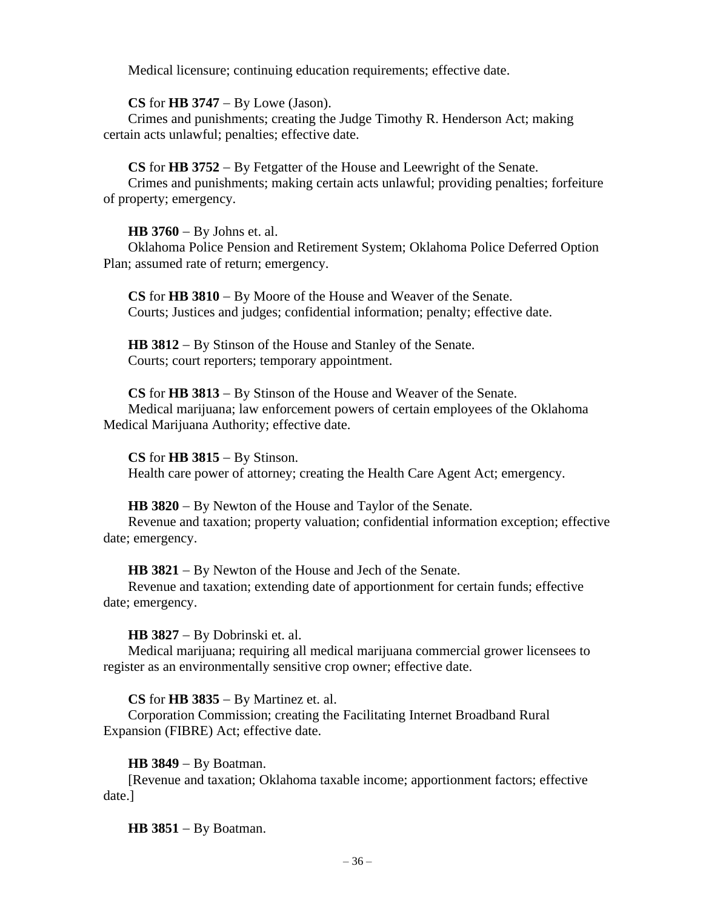Medical licensure; continuing education requirements; effective date.

# **CS** for **HB 3747** − By Lowe (Jason).

Crimes and punishments; creating the Judge Timothy R. Henderson Act; making certain acts unlawful; penalties; effective date.

**CS** for **HB 3752** − By Fetgatter of the House and Leewright of the Senate.

Crimes and punishments; making certain acts unlawful; providing penalties; forfeiture of property; emergency.

# **HB 3760** − By Johns et. al.

Oklahoma Police Pension and Retirement System; Oklahoma Police Deferred Option Plan; assumed rate of return; emergency.

**CS** for **HB 3810** − By Moore of the House and Weaver of the Senate. Courts; Justices and judges; confidential information; penalty; effective date.

**HB 3812** − By Stinson of the House and Stanley of the Senate. Courts; court reporters; temporary appointment.

**CS** for **HB 3813** − By Stinson of the House and Weaver of the Senate. Medical marijuana; law enforcement powers of certain employees of the Oklahoma Medical Marijuana Authority; effective date.

**CS** for **HB 3815** − By Stinson. Health care power of attorney; creating the Health Care Agent Act; emergency.

# **HB 3820** − By Newton of the House and Taylor of the Senate.

Revenue and taxation; property valuation; confidential information exception; effective date; emergency.

**HB 3821** − By Newton of the House and Jech of the Senate.

Revenue and taxation; extending date of apportionment for certain funds; effective date; emergency.

**HB 3827** − By Dobrinski et. al.

Medical marijuana; requiring all medical marijuana commercial grower licensees to register as an environmentally sensitive crop owner; effective date.

# **CS** for **HB 3835** − By Martinez et. al.

Corporation Commission; creating the Facilitating Internet Broadband Rural Expansion (FIBRE) Act; effective date.

# **HB 3849** − By Boatman.

[Revenue and taxation; Oklahoma taxable income; apportionment factors; effective date.]

**HB 3851** − By Boatman.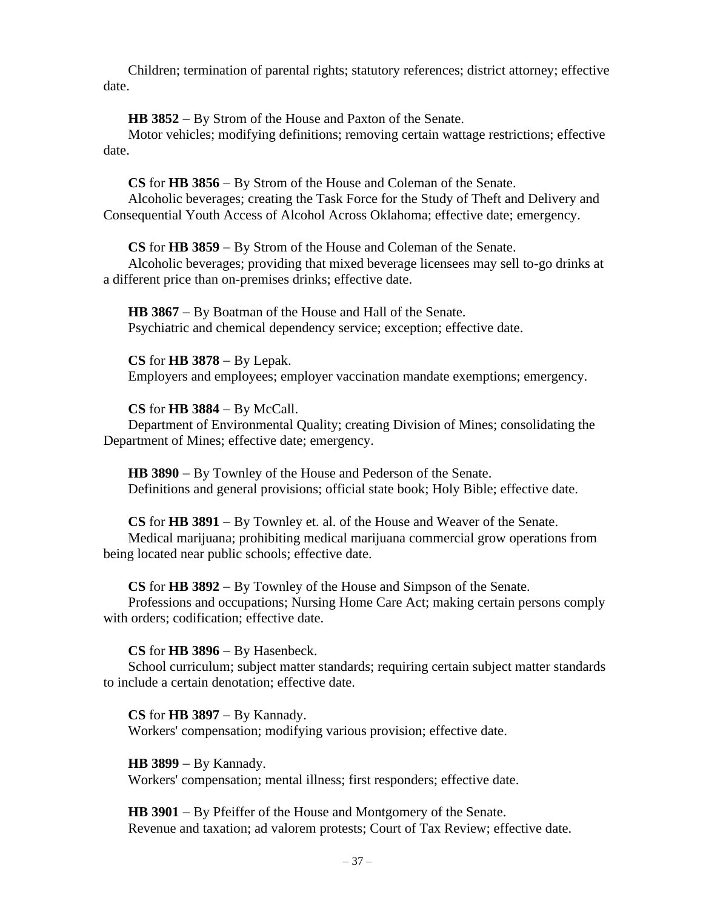Children; termination of parental rights; statutory references; district attorney; effective date.

**HB 3852** − By Strom of the House and Paxton of the Senate.

Motor vehicles; modifying definitions; removing certain wattage restrictions; effective date.

**CS** for **HB 3856** − By Strom of the House and Coleman of the Senate. Alcoholic beverages; creating the Task Force for the Study of Theft and Delivery and Consequential Youth Access of Alcohol Across Oklahoma; effective date; emergency.

**CS** for **HB 3859** − By Strom of the House and Coleman of the Senate.

Alcoholic beverages; providing that mixed beverage licensees may sell to-go drinks at a different price than on-premises drinks; effective date.

**HB 3867** − By Boatman of the House and Hall of the Senate. Psychiatric and chemical dependency service; exception; effective date.

**CS** for **HB 3878** − By Lepak. Employers and employees; employer vaccination mandate exemptions; emergency.

**CS** for **HB 3884** − By McCall.

Department of Environmental Quality; creating Division of Mines; consolidating the Department of Mines; effective date; emergency.

**HB 3890** − By Townley of the House and Pederson of the Senate. Definitions and general provisions; official state book; Holy Bible; effective date.

**CS** for **HB 3891** − By Townley et. al. of the House and Weaver of the Senate. Medical marijuana; prohibiting medical marijuana commercial grow operations from being located near public schools; effective date.

**CS** for **HB 3892** − By Townley of the House and Simpson of the Senate.

Professions and occupations; Nursing Home Care Act; making certain persons comply with orders; codification; effective date.

**CS** for **HB 3896** − By Hasenbeck.

School curriculum; subject matter standards; requiring certain subject matter standards to include a certain denotation; effective date.

**CS** for **HB 3897** − By Kannady. Workers' compensation; modifying various provision; effective date.

**HB 3899** − By Kannady. Workers' compensation; mental illness; first responders; effective date.

**HB 3901** − By Pfeiffer of the House and Montgomery of the Senate. Revenue and taxation; ad valorem protests; Court of Tax Review; effective date.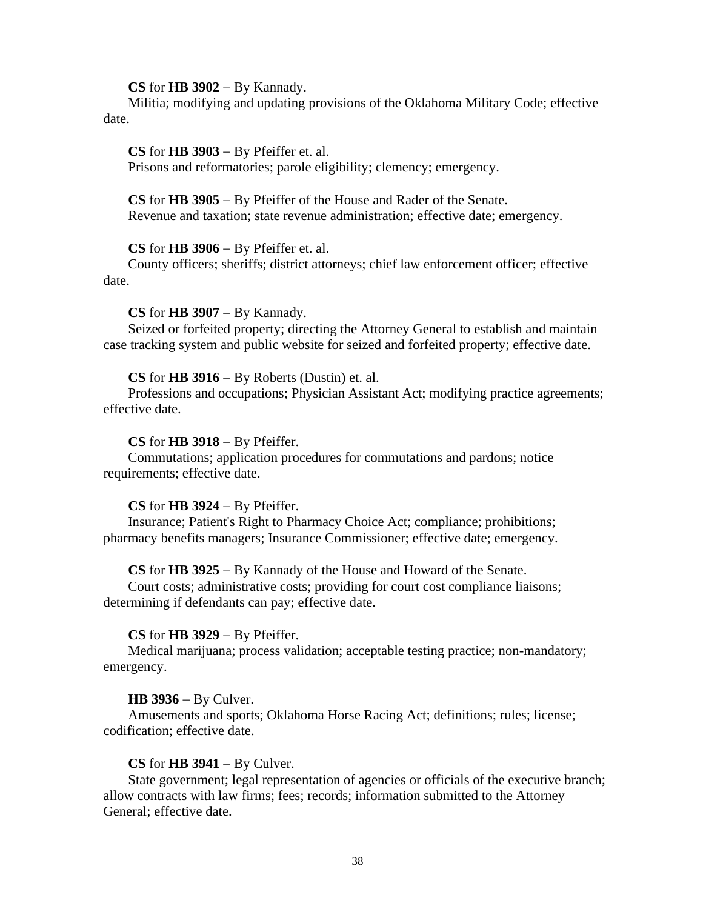### **CS** for **HB 3902** − By Kannady.

Militia; modifying and updating provisions of the Oklahoma Military Code; effective date.

**CS** for **HB 3903** − By Pfeiffer et. al. Prisons and reformatories; parole eligibility; clemency; emergency.

**CS** for **HB 3905** − By Pfeiffer of the House and Rader of the Senate. Revenue and taxation; state revenue administration; effective date; emergency.

**CS** for **HB 3906** − By Pfeiffer et. al.

County officers; sheriffs; district attorneys; chief law enforcement officer; effective date.

### **CS** for **HB 3907** − By Kannady.

Seized or forfeited property; directing the Attorney General to establish and maintain case tracking system and public website for seized and forfeited property; effective date.

### **CS** for **HB 3916** − By Roberts (Dustin) et. al.

Professions and occupations; Physician Assistant Act; modifying practice agreements; effective date.

### **CS** for **HB 3918** − By Pfeiffer.

Commutations; application procedures for commutations and pardons; notice requirements; effective date.

# **CS** for **HB 3924** − By Pfeiffer.

Insurance; Patient's Right to Pharmacy Choice Act; compliance; prohibitions; pharmacy benefits managers; Insurance Commissioner; effective date; emergency.

# **CS** for **HB 3925** − By Kannady of the House and Howard of the Senate.

Court costs; administrative costs; providing for court cost compliance liaisons; determining if defendants can pay; effective date.

#### **CS** for **HB 3929** − By Pfeiffer.

Medical marijuana; process validation; acceptable testing practice; non-mandatory; emergency.

#### **HB 3936** − By Culver.

Amusements and sports; Oklahoma Horse Racing Act; definitions; rules; license; codification; effective date.

# **CS** for **HB 3941** − By Culver.

State government; legal representation of agencies or officials of the executive branch; allow contracts with law firms; fees; records; information submitted to the Attorney General; effective date.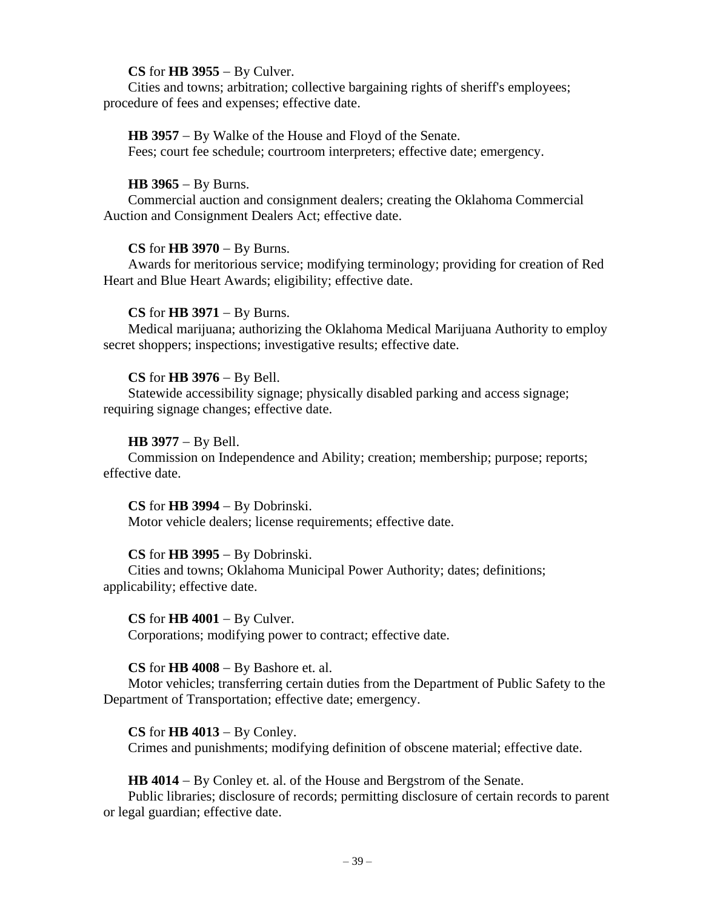# **CS** for **HB 3955** − By Culver.

Cities and towns; arbitration; collective bargaining rights of sheriff's employees; procedure of fees and expenses; effective date.

**HB 3957** − By Walke of the House and Floyd of the Senate. Fees; court fee schedule; courtroom interpreters; effective date; emergency.

# **HB 3965** − By Burns.

Commercial auction and consignment dealers; creating the Oklahoma Commercial Auction and Consignment Dealers Act; effective date.

# **CS** for **HB 3970** − By Burns.

Awards for meritorious service; modifying terminology; providing for creation of Red Heart and Blue Heart Awards; eligibility; effective date.

# **CS** for **HB 3971** − By Burns.

Medical marijuana; authorizing the Oklahoma Medical Marijuana Authority to employ secret shoppers; inspections; investigative results; effective date.

# **CS** for **HB 3976** − By Bell.

Statewide accessibility signage; physically disabled parking and access signage; requiring signage changes; effective date.

# **HB 3977** − By Bell.

Commission on Independence and Ability; creation; membership; purpose; reports; effective date.

# **CS** for **HB 3994** − By Dobrinski.

Motor vehicle dealers; license requirements; effective date.

# **CS** for **HB 3995** − By Dobrinski.

Cities and towns; Oklahoma Municipal Power Authority; dates; definitions; applicability; effective date.

# **CS** for **HB 4001** − By Culver.

Corporations; modifying power to contract; effective date.

# **CS** for **HB 4008** − By Bashore et. al.

Motor vehicles; transferring certain duties from the Department of Public Safety to the Department of Transportation; effective date; emergency.

# **CS** for **HB 4013** − By Conley.

Crimes and punishments; modifying definition of obscene material; effective date.

**HB 4014** − By Conley et. al. of the House and Bergstrom of the Senate.

Public libraries; disclosure of records; permitting disclosure of certain records to parent or legal guardian; effective date.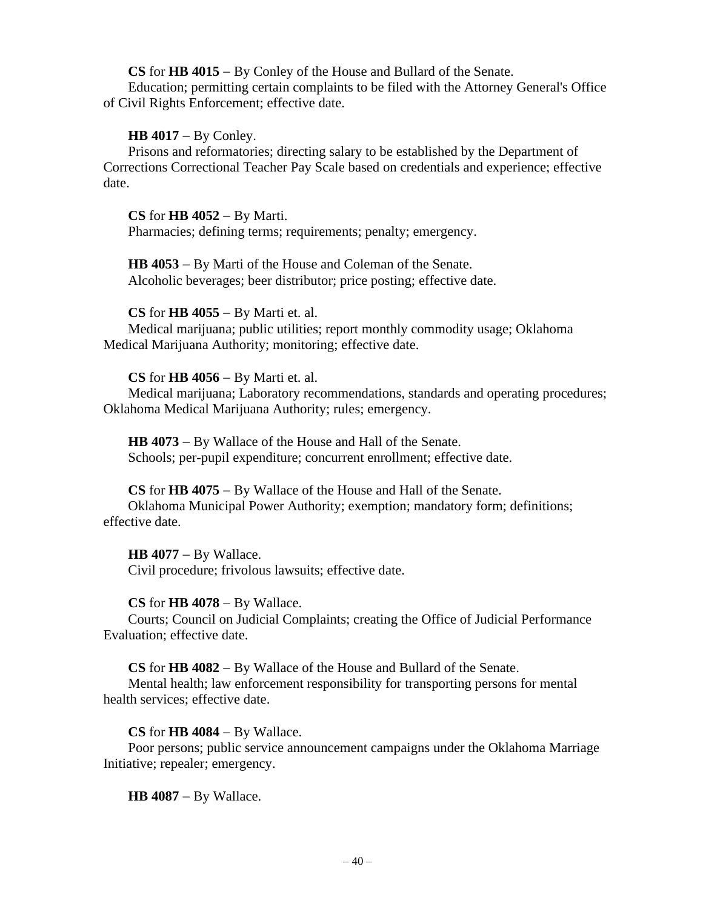**CS** for **HB 4015** − By Conley of the House and Bullard of the Senate.

Education; permitting certain complaints to be filed with the Attorney General's Office of Civil Rights Enforcement; effective date.

# **HB 4017** − By Conley.

Prisons and reformatories; directing salary to be established by the Department of Corrections Correctional Teacher Pay Scale based on credentials and experience; effective date.

# **CS** for **HB 4052** − By Marti.

Pharmacies; defining terms; requirements; penalty; emergency.

**HB 4053** − By Marti of the House and Coleman of the Senate. Alcoholic beverages; beer distributor; price posting; effective date.

# **CS** for **HB 4055** − By Marti et. al.

Medical marijuana; public utilities; report monthly commodity usage; Oklahoma Medical Marijuana Authority; monitoring; effective date.

# **CS** for **HB 4056** − By Marti et. al.

Medical marijuana; Laboratory recommendations, standards and operating procedures; Oklahoma Medical Marijuana Authority; rules; emergency.

**HB 4073** − By Wallace of the House and Hall of the Senate. Schools; per-pupil expenditure; concurrent enrollment; effective date.

# **CS** for **HB 4075** − By Wallace of the House and Hall of the Senate.

Oklahoma Municipal Power Authority; exemption; mandatory form; definitions; effective date.

**HB 4077** − By Wallace. Civil procedure; frivolous lawsuits; effective date.

# **CS** for **HB 4078** − By Wallace.

Courts; Council on Judicial Complaints; creating the Office of Judicial Performance Evaluation; effective date.

# **CS** for **HB 4082** − By Wallace of the House and Bullard of the Senate.

Mental health; law enforcement responsibility for transporting persons for mental health services; effective date.

# **CS** for **HB 4084** − By Wallace.

Poor persons; public service announcement campaigns under the Oklahoma Marriage Initiative; repealer; emergency.

**HB 4087** − By Wallace.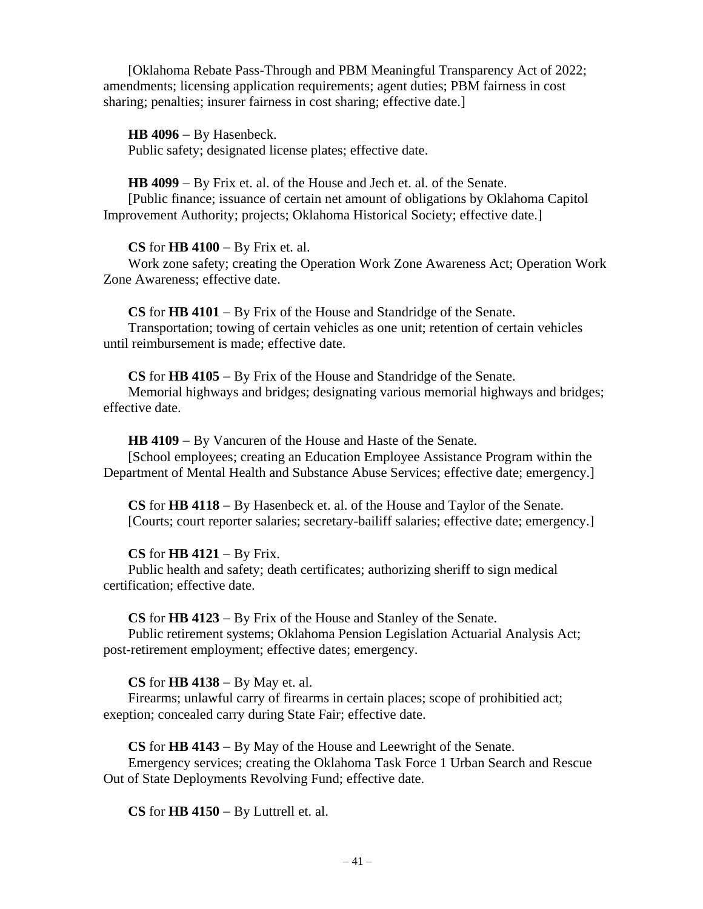[Oklahoma Rebate Pass-Through and PBM Meaningful Transparency Act of 2022; amendments; licensing application requirements; agent duties; PBM fairness in cost sharing; penalties; insurer fairness in cost sharing; effective date.]

**HB 4096** − By Hasenbeck. Public safety; designated license plates; effective date.

**HB 4099** − By Frix et. al. of the House and Jech et. al. of the Senate. [Public finance; issuance of certain net amount of obligations by Oklahoma Capitol

Improvement Authority; projects; Oklahoma Historical Society; effective date.]

**CS** for **HB 4100** − By Frix et. al.

Work zone safety; creating the Operation Work Zone Awareness Act; Operation Work Zone Awareness; effective date.

**CS** for **HB 4101** − By Frix of the House and Standridge of the Senate.

Transportation; towing of certain vehicles as one unit; retention of certain vehicles until reimbursement is made; effective date.

**CS** for **HB 4105** − By Frix of the House and Standridge of the Senate.

Memorial highways and bridges; designating various memorial highways and bridges; effective date.

**HB 4109** − By Vancuren of the House and Haste of the Senate.

[School employees; creating an Education Employee Assistance Program within the Department of Mental Health and Substance Abuse Services; effective date; emergency.]

**CS** for **HB 4118** − By Hasenbeck et. al. of the House and Taylor of the Senate. [Courts; court reporter salaries; secretary-bailiff salaries; effective date; emergency.]

# **CS** for **HB 4121** − By Frix.

Public health and safety; death certificates; authorizing sheriff to sign medical certification; effective date.

**CS** for **HB 4123** − By Frix of the House and Stanley of the Senate.

Public retirement systems; Oklahoma Pension Legislation Actuarial Analysis Act; post-retirement employment; effective dates; emergency.

**CS** for **HB 4138** − By May et. al.

Firearms; unlawful carry of firearms in certain places; scope of prohibitied act; exeption; concealed carry during State Fair; effective date.

**CS** for **HB 4143** − By May of the House and Leewright of the Senate. Emergency services; creating the Oklahoma Task Force 1 Urban Search and Rescue Out of State Deployments Revolving Fund; effective date.

**CS** for **HB 4150** − By Luttrell et. al.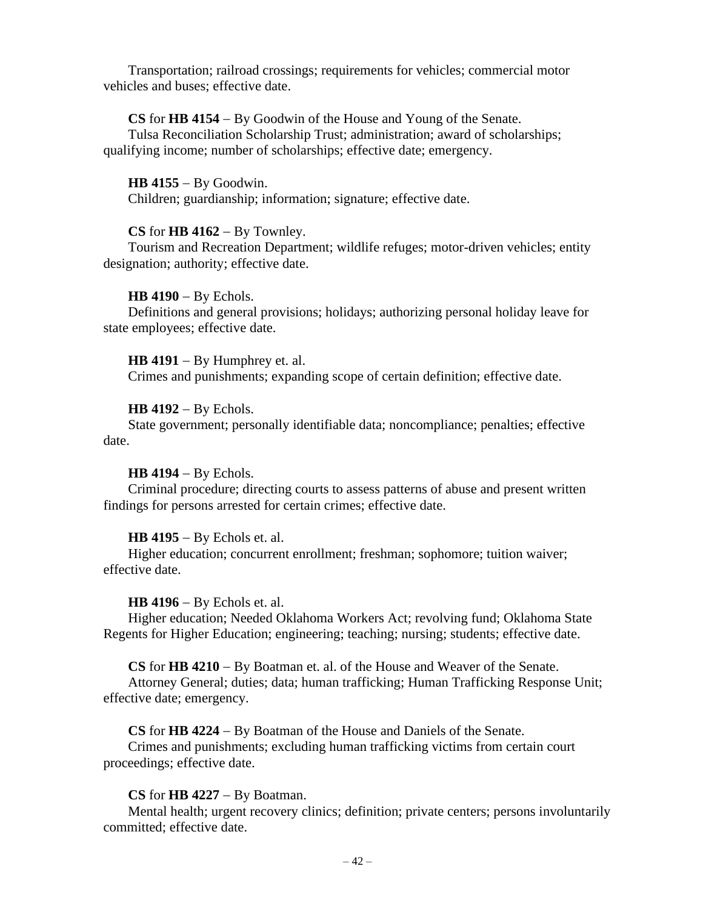Transportation; railroad crossings; requirements for vehicles; commercial motor vehicles and buses; effective date.

# **CS** for **HB 4154** − By Goodwin of the House and Young of the Senate.

Tulsa Reconciliation Scholarship Trust; administration; award of scholarships; qualifying income; number of scholarships; effective date; emergency.

**HB 4155** − By Goodwin. Children; guardianship; information; signature; effective date.

# **CS** for **HB 4162** − By Townley.

Tourism and Recreation Department; wildlife refuges; motor-driven vehicles; entity designation; authority; effective date.

### **HB 4190** − By Echols.

Definitions and general provisions; holidays; authorizing personal holiday leave for state employees; effective date.

**HB 4191** − By Humphrey et. al. Crimes and punishments; expanding scope of certain definition; effective date.

### **HB 4192** − By Echols.

State government; personally identifiable data; noncompliance; penalties; effective date.

# **HB 4194** − By Echols.

Criminal procedure; directing courts to assess patterns of abuse and present written findings for persons arrested for certain crimes; effective date.

#### **HB 4195** − By Echols et. al.

Higher education; concurrent enrollment; freshman; sophomore; tuition waiver; effective date.

# **HB 4196** − By Echols et. al.

Higher education; Needed Oklahoma Workers Act; revolving fund; Oklahoma State Regents for Higher Education; engineering; teaching; nursing; students; effective date.

**CS** for **HB 4210** − By Boatman et. al. of the House and Weaver of the Senate.

Attorney General; duties; data; human trafficking; Human Trafficking Response Unit; effective date; emergency.

# **CS** for **HB 4224** − By Boatman of the House and Daniels of the Senate.

Crimes and punishments; excluding human trafficking victims from certain court proceedings; effective date.

# **CS** for **HB 4227** − By Boatman.

Mental health; urgent recovery clinics; definition; private centers; persons involuntarily committed; effective date.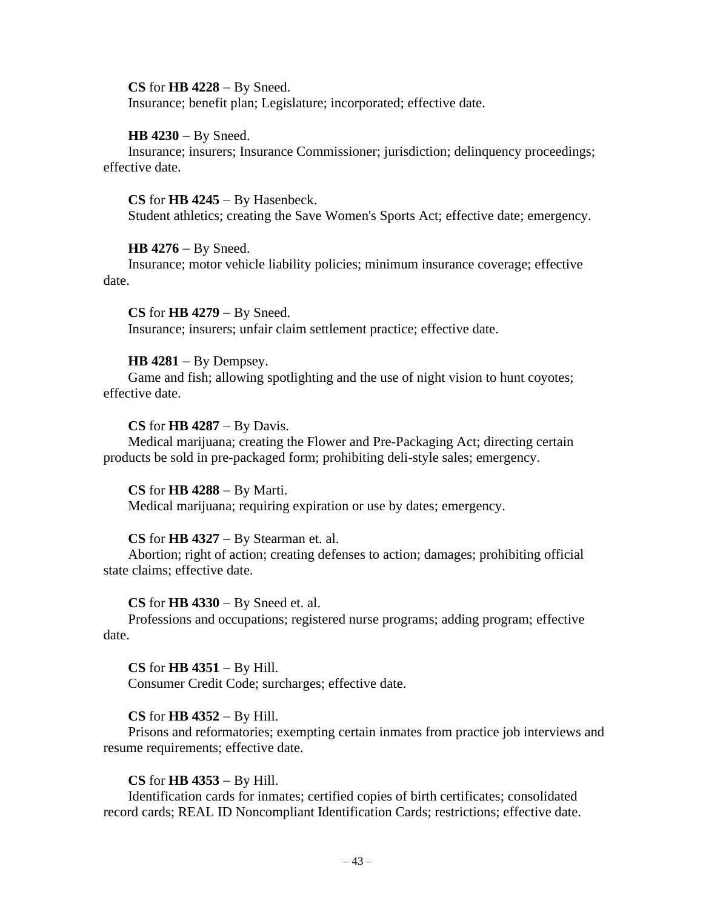### **CS** for **HB 4228** − By Sneed.

Insurance; benefit plan; Legislature; incorporated; effective date.

### **HB 4230** − By Sneed.

Insurance; insurers; Insurance Commissioner; jurisdiction; delinquency proceedings; effective date.

### **CS** for **HB 4245** − By Hasenbeck.

Student athletics; creating the Save Women's Sports Act; effective date; emergency.

# **HB 4276** − By Sneed.

Insurance; motor vehicle liability policies; minimum insurance coverage; effective date.

**CS** for **HB 4279** − By Sneed. Insurance; insurers; unfair claim settlement practice; effective date.

# **HB 4281** − By Dempsey.

Game and fish; allowing spotlighting and the use of night vision to hunt coyotes; effective date.

### **CS** for **HB 4287** − By Davis.

Medical marijuana; creating the Flower and Pre-Packaging Act; directing certain products be sold in pre-packaged form; prohibiting deli-style sales; emergency.

# **CS** for **HB 4288** − By Marti.

Medical marijuana; requiring expiration or use by dates; emergency.

# **CS** for **HB 4327** − By Stearman et. al.

Abortion; right of action; creating defenses to action; damages; prohibiting official state claims; effective date.

#### **CS** for **HB 4330** − By Sneed et. al.

Professions and occupations; registered nurse programs; adding program; effective date.

# **CS** for **HB 4351** − By Hill.

Consumer Credit Code; surcharges; effective date.

# **CS** for **HB 4352** − By Hill.

Prisons and reformatories; exempting certain inmates from practice job interviews and resume requirements; effective date.

# **CS** for **HB 4353** − By Hill.

Identification cards for inmates; certified copies of birth certificates; consolidated record cards; REAL ID Noncompliant Identification Cards; restrictions; effective date.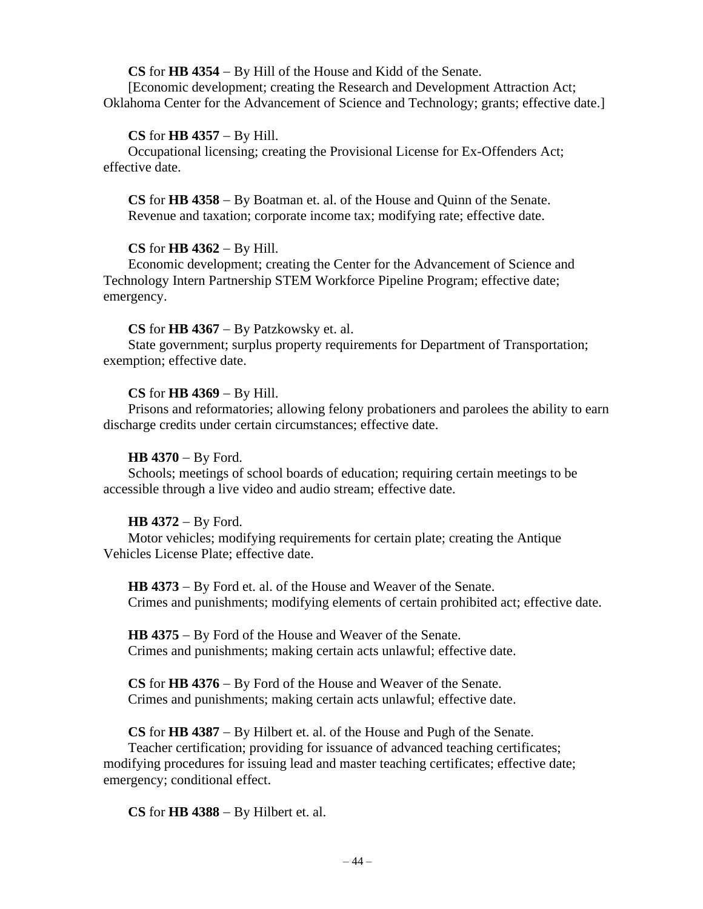# **CS** for **HB 4354** − By Hill of the House and Kidd of the Senate.

[Economic development; creating the Research and Development Attraction Act; Oklahoma Center for the Advancement of Science and Technology; grants; effective date.]

# **CS** for **HB 4357** − By Hill.

Occupational licensing; creating the Provisional License for Ex-Offenders Act; effective date.

**CS** for **HB 4358** − By Boatman et. al. of the House and Quinn of the Senate. Revenue and taxation; corporate income tax; modifying rate; effective date.

# **CS** for **HB 4362** − By Hill.

Economic development; creating the Center for the Advancement of Science and Technology Intern Partnership STEM Workforce Pipeline Program; effective date; emergency.

# **CS** for **HB 4367** − By Patzkowsky et. al.

State government; surplus property requirements for Department of Transportation; exemption; effective date.

# **CS** for **HB 4369** − By Hill.

Prisons and reformatories; allowing felony probationers and parolees the ability to earn discharge credits under certain circumstances; effective date.

# **HB 4370** − By Ford.

Schools; meetings of school boards of education; requiring certain meetings to be accessible through a live video and audio stream; effective date.

# **HB 4372** − By Ford.

Motor vehicles; modifying requirements for certain plate; creating the Antique Vehicles License Plate; effective date.

**HB 4373** − By Ford et. al. of the House and Weaver of the Senate. Crimes and punishments; modifying elements of certain prohibited act; effective date.

**HB 4375** − By Ford of the House and Weaver of the Senate. Crimes and punishments; making certain acts unlawful; effective date.

**CS** for **HB 4376** − By Ford of the House and Weaver of the Senate. Crimes and punishments; making certain acts unlawful; effective date.

**CS** for **HB 4387** − By Hilbert et. al. of the House and Pugh of the Senate. Teacher certification; providing for issuance of advanced teaching certificates; modifying procedures for issuing lead and master teaching certificates; effective date; emergency; conditional effect.

**CS** for **HB 4388** − By Hilbert et. al.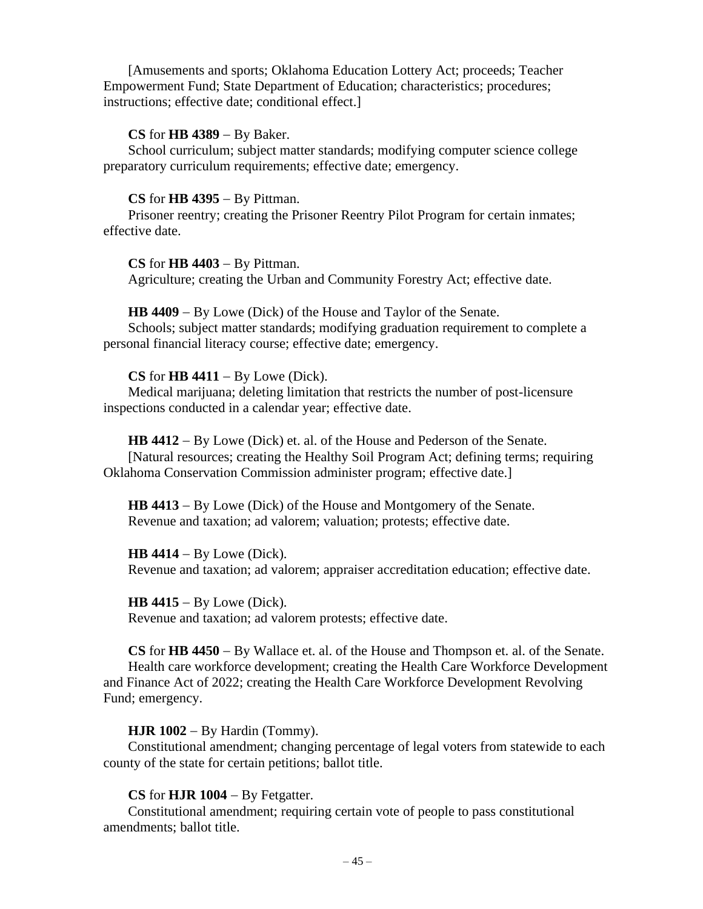[Amusements and sports; Oklahoma Education Lottery Act; proceeds; Teacher Empowerment Fund; State Department of Education; characteristics; procedures; instructions; effective date; conditional effect.]

### **CS** for **HB 4389** − By Baker.

School curriculum; subject matter standards; modifying computer science college preparatory curriculum requirements; effective date; emergency.

### **CS** for **HB 4395** − By Pittman.

Prisoner reentry; creating the Prisoner Reentry Pilot Program for certain inmates; effective date.

#### **CS** for **HB 4403** − By Pittman.

Agriculture; creating the Urban and Community Forestry Act; effective date.

#### **HB 4409** − By Lowe (Dick) of the House and Taylor of the Senate.

Schools; subject matter standards; modifying graduation requirement to complete a personal financial literacy course; effective date; emergency.

### **CS** for **HB 4411** − By Lowe (Dick).

Medical marijuana; deleting limitation that restricts the number of post-licensure inspections conducted in a calendar year; effective date.

**HB 4412** − By Lowe (Dick) et. al. of the House and Pederson of the Senate.

[Natural resources; creating the Healthy Soil Program Act; defining terms; requiring Oklahoma Conservation Commission administer program; effective date.]

**HB 4413** − By Lowe (Dick) of the House and Montgomery of the Senate. Revenue and taxation; ad valorem; valuation; protests; effective date.

#### **HB 4414** − By Lowe (Dick).

Revenue and taxation; ad valorem; appraiser accreditation education; effective date.

#### **HB 4415** − By Lowe (Dick).

Revenue and taxation; ad valorem protests; effective date.

**CS** for **HB 4450** − By Wallace et. al. of the House and Thompson et. al. of the Senate. Health care workforce development; creating the Health Care Workforce Development and Finance Act of 2022; creating the Health Care Workforce Development Revolving Fund; emergency.

# **HJR 1002** − By Hardin (Tommy).

Constitutional amendment; changing percentage of legal voters from statewide to each county of the state for certain petitions; ballot title.

### **CS** for **HJR 1004** − By Fetgatter.

Constitutional amendment; requiring certain vote of people to pass constitutional amendments; ballot title.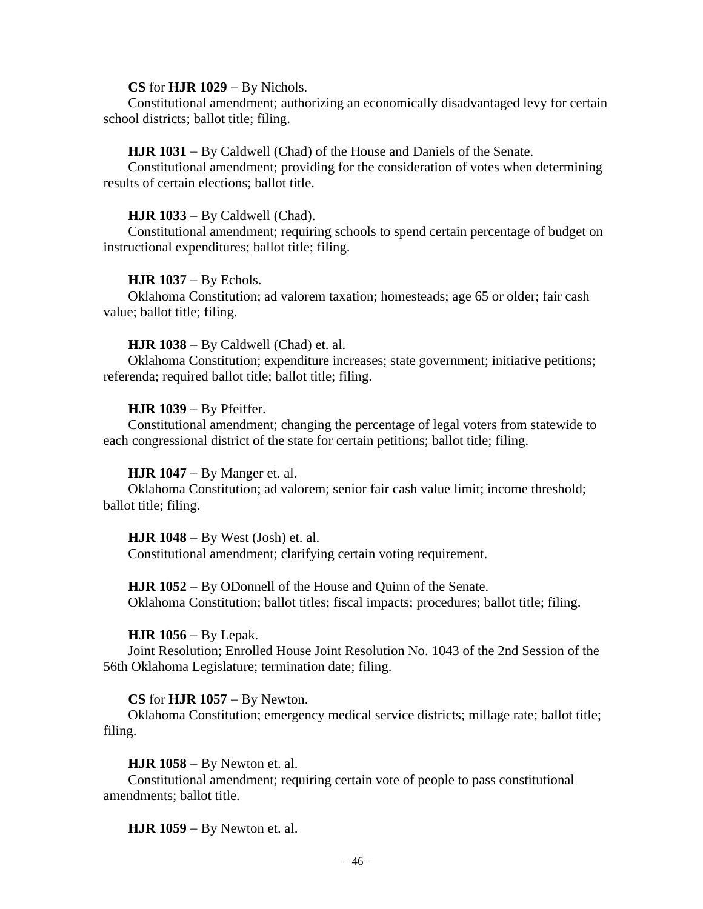#### **CS** for **HJR 1029** − By Nichols.

Constitutional amendment; authorizing an economically disadvantaged levy for certain school districts; ballot title; filing.

### **HJR 1031** − By Caldwell (Chad) of the House and Daniels of the Senate.

Constitutional amendment; providing for the consideration of votes when determining results of certain elections; ballot title.

### **HJR 1033** − By Caldwell (Chad).

Constitutional amendment; requiring schools to spend certain percentage of budget on instructional expenditures; ballot title; filing.

### **HJR 1037** − By Echols.

Oklahoma Constitution; ad valorem taxation; homesteads; age 65 or older; fair cash value; ballot title; filing.

### **HJR 1038** − By Caldwell (Chad) et. al.

Oklahoma Constitution; expenditure increases; state government; initiative petitions; referenda; required ballot title; ballot title; filing.

### **HJR 1039** − By Pfeiffer.

Constitutional amendment; changing the percentage of legal voters from statewide to each congressional district of the state for certain petitions; ballot title; filing.

# **HJR 1047** − By Manger et. al.

Oklahoma Constitution; ad valorem; senior fair cash value limit; income threshold; ballot title; filing.

#### **HJR 1048** − By West (Josh) et. al.

Constitutional amendment; clarifying certain voting requirement.

# **HJR 1052** − By ODonnell of the House and Quinn of the Senate. Oklahoma Constitution; ballot titles; fiscal impacts; procedures; ballot title; filing.

#### **HJR 1056** − By Lepak.

Joint Resolution; Enrolled House Joint Resolution No. 1043 of the 2nd Session of the 56th Oklahoma Legislature; termination date; filing.

### **CS** for **HJR 1057** − By Newton.

Oklahoma Constitution; emergency medical service districts; millage rate; ballot title; filing.

### **HJR 1058** − By Newton et. al.

Constitutional amendment; requiring certain vote of people to pass constitutional amendments; ballot title.

**HJR 1059** − By Newton et. al.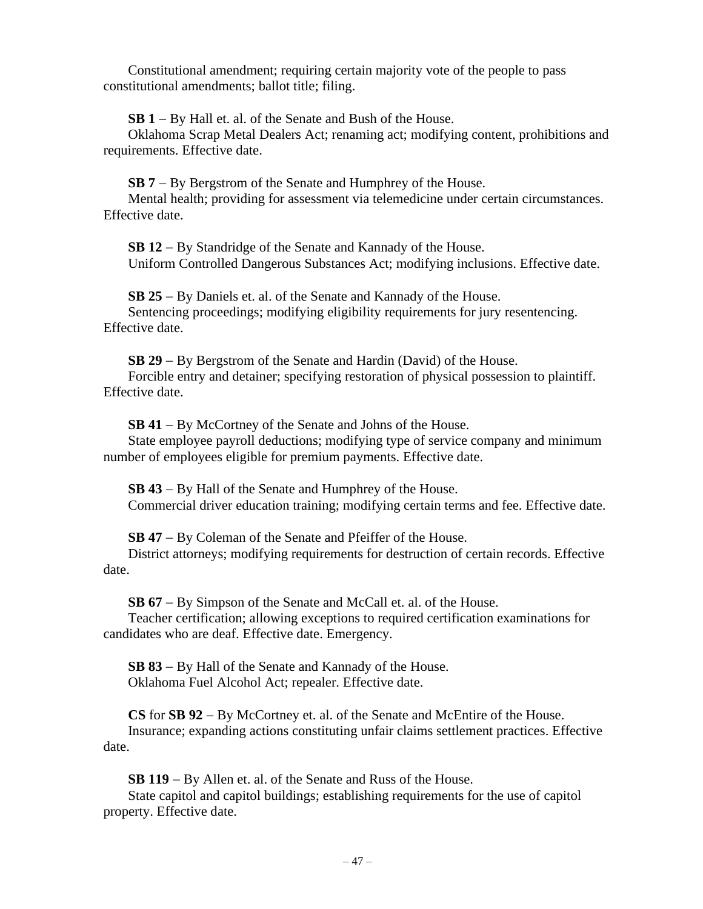Constitutional amendment; requiring certain majority vote of the people to pass constitutional amendments; ballot title; filing.

**SB 1** − By Hall et. al. of the Senate and Bush of the House.

Oklahoma Scrap Metal Dealers Act; renaming act; modifying content, prohibitions and requirements. Effective date.

**SB 7** − By Bergstrom of the Senate and Humphrey of the House.

Mental health; providing for assessment via telemedicine under certain circumstances. Effective date.

**SB 12** − By Standridge of the Senate and Kannady of the House. Uniform Controlled Dangerous Substances Act; modifying inclusions. Effective date.

**SB 25** − By Daniels et. al. of the Senate and Kannady of the House. Sentencing proceedings; modifying eligibility requirements for jury resentencing. Effective date.

**SB 29** − By Bergstrom of the Senate and Hardin (David) of the House. Forcible entry and detainer; specifying restoration of physical possession to plaintiff. Effective date.

**SB 41** − By McCortney of the Senate and Johns of the House. State employee payroll deductions; modifying type of service company and minimum number of employees eligible for premium payments. Effective date.

**SB 43** − By Hall of the Senate and Humphrey of the House. Commercial driver education training; modifying certain terms and fee. Effective date.

**SB 47** − By Coleman of the Senate and Pfeiffer of the House.

District attorneys; modifying requirements for destruction of certain records. Effective date.

**SB 67** − By Simpson of the Senate and McCall et. al. of the House.

Teacher certification; allowing exceptions to required certification examinations for candidates who are deaf. Effective date. Emergency.

**SB 83** − By Hall of the Senate and Kannady of the House. Oklahoma Fuel Alcohol Act; repealer. Effective date.

**CS** for **SB 92** − By McCortney et. al. of the Senate and McEntire of the House. Insurance; expanding actions constituting unfair claims settlement practices. Effective date.

**SB 119** − By Allen et. al. of the Senate and Russ of the House.

State capitol and capitol buildings; establishing requirements for the use of capitol property. Effective date.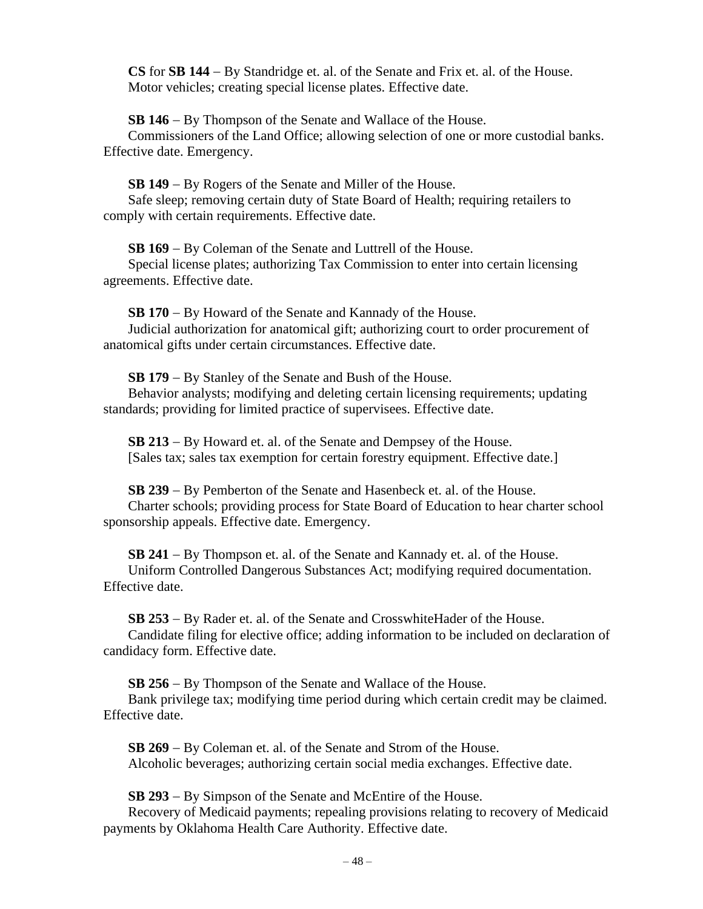**CS** for **SB 144** − By Standridge et. al. of the Senate and Frix et. al. of the House. Motor vehicles; creating special license plates. Effective date.

**SB 146** − By Thompson of the Senate and Wallace of the House.

Commissioners of the Land Office; allowing selection of one or more custodial banks. Effective date. Emergency.

**SB 149** − By Rogers of the Senate and Miller of the House. Safe sleep; removing certain duty of State Board of Health; requiring retailers to comply with certain requirements. Effective date.

**SB 169** − By Coleman of the Senate and Luttrell of the House.

Special license plates; authorizing Tax Commission to enter into certain licensing agreements. Effective date.

**SB 170** − By Howard of the Senate and Kannady of the House. Judicial authorization for anatomical gift; authorizing court to order procurement of anatomical gifts under certain circumstances. Effective date.

**SB 179** − By Stanley of the Senate and Bush of the House.

Behavior analysts; modifying and deleting certain licensing requirements; updating standards; providing for limited practice of supervisees. Effective date.

**SB 213** − By Howard et. al. of the Senate and Dempsey of the House. [Sales tax; sales tax exemption for certain forestry equipment. Effective date.]

**SB 239** − By Pemberton of the Senate and Hasenbeck et. al. of the House. Charter schools; providing process for State Board of Education to hear charter school sponsorship appeals. Effective date. Emergency.

**SB 241** − By Thompson et. al. of the Senate and Kannady et. al. of the House. Uniform Controlled Dangerous Substances Act; modifying required documentation. Effective date.

**SB 253** − By Rader et. al. of the Senate and CrosswhiteHader of the House. Candidate filing for elective office; adding information to be included on declaration of candidacy form. Effective date.

**SB 256** − By Thompson of the Senate and Wallace of the House.

Bank privilege tax; modifying time period during which certain credit may be claimed. Effective date.

**SB 269** − By Coleman et. al. of the Senate and Strom of the House. Alcoholic beverages; authorizing certain social media exchanges. Effective date.

**SB 293** − By Simpson of the Senate and McEntire of the House.

Recovery of Medicaid payments; repealing provisions relating to recovery of Medicaid payments by Oklahoma Health Care Authority. Effective date.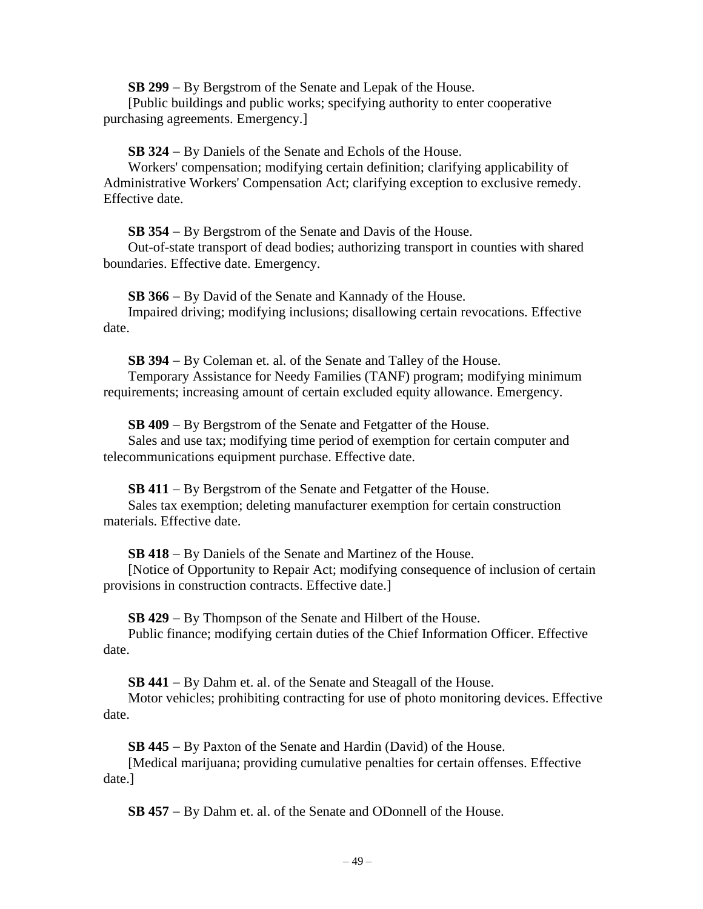**SB 299** − By Bergstrom of the Senate and Lepak of the House.

[Public buildings and public works; specifying authority to enter cooperative purchasing agreements. Emergency.]

**SB 324** − By Daniels of the Senate and Echols of the House.

Workers' compensation; modifying certain definition; clarifying applicability of Administrative Workers' Compensation Act; clarifying exception to exclusive remedy. Effective date.

**SB 354** − By Bergstrom of the Senate and Davis of the House.

Out-of-state transport of dead bodies; authorizing transport in counties with shared boundaries. Effective date. Emergency.

**SB 366** − By David of the Senate and Kannady of the House.

Impaired driving; modifying inclusions; disallowing certain revocations. Effective date.

**SB 394** − By Coleman et. al. of the Senate and Talley of the House.

Temporary Assistance for Needy Families (TANF) program; modifying minimum requirements; increasing amount of certain excluded equity allowance. Emergency.

**SB 409** − By Bergstrom of the Senate and Fetgatter of the House. Sales and use tax; modifying time period of exemption for certain computer and telecommunications equipment purchase. Effective date.

**SB 411** − By Bergstrom of the Senate and Fetgatter of the House.

Sales tax exemption; deleting manufacturer exemption for certain construction materials. Effective date.

**SB 418** − By Daniels of the Senate and Martinez of the House.

[Notice of Opportunity to Repair Act; modifying consequence of inclusion of certain provisions in construction contracts. Effective date.]

**SB 429** − By Thompson of the Senate and Hilbert of the House.

Public finance; modifying certain duties of the Chief Information Officer. Effective date.

**SB 441** − By Dahm et. al. of the Senate and Steagall of the House.

Motor vehicles; prohibiting contracting for use of photo monitoring devices. Effective date.

**SB 445** − By Paxton of the Senate and Hardin (David) of the House.

[Medical marijuana; providing cumulative penalties for certain offenses. Effective date.]

**SB 457** − By Dahm et. al. of the Senate and ODonnell of the House.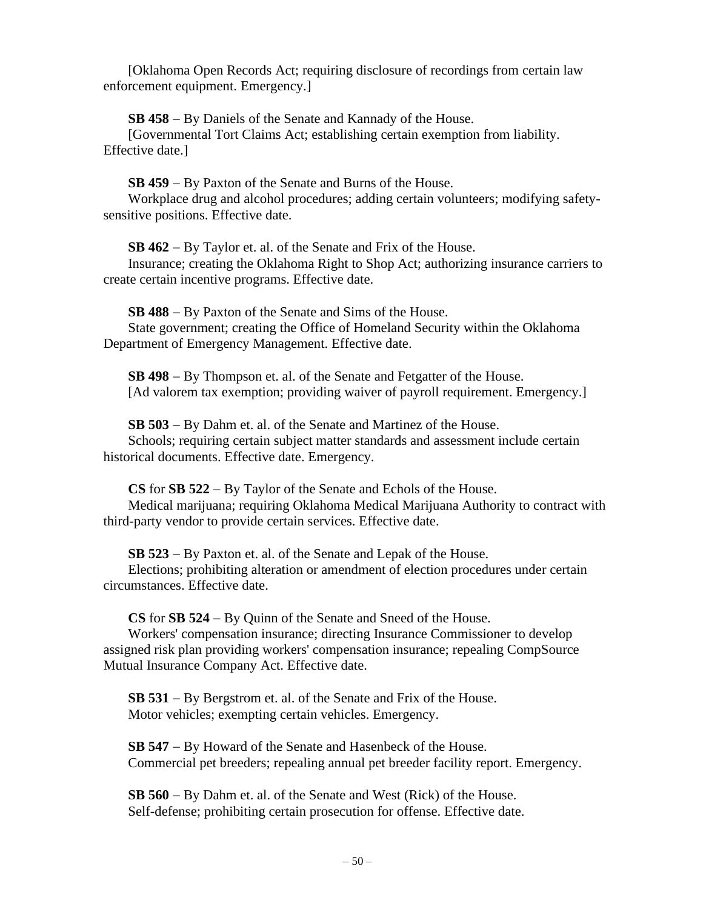[Oklahoma Open Records Act; requiring disclosure of recordings from certain law enforcement equipment. Emergency.]

**SB 458** − By Daniels of the Senate and Kannady of the House.

[Governmental Tort Claims Act; establishing certain exemption from liability. Effective date.]

**SB 459** − By Paxton of the Senate and Burns of the House.

Workplace drug and alcohol procedures; adding certain volunteers; modifying safetysensitive positions. Effective date.

**SB 462** − By Taylor et. al. of the Senate and Frix of the House.

Insurance; creating the Oklahoma Right to Shop Act; authorizing insurance carriers to create certain incentive programs. Effective date.

**SB 488** − By Paxton of the Senate and Sims of the House. State government; creating the Office of Homeland Security within the Oklahoma Department of Emergency Management. Effective date.

**SB 498** − By Thompson et. al. of the Senate and Fetgatter of the House. [Ad valorem tax exemption; providing waiver of payroll requirement. Emergency.]

**SB 503** − By Dahm et. al. of the Senate and Martinez of the House. Schools; requiring certain subject matter standards and assessment include certain historical documents. Effective date. Emergency.

**CS** for **SB 522** − By Taylor of the Senate and Echols of the House. Medical marijuana; requiring Oklahoma Medical Marijuana Authority to contract with third-party vendor to provide certain services. Effective date.

**SB 523** − By Paxton et. al. of the Senate and Lepak of the House.

Elections; prohibiting alteration or amendment of election procedures under certain circumstances. Effective date.

**CS** for **SB 524** − By Quinn of the Senate and Sneed of the House.

Workers' compensation insurance; directing Insurance Commissioner to develop assigned risk plan providing workers' compensation insurance; repealing CompSource Mutual Insurance Company Act. Effective date.

**SB 531** − By Bergstrom et. al. of the Senate and Frix of the House. Motor vehicles; exempting certain vehicles. Emergency.

**SB 547** − By Howard of the Senate and Hasenbeck of the House. Commercial pet breeders; repealing annual pet breeder facility report. Emergency.

**SB 560** − By Dahm et. al. of the Senate and West (Rick) of the House. Self-defense; prohibiting certain prosecution for offense. Effective date.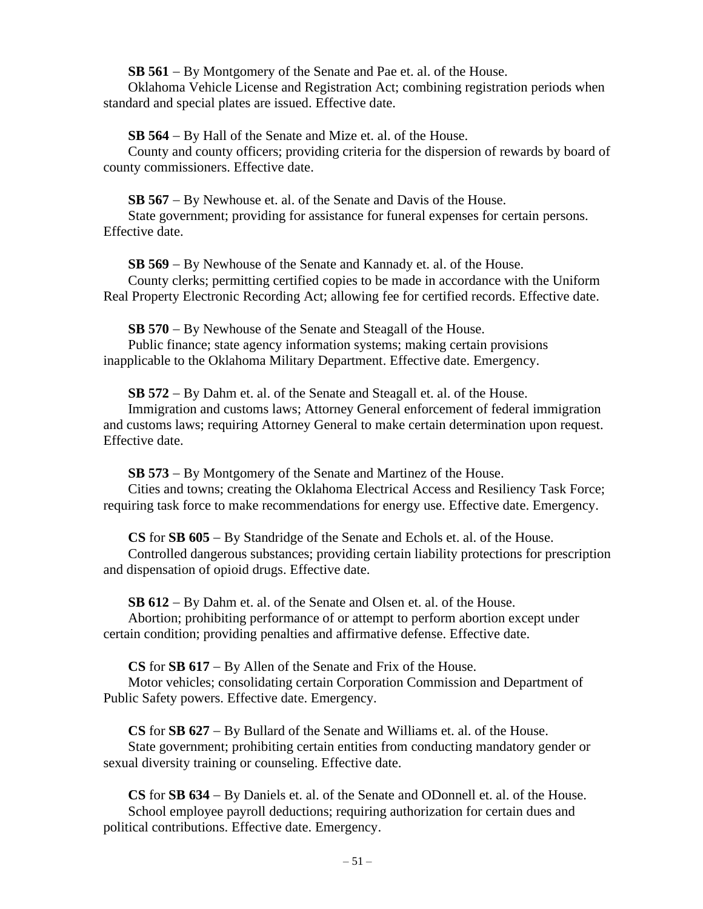**SB 561** − By Montgomery of the Senate and Pae et. al. of the House.

Oklahoma Vehicle License and Registration Act; combining registration periods when standard and special plates are issued. Effective date.

**SB 564** − By Hall of the Senate and Mize et. al. of the House.

County and county officers; providing criteria for the dispersion of rewards by board of county commissioners. Effective date.

**SB 567** − By Newhouse et. al. of the Senate and Davis of the House.

State government; providing for assistance for funeral expenses for certain persons. Effective date.

**SB 569** − By Newhouse of the Senate and Kannady et. al. of the House.

County clerks; permitting certified copies to be made in accordance with the Uniform Real Property Electronic Recording Act; allowing fee for certified records. Effective date.

**SB 570** − By Newhouse of the Senate and Steagall of the House. Public finance; state agency information systems; making certain provisions inapplicable to the Oklahoma Military Department. Effective date. Emergency.

**SB 572** − By Dahm et. al. of the Senate and Steagall et. al. of the House.

Immigration and customs laws; Attorney General enforcement of federal immigration and customs laws; requiring Attorney General to make certain determination upon request. Effective date.

**SB 573** − By Montgomery of the Senate and Martinez of the House.

Cities and towns; creating the Oklahoma Electrical Access and Resiliency Task Force; requiring task force to make recommendations for energy use. Effective date. Emergency.

**CS** for **SB 605** − By Standridge of the Senate and Echols et. al. of the House.

Controlled dangerous substances; providing certain liability protections for prescription and dispensation of opioid drugs. Effective date.

**SB 612** − By Dahm et. al. of the Senate and Olsen et. al. of the House.

Abortion; prohibiting performance of or attempt to perform abortion except under certain condition; providing penalties and affirmative defense. Effective date.

**CS** for **SB 617** − By Allen of the Senate and Frix of the House.

Motor vehicles; consolidating certain Corporation Commission and Department of Public Safety powers. Effective date. Emergency.

**CS** for **SB 627** − By Bullard of the Senate and Williams et. al. of the House. State government; prohibiting certain entities from conducting mandatory gender or sexual diversity training or counseling. Effective date.

**CS** for **SB 634** − By Daniels et. al. of the Senate and ODonnell et. al. of the House. School employee payroll deductions; requiring authorization for certain dues and political contributions. Effective date. Emergency.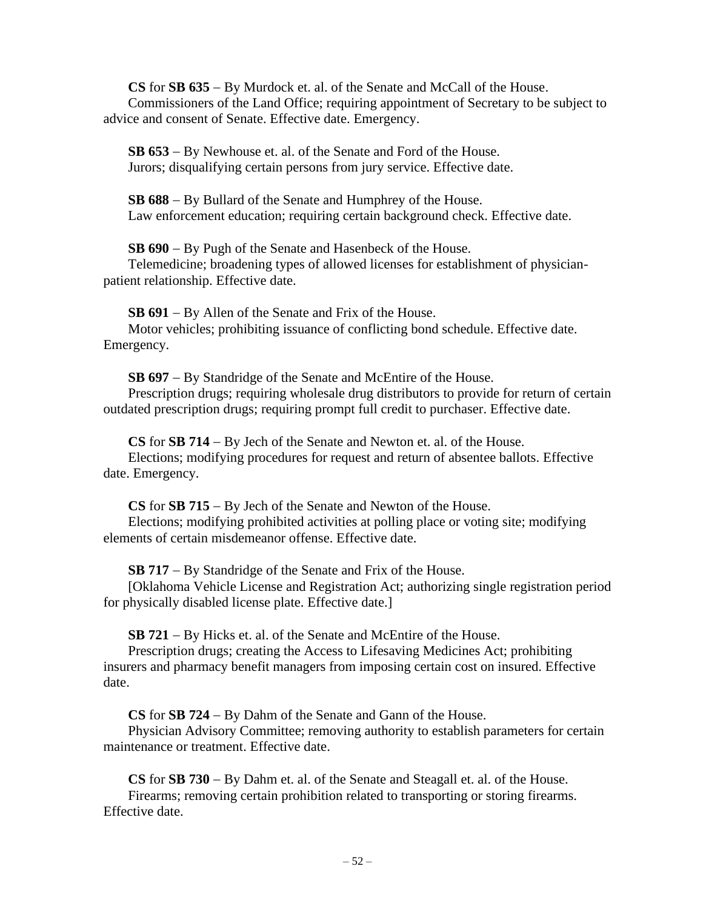**CS** for **SB 635** − By Murdock et. al. of the Senate and McCall of the House. Commissioners of the Land Office; requiring appointment of Secretary to be subject to advice and consent of Senate. Effective date. Emergency.

**SB 653** − By Newhouse et. al. of the Senate and Ford of the House. Jurors; disqualifying certain persons from jury service. Effective date.

**SB 688** − By Bullard of the Senate and Humphrey of the House. Law enforcement education; requiring certain background check. Effective date.

**SB 690** − By Pugh of the Senate and Hasenbeck of the House.

Telemedicine; broadening types of allowed licenses for establishment of physicianpatient relationship. Effective date.

**SB 691** − By Allen of the Senate and Frix of the House.

Motor vehicles; prohibiting issuance of conflicting bond schedule. Effective date. Emergency.

**SB 697** − By Standridge of the Senate and McEntire of the House.

Prescription drugs; requiring wholesale drug distributors to provide for return of certain outdated prescription drugs; requiring prompt full credit to purchaser. Effective date.

**CS** for **SB 714** − By Jech of the Senate and Newton et. al. of the House.

Elections; modifying procedures for request and return of absentee ballots. Effective date. Emergency.

**CS** for **SB 715** − By Jech of the Senate and Newton of the House.

Elections; modifying prohibited activities at polling place or voting site; modifying elements of certain misdemeanor offense. Effective date.

**SB 717** − By Standridge of the Senate and Frix of the House.

[Oklahoma Vehicle License and Registration Act; authorizing single registration period for physically disabled license plate. Effective date.]

**SB 721** − By Hicks et. al. of the Senate and McEntire of the House.

Prescription drugs; creating the Access to Lifesaving Medicines Act; prohibiting insurers and pharmacy benefit managers from imposing certain cost on insured. Effective date.

**CS** for **SB 724** − By Dahm of the Senate and Gann of the House.

Physician Advisory Committee; removing authority to establish parameters for certain maintenance or treatment. Effective date.

**CS** for **SB 730** − By Dahm et. al. of the Senate and Steagall et. al. of the House. Firearms; removing certain prohibition related to transporting or storing firearms. Effective date.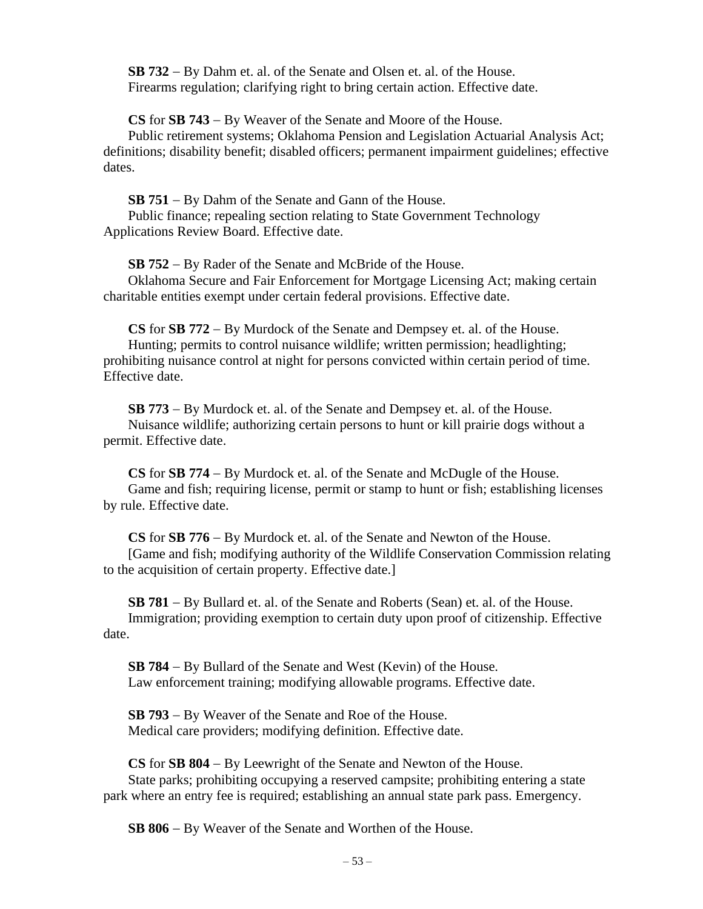**SB 732** − By Dahm et. al. of the Senate and Olsen et. al. of the House. Firearms regulation; clarifying right to bring certain action. Effective date.

**CS** for **SB 743** − By Weaver of the Senate and Moore of the House.

Public retirement systems; Oklahoma Pension and Legislation Actuarial Analysis Act; definitions; disability benefit; disabled officers; permanent impairment guidelines; effective dates.

**SB 751** − By Dahm of the Senate and Gann of the House. Public finance; repealing section relating to State Government Technology Applications Review Board. Effective date.

**SB 752** − By Rader of the Senate and McBride of the House.

Oklahoma Secure and Fair Enforcement for Mortgage Licensing Act; making certain charitable entities exempt under certain federal provisions. Effective date.

**CS** for **SB 772** − By Murdock of the Senate and Dempsey et. al. of the House. Hunting; permits to control nuisance wildlife; written permission; headlighting; prohibiting nuisance control at night for persons convicted within certain period of time. Effective date.

**SB 773** − By Murdock et. al. of the Senate and Dempsey et. al. of the House. Nuisance wildlife; authorizing certain persons to hunt or kill prairie dogs without a permit. Effective date.

**CS** for **SB 774** − By Murdock et. al. of the Senate and McDugle of the House. Game and fish; requiring license, permit or stamp to hunt or fish; establishing licenses by rule. Effective date.

**CS** for **SB 776** − By Murdock et. al. of the Senate and Newton of the House.

[Game and fish; modifying authority of the Wildlife Conservation Commission relating to the acquisition of certain property. Effective date.]

**SB 781** − By Bullard et. al. of the Senate and Roberts (Sean) et. al. of the House. Immigration; providing exemption to certain duty upon proof of citizenship. Effective date.

**SB 784** − By Bullard of the Senate and West (Kevin) of the House. Law enforcement training; modifying allowable programs. Effective date.

**SB 793** − By Weaver of the Senate and Roe of the House. Medical care providers; modifying definition. Effective date.

**CS** for **SB 804** − By Leewright of the Senate and Newton of the House. State parks; prohibiting occupying a reserved campsite; prohibiting entering a state park where an entry fee is required; establishing an annual state park pass. Emergency.

**SB 806** − By Weaver of the Senate and Worthen of the House.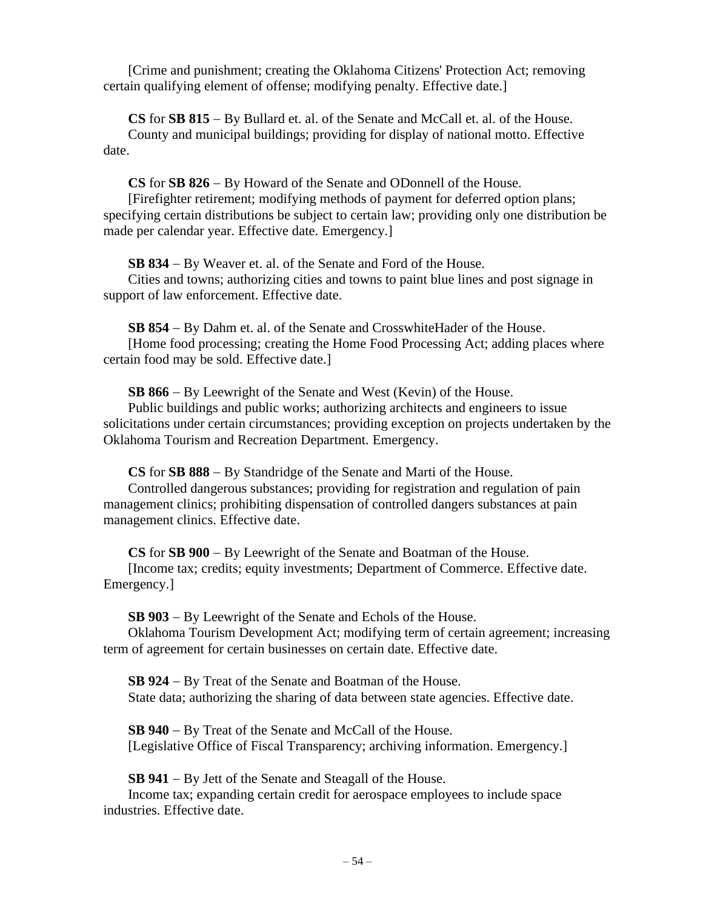[Crime and punishment; creating the Oklahoma Citizens' Protection Act; removing certain qualifying element of offense; modifying penalty. Effective date.]

**CS** for **SB 815** − By Bullard et. al. of the Senate and McCall et. al. of the House. County and municipal buildings; providing for display of national motto. Effective date.

**CS** for **SB 826** − By Howard of the Senate and ODonnell of the House.

[Firefighter retirement; modifying methods of payment for deferred option plans; specifying certain distributions be subject to certain law; providing only one distribution be made per calendar year. Effective date. Emergency.]

**SB 834** − By Weaver et. al. of the Senate and Ford of the House.

Cities and towns; authorizing cities and towns to paint blue lines and post signage in support of law enforcement. Effective date.

**SB 854** − By Dahm et. al. of the Senate and CrosswhiteHader of the House. [Home food processing; creating the Home Food Processing Act; adding places where certain food may be sold. Effective date.]

**SB 866** − By Leewright of the Senate and West (Kevin) of the House.

Public buildings and public works; authorizing architects and engineers to issue solicitations under certain circumstances; providing exception on projects undertaken by the Oklahoma Tourism and Recreation Department. Emergency.

**CS** for **SB 888** − By Standridge of the Senate and Marti of the House.

Controlled dangerous substances; providing for registration and regulation of pain management clinics; prohibiting dispensation of controlled dangers substances at pain management clinics. Effective date.

**CS** for **SB 900** − By Leewright of the Senate and Boatman of the House. [Income tax; credits; equity investments; Department of Commerce. Effective date. Emergency.]

**SB 903** − By Leewright of the Senate and Echols of the House.

Oklahoma Tourism Development Act; modifying term of certain agreement; increasing term of agreement for certain businesses on certain date. Effective date.

**SB 924** − By Treat of the Senate and Boatman of the House. State data; authorizing the sharing of data between state agencies. Effective date.

**SB 940** − By Treat of the Senate and McCall of the House. [Legislative Office of Fiscal Transparency; archiving information. Emergency.]

**SB 941** − By Jett of the Senate and Steagall of the House.

Income tax; expanding certain credit for aerospace employees to include space industries. Effective date.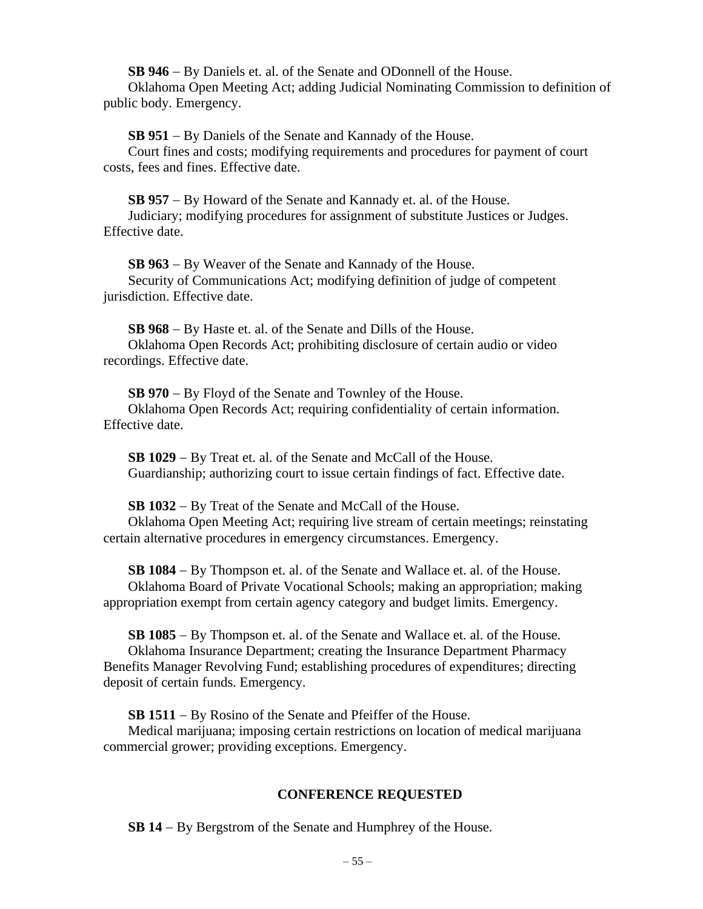**SB 946** − By Daniels et. al. of the Senate and ODonnell of the House.

Oklahoma Open Meeting Act; adding Judicial Nominating Commission to definition of public body. Emergency.

**SB 951** − By Daniels of the Senate and Kannady of the House.

Court fines and costs; modifying requirements and procedures for payment of court costs, fees and fines. Effective date.

**SB 957** − By Howard of the Senate and Kannady et. al. of the House. Judiciary; modifying procedures for assignment of substitute Justices or Judges. Effective date.

**SB 963** − By Weaver of the Senate and Kannady of the House. Security of Communications Act; modifying definition of judge of competent jurisdiction. Effective date.

**SB 968** − By Haste et. al. of the Senate and Dills of the House. Oklahoma Open Records Act; prohibiting disclosure of certain audio or video recordings. Effective date.

**SB 970** − By Floyd of the Senate and Townley of the House. Oklahoma Open Records Act; requiring confidentiality of certain information. Effective date.

**SB 1029** − By Treat et. al. of the Senate and McCall of the House. Guardianship; authorizing court to issue certain findings of fact. Effective date.

**SB 1032** − By Treat of the Senate and McCall of the House.

Oklahoma Open Meeting Act; requiring live stream of certain meetings; reinstating certain alternative procedures in emergency circumstances. Emergency.

**SB 1084** − By Thompson et. al. of the Senate and Wallace et. al. of the House. Oklahoma Board of Private Vocational Schools; making an appropriation; making appropriation exempt from certain agency category and budget limits. Emergency.

**SB 1085** − By Thompson et. al. of the Senate and Wallace et. al. of the House. Oklahoma Insurance Department; creating the Insurance Department Pharmacy Benefits Manager Revolving Fund; establishing procedures of expenditures; directing deposit of certain funds. Emergency.

**SB 1511** − By Rosino of the Senate and Pfeiffer of the House.

Medical marijuana; imposing certain restrictions on location of medical marijuana commercial grower; providing exceptions. Emergency.

# **CONFERENCE REQUESTED**

**SB 14** − By Bergstrom of the Senate and Humphrey of the House.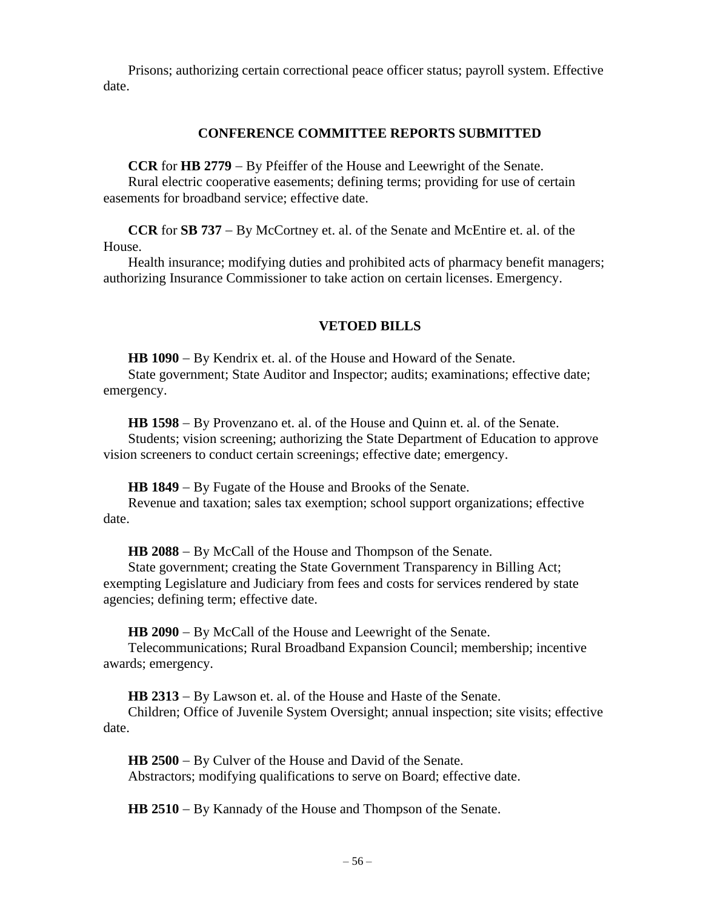Prisons; authorizing certain correctional peace officer status; payroll system. Effective date.

# **CONFERENCE COMMITTEE REPORTS SUBMITTED**

**CCR** for **HB 2779** − By Pfeiffer of the House and Leewright of the Senate. Rural electric cooperative easements; defining terms; providing for use of certain

easements for broadband service; effective date.

**CCR** for **SB 737** − By McCortney et. al. of the Senate and McEntire et. al. of the House.

Health insurance; modifying duties and prohibited acts of pharmacy benefit managers; authorizing Insurance Commissioner to take action on certain licenses. Emergency.

# **VETOED BILLS**

**HB 1090** − By Kendrix et. al. of the House and Howard of the Senate.

State government; State Auditor and Inspector; audits; examinations; effective date; emergency.

**HB 1598** − By Provenzano et. al. of the House and Quinn et. al. of the Senate. Students; vision screening; authorizing the State Department of Education to approve vision screeners to conduct certain screenings; effective date; emergency.

**HB 1849** − By Fugate of the House and Brooks of the Senate.

Revenue and taxation; sales tax exemption; school support organizations; effective date.

**HB 2088** − By McCall of the House and Thompson of the Senate.

State government; creating the State Government Transparency in Billing Act; exempting Legislature and Judiciary from fees and costs for services rendered by state agencies; defining term; effective date.

**HB 2090** − By McCall of the House and Leewright of the Senate.

Telecommunications; Rural Broadband Expansion Council; membership; incentive awards; emergency.

**HB 2313** − By Lawson et. al. of the House and Haste of the Senate.

Children; Office of Juvenile System Oversight; annual inspection; site visits; effective date.

**HB 2500** − By Culver of the House and David of the Senate. Abstractors; modifying qualifications to serve on Board; effective date.

**HB 2510** − By Kannady of the House and Thompson of the Senate.